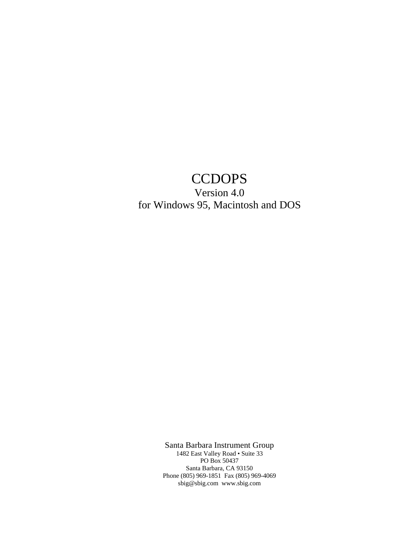# **CCDOPS**

# Version 4.0 for Windows 95, Macintosh and DOS

Santa Barbara Instrument Group

1482 East Valley Road • Suite 33 PO Box 50437 Santa Barbara, CA 93150 Phone (805) 969-1851 Fax (805) 969-4069 sbig@sbig.com www.sbig.com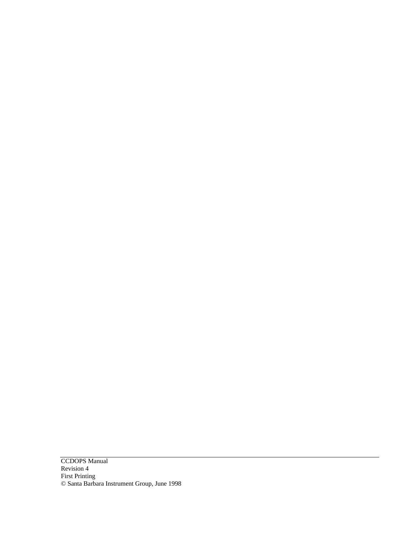CCDOPS Manual Revision 4 First Printing © Santa Barbara Instrument Group, June 1998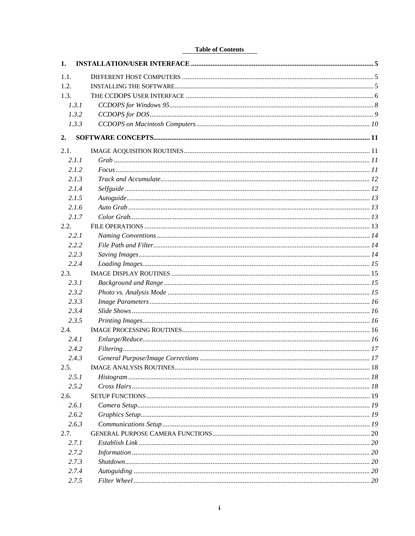# **Table of Contents**

| 1.               |  |
|------------------|--|
| 1.1.             |  |
| 1.2.             |  |
| 1.3.             |  |
| 1.3.1            |  |
| 1.3.2            |  |
| 1.3.3            |  |
| $\overline{2}$ . |  |
| 2.1.             |  |
| 2.1.1            |  |
| 2.1.2            |  |
| 2.1.3            |  |
| 2.1.4            |  |
| 2.1.5            |  |
| 2.1.6            |  |
| 2.1.7            |  |
| 2.2.             |  |
| 2.2.1            |  |
| 2.2.2            |  |
| 2.2.3            |  |
| 2.2.4            |  |
| 2.3.             |  |
| 2.3.1            |  |
| 2.3.2            |  |
| 2.3.3            |  |
| 2.3.4            |  |
| 2.3.5            |  |
| 2.4.             |  |
| 2.4.1            |  |
| 2.4.2            |  |
| 2.4.3            |  |
| 2.5.             |  |
| 2.5.1            |  |
| 2.5.2            |  |
| 2.6.             |  |
| 2.6.1            |  |
| 2.6.2            |  |
| 2.6.3            |  |
| 2.7.             |  |
| 2.7.1            |  |
| 2.7.2            |  |
| 2.7.3            |  |
| 2.7.4            |  |
| 2.7.5            |  |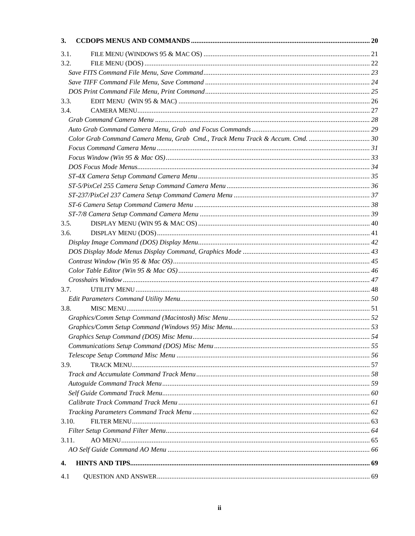| 3.    |  |
|-------|--|
| 3.1.  |  |
| 3.2.  |  |
|       |  |
|       |  |
|       |  |
| 3.3.  |  |
| 3.4.  |  |
|       |  |
|       |  |
|       |  |
|       |  |
|       |  |
|       |  |
|       |  |
|       |  |
|       |  |
|       |  |
|       |  |
| 3.5.  |  |
| 3.6.  |  |
|       |  |
|       |  |
|       |  |
|       |  |
|       |  |
| 3.7.  |  |
|       |  |
| 3.8.  |  |
|       |  |
|       |  |
|       |  |
|       |  |
|       |  |
| 3.9.  |  |
|       |  |
|       |  |
|       |  |
|       |  |
|       |  |
| 3.10. |  |
|       |  |
| 3.11. |  |
|       |  |
| 4.    |  |
|       |  |
| 4.1   |  |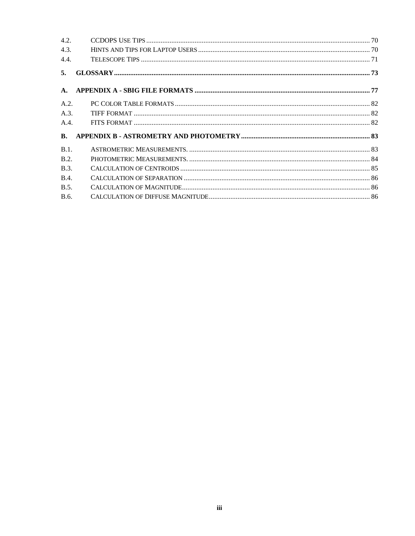| 4.2.           |  |
|----------------|--|
| 4.3.           |  |
| 4.4.           |  |
| 5.             |  |
| $\mathbf{A}$ . |  |
| A.2.           |  |
| A.3.           |  |
| A.4.           |  |
| $\mathbf{B}$ . |  |
| B.1.           |  |
| B.2.           |  |
| B.3.           |  |
| <b>B.4.</b>    |  |
| B.5.           |  |
| B.6.           |  |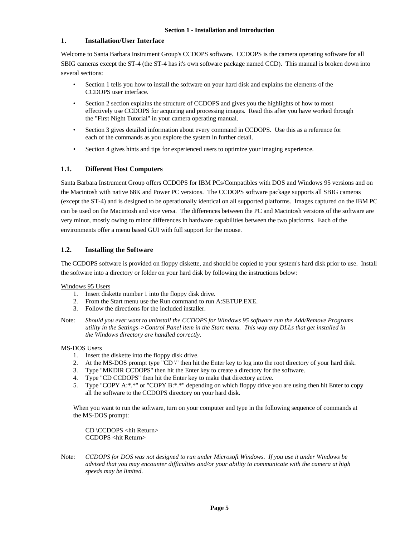# **1. Installation/User Interface**

Welcome to Santa Barbara Instrument Group's CCDOPS software. CCDOPS is the camera operating software for all SBIG cameras except the ST-4 (the ST-4 has it's own software package named CCD). This manual is broken down into several sections:

- Section 1 tells you how to install the software on your hard disk and explains the elements of the CCDOPS user interface.
- Section 2 section explains the structure of CCDOPS and gives you the highlights of how to most effectively use CCDOPS for acquiring and processing images. Read this after you have worked through the "First Night Tutorial" in your camera operating manual.
- Section 3 gives detailed information about every command in CCDOPS. Use this as a reference for each of the commands as you explore the system in further detail.
- Section 4 gives hints and tips for experienced users to optimize your imaging experience.

# **1.1. Different Host Computers**

Santa Barbara Instrument Group offers CCDOPS for IBM PCs/Compatibles with DOS and Windows 95 versions and on the Macintosh with native 68K and Power PC versions. The CCDOPS software package supports all SBIG cameras (except the ST-4) and is designed to be operationally identical on all supported platforms. Images captured on the IBM PC can be used on the Macintosh and vice versa. The differences between the PC and Macintosh versions of the software are very minor, mostly owing to minor differences in hardware capabilities between the two platforms. Each of the environments offer a menu based GUI with full support for the mouse.

# **1.2. Installing the Software**

The CCDOPS software is provided on floppy diskette, and should be copied to your system's hard disk prior to use. Install the software into a directory or folder on your hard disk by following the instructions below:

## Windows 95 Users

- 1. Insert diskette number 1 into the floppy disk drive.
- 2. From the Start menu use the Run command to run A:SETUP.EXE.
- 3. Follow the directions for the included installer.
- Note: *Should you ever want to uninstall the CCDOPS for Windows 95 software run the Add/Remove Programs utility in the Settings->Control Panel item in the Start menu. This way any DLLs that get installed in the Windows directory are handled correctly.*

## MS-DOS Users

- 1. Insert the diskette into the floppy disk drive.
- 2. At the MS-DOS prompt type "CD \" then hit the Enter key to log into the root directory of your hard disk.
- 3. Type "MKDIR CCDOPS" then hit the Enter key to create a directory for the software.
- 4. Type "CD CCDOPS" then hit the Enter key to make that directory active.
- 5. Type "COPY A:\*.\*" or "COPY B:\*.\*" depending on which floppy drive you are using then hit Enter to copy all the software to the CCDOPS directory on your hard disk.

When you want to run the software, turn on your computer and type in the following sequence of commands at the MS-DOS prompt:

CD \CCDOPS <hit Return> CCDOPS <hit Return>

Note: *CCDOPS for DOS was not designed to run under Microsoft Windows. If you use it under Windows be advised that you may encounter difficulties and/or your ability to communicate with the camera at high speeds may be limited.*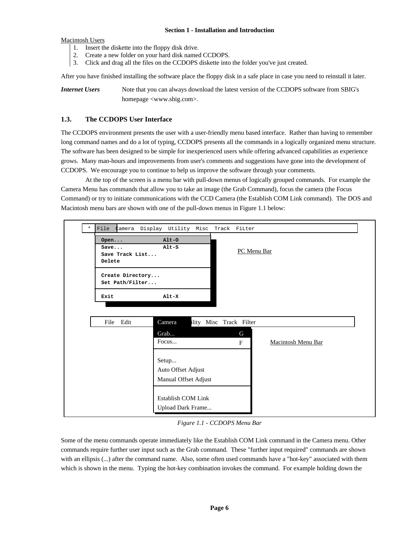Macintosh Users

- 1. Insert the diskette into the floppy disk drive.
- 2. Create a new folder on your hard disk named CCDOPS.
- 3. Click and drag all the files on the CCDOPS diskette into the folder you've just created.

After you have finished installing the software place the floppy disk in a safe place in case you need to reinstall it later.

*Internet Users* Note that you can always download the latest version of the CCDOPS software from SBIG's homepage <www.sbig.com>.

# **1.3. The CCDOPS User Interface**

The CCDOPS environment presents the user with a user-friendly menu based interface. Rather than having to remember long command names and do a lot of typing, CCDOPS presents all the commands in a logically organized menu structure. The software has been designed to be simple for inexperienced users while offering advanced capabilities as experience grows. Many man-hours and improvements from user's comments and suggestions have gone into the development of CCDOPS. We encourage you to continue to help us improve the software through your comments.

At the top of the screen is a menu bar with pull-down menus of logically grouped commands. For example the Camera Menu has commands that allow you to take an image (the Grab Command), focus the camera (the Focus Command) or try to initiate communications with the CCD Camera (the Establish COM Link command). The DOS and Macintosh menu bars are shown with one of the pull-down menus in Figure 1.1 below:



*Figure 1.1 - CCDOPS Menu Bar*

Some of the menu commands operate immediately like the Establish COM Link command in the Camera menu. Other commands require further user input such as the Grab command. These "further input required" commands are shown with an ellipsis (...) after the command name. Also, some often used commands have a "hot-key" associated with them which is shown in the menu. Typing the hot-key combination invokes the command. For example holding down the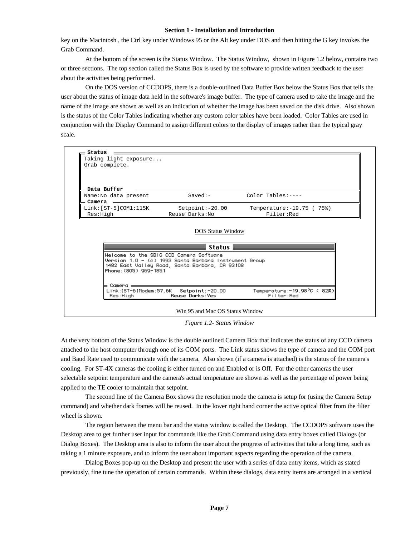key on the Macintosh , the Ctrl key under Windows 95 or the Alt key under DOS and then hitting the G key invokes the Grab Command.

At the bottom of the screen is the Status Window. The Status Window, shown in Figure 1.2 below, contains two or three sections. The top section called the Status Box is used by the software to provide written feedback to the user about the activities being performed.

On the DOS version of CCDOPS, there is a double-outlined Data Buffer Box below the Status Box that tells the user about the status of image data held in the software's image buffer. The type of camera used to take the image and the name of the image are shown as well as an indication of whether the image has been saved on the disk drive. Also shown is the status of the Color Tables indicating whether any custom color tables have been loaded. Color Tables are used in conjunction with the Display Command to assign different colors to the display of images rather than the typical gray scale.



*Figure 1.2- Status Window*

At the very bottom of the Status Window is the double outlined Camera Box that indicates the status of any CCD camera attached to the host computer through one of its COM ports. The Link status shows the type of camera and the COM port and Baud Rate used to communicate with the camera. Also shown (if a camera is attached) is the status of the camera's cooling. For ST-4X cameras the cooling is either turned on and Enabled or is Off. For the other cameras the user selectable setpoint temperature and the camera's actual temperature are shown as well as the percentage of power being applied to the TE cooler to maintain that setpoint.

The second line of the Camera Box shows the resolution mode the camera is setup for (using the Camera Setup command) and whether dark frames will be reused. In the lower right hand corner the active optical filter from the filter wheel is shown.

The region between the menu bar and the status window is called the Desktop. The CCDOPS software uses the Desktop area to get further user input for commands like the Grab Command using data entry boxes called Dialogs (or Dialog Boxes). The Desktop area is also to inform the user about the progress of activities that take a long time, such as taking a 1 minute exposure, and to inform the user about important aspects regarding the operation of the camera.

Dialog Boxes pop-up on the Desktop and present the user with a series of data entry items, which as stated previously, fine tune the operation of certain commands. Within these dialogs, data entry items are arranged in a vertical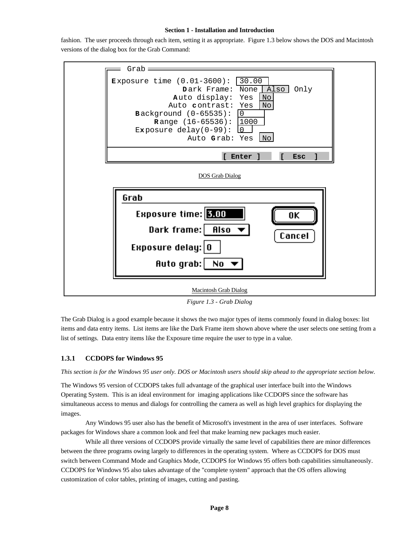fashion. The user proceeds through each item, setting it as appropriate. Figure 1.3 below shows the DOS and Macintosh versions of the dialog box for the Grab Command:



*Figure 1.3 - Grab Dialog*

The Grab Dialog is a good example because it shows the two major types of items commonly found in dialog boxes: list items and data entry items. List items are like the Dark Frame item shown above where the user selects one setting from a list of settings. Data entry items like the Exposure time require the user to type in a value.

## **1.3.1 CCDOPS for Windows 95**

*This section is for the Windows 95 user only. DOS or Macintosh users should skip ahead to the appropriate section below.*

The Windows 95 version of CCDOPS takes full advantage of the graphical user interface built into the Windows Operating System. This is an ideal environment for imaging applications like CCDOPS since the software has simultaneous access to menus and dialogs for controlling the camera as well as high level graphics for displaying the images.

Any Windows 95 user also has the benefit of Microsoft's investment in the area of user interfaces. Software packages for Windows share a common look and feel that make learning new packages much easier.

While all three versions of CCDOPS provide virtually the same level of capabilities there are minor differences between the three programs owing largely to differences in the operating system. Where as CCDOPS for DOS must switch between Command Mode and Graphics Mode, CCDOPS for Windows 95 offers both capabilities simultaneously. CCDOPS for Windows 95 also takes advantage of the "complete system" approach that the OS offers allowing customization of color tables, printing of images, cutting and pasting.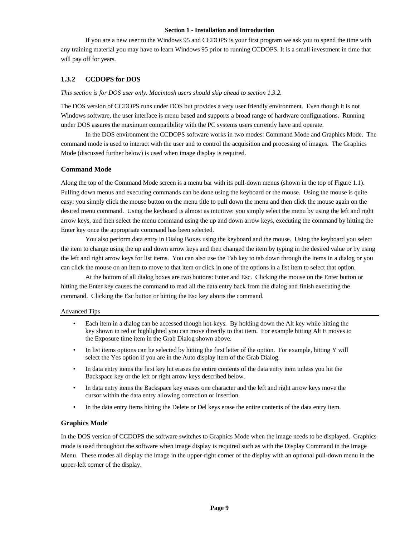If you are a new user to the Windows 95 and CCDOPS is your first program we ask you to spend the time with any training material you may have to learn Windows 95 prior to running CCDOPS. It is a small investment in time that will pay off for years.

# **1.3.2 CCDOPS for DOS**

## *This section is for DOS user only. Macintosh users should skip ahead to section 1.3.2.*

The DOS version of CCDOPS runs under DOS but provides a very user friendly environment. Even though it is not Windows software, the user interface is menu based and supports a broad range of hardware configurations. Running under DOS assures the maximum compatibility with the PC systems users currently have and operate.

In the DOS environment the CCDOPS software works in two modes: Command Mode and Graphics Mode. The command mode is used to interact with the user and to control the acquisition and processing of images. The Graphics Mode (discussed further below) is used when image display is required.

# **Command Mode**

Along the top of the Command Mode screen is a menu bar with its pull-down menus (shown in the top of Figure 1.1). Pulling down menus and executing commands can be done using the keyboard or the mouse. Using the mouse is quite easy: you simply click the mouse button on the menu title to pull down the menu and then click the mouse again on the desired menu command. Using the keyboard is almost as intuitive: you simply select the menu by using the left and right arrow keys, and then select the menu command using the up and down arrow keys, executing the command by hitting the Enter key once the appropriate command has been selected.

You also perform data entry in Dialog Boxes using the keyboard and the mouse. Using the keyboard you select the item to change using the up and down arrow keys and then changed the item by typing in the desired value or by using the left and right arrow keys for list items. You can also use the Tab key to tab down through the items in a dialog or you can click the mouse on an item to move to that item or click in one of the options in a list item to select that option.

At the bottom of all dialog boxes are two buttons: Enter and Esc. Clicking the mouse on the Enter button or hitting the Enter key causes the command to read all the data entry back from the dialog and finish executing the command. Clicking the Esc button or hitting the Esc key aborts the command.

## Advanced Tips

- Each item in a dialog can be accessed though hot-keys. By holding down the Alt key while hitting the key shown in red or highlighted you can move directly to that item. For example hitting Alt E moves to the Exposure time item in the Grab Dialog shown above.
- In list items options can be selected by hitting the first letter of the option. For example, hitting Y will select the Yes option if you are in the Auto display item of the Grab Dialog.
- In data entry items the first key hit erases the entire contents of the data entry item unless you hit the Backspace key or the left or right arrow keys described below.
- In data entry items the Backspace key erases one character and the left and right arrow keys move the cursor within the data entry allowing correction or insertion.
- In the data entry items hitting the Delete or Del keys erase the entire contents of the data entry item.

## **Graphics Mode**

In the DOS version of CCDOPS the software switches to Graphics Mode when the image needs to be displayed. Graphics mode is used throughout the software when image display is required such as with the Display Command in the Image Menu. These modes all display the image in the upper-right corner of the display with an optional pull-down menu in the upper-left corner of the display.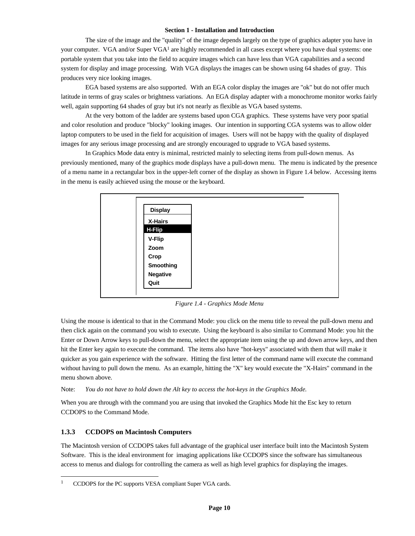The size of the image and the "quality" of the image depends largely on the type of graphics adapter you have in your computer. VGA and/or Super VGA<sup>1</sup> are highly recommended in all cases except where you have dual systems: one portable system that you take into the field to acquire images which can have less than VGA capabilities and a second system for display and image processing. With VGA displays the images can be shown using 64 shades of gray. This produces very nice looking images.

EGA based systems are also supported. With an EGA color display the images are "ok" but do not offer much latitude in terms of gray scales or brightness variations. An EGA display adapter with a monochrome monitor works fairly well, again supporting 64 shades of gray but it's not nearly as flexible as VGA based systems.

At the very bottom of the ladder are systems based upon CGA graphics. These systems have very poor spatial and color resolution and produce "blocky" looking images. Our intention in supporting CGA systems was to allow older laptop computers to be used in the field for acquisition of images. Users will not be happy with the quality of displayed images for any serious image processing and are strongly encouraged to upgrade to VGA based systems.

In Graphics Mode data entry is minimal, restricted mainly to selecting items from pull-down menus. As previously mentioned, many of the graphics mode displays have a pull-down menu. The menu is indicated by the presence of a menu name in a rectangular box in the upper-left corner of the display as shown in Figure 1.4 below. Accessing items in the menu is easily achieved using the mouse or the keyboard.



*Figure 1.4 - Graphics Mode Menu*

Using the mouse is identical to that in the Command Mode: you click on the menu title to reveal the pull-down menu and then click again on the command you wish to execute. Using the keyboard is also similar to Command Mode: you hit the Enter or Down Arrow keys to pull-down the menu, select the appropriate item using the up and down arrow keys, and then hit the Enter key again to execute the command. The items also have "hot-keys" associated with them that will make it quicker as you gain experience with the software. Hitting the first letter of the command name will execute the command without having to pull down the menu. As an example, hitting the "X" key would execute the "X-Hairs" command in the menu shown above.

## Note: *You do not have to hold down the Alt key to access the hot-keys in the Graphics Mode.*

When you are through with the command you are using that invoked the Graphics Mode hit the Esc key to return CCDOPS to the Command Mode.

## **1.3.3 CCDOPS on Macintosh Computers**

 $\overline{a}$ 

The Macintosh version of CCDOPS takes full advantage of the graphical user interface built into the Macintosh System Software. This is the ideal environment for imaging applications like CCDOPS since the software has simultaneous access to menus and dialogs for controlling the camera as well as high level graphics for displaying the images.

CCDOPS for the PC supports VESA compliant Super VGA cards.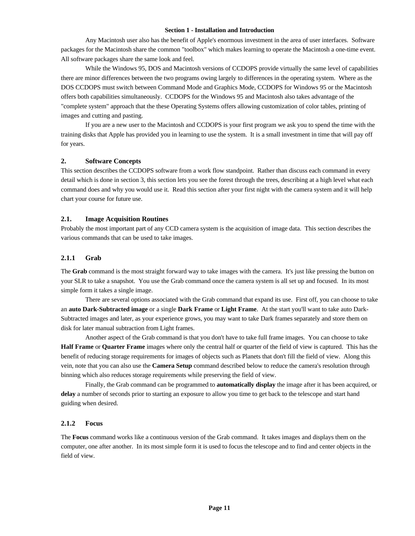Any Macintosh user also has the benefit of Apple's enormous investment in the area of user interfaces. Software packages for the Macintosh share the common "toolbox" which makes learning to operate the Macintosh a one-time event. All software packages share the same look and feel.

While the Windows 95, DOS and Macintosh versions of CCDOPS provide virtually the same level of capabilities there are minor differences between the two programs owing largely to differences in the operating system. Where as the DOS CCDOPS must switch between Command Mode and Graphics Mode, CCDOPS for Windows 95 or the Macintosh offers both capabilities simultaneously. CCDOPS for the Windows 95 and Macintosh also takes advantage of the "complete system" approach that the these Operating Systems offers allowing customization of color tables, printing of images and cutting and pasting.

If you are a new user to the Macintosh and CCDOPS is your first program we ask you to spend the time with the training disks that Apple has provided you in learning to use the system. It is a small investment in time that will pay off for years.

# **2. Software Concepts**

This section describes the CCDOPS software from a work flow standpoint. Rather than discuss each command in every detail which is done in section 3, this section lets you see the forest through the trees, describing at a high level what each command does and why you would use it. Read this section after your first night with the camera system and it will help chart your course for future use.

## **2.1. Image Acquisition Routines**

Probably the most important part of any CCD camera system is the acquisition of image data. This section describes the various commands that can be used to take images.

## **2.1.1 Grab**

The **Grab** command is the most straight forward way to take images with the camera. It's just like pressing the button on your SLR to take a snapshot. You use the Grab command once the camera system is all set up and focused. In its most simple form it takes a single image.

There are several options associated with the Grab command that expand its use. First off, you can choose to take an **auto Dark-Subtracted image** or a single **Dark Frame** or **Light Frame**. At the start you'll want to take auto Dark-Subtracted images and later, as your experience grows, you may want to take Dark frames separately and store them on disk for later manual subtraction from Light frames.

Another aspect of the Grab command is that you don't have to take full frame images. You can choose to take **Half Frame** or **Quarter Frame** images where only the central half or quarter of the field of view is captured. This has the benefit of reducing storage requirements for images of objects such as Planets that don't fill the field of view. Along this vein, note that you can also use the **Camera Setup** command described below to reduce the camera's resolution through binning which also reduces storage requirements while preserving the field of view.

Finally, the Grab command can be programmed to **automatically display** the image after it has been acquired, or **delay** a number of seconds prior to starting an exposure to allow you time to get back to the telescope and start hand guiding when desired.

## **2.1.2 Focus**

The **Focus** command works like a continuous version of the Grab command. It takes images and displays them on the computer, one after another. In its most simple form it is used to focus the telescope and to find and center objects in the field of view.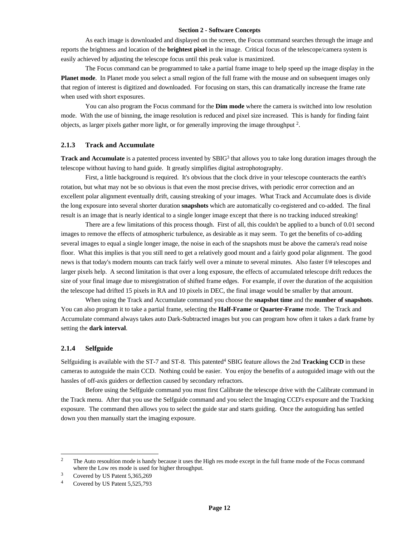As each image is downloaded and displayed on the screen, the Focus command searches through the image and reports the brightness and location of the **brightest pixel** in the image. Critical focus of the telescope/camera system is easily achieved by adjusting the telescope focus until this peak value is maximized.

The Focus command can be programmed to take a partial frame image to help speed up the image display in the **Planet mode**. In Planet mode you select a small region of the full frame with the mouse and on subsequent images only that region of interest is digitized and downloaded. For focusing on stars, this can dramatically increase the frame rate when used with short exposures.

You can also program the Focus command for the **Dim mode** where the camera is switched into low resolution mode. With the use of binning, the image resolution is reduced and pixel size increased. This is handy for finding faint objects, as larger pixels gather more light, or for generally improving the image throughput<sup>2</sup>.

#### **2.1.3 Track and Accumulate**

**Track and Accumulate** is a patented process invented by SBIG<sup>3</sup> that allows you to take long duration images through the telescope without having to hand guide. It greatly simplifies digital astrophotography.

First, a little background is required. It's obvious that the clock drive in your telescope counteracts the earth's rotation, but what may not be so obvious is that even the most precise drives, with periodic error correction and an excellent polar alignment eventually drift, causing streaking of your images. What Track and Accumulate does is divide the long exposure into several shorter duration **snapshots** which are automatically co-registered and co-added. The final result is an image that is nearly identical to a single longer image except that there is no tracking induced streaking!

There are a few limitations of this process though. First of all, this couldn't be applied to a bunch of 0.01 second images to remove the effects of atmospheric turbulence, as desirable as it may seem. To get the benefits of co-adding several images to equal a single longer image, the noise in each of the snapshots must be above the camera's read noise floor. What this implies is that you still need to get a relatively good mount and a fairly good polar alignment. The good news is that today's modern mounts can track fairly well over a minute to several minutes. Also faster f/# telescopes and larger pixels help. A second limitation is that over a long exposure, the effects of accumulated telescope drift reduces the size of your final image due to misregistration of shifted frame edges. For example, if over the duration of the acquisition the telescope had drifted 15 pixels in RA and 10 pixels in DEC, the final image would be smaller by that amount.

When using the Track and Accumulate command you choose the **snapshot time** and the **number of snapshots**. You can also program it to take a partial frame, selecting the **Half-Frame** or **Quarter-Frame** mode. The Track and Accumulate command always takes auto Dark-Subtracted images but you can program how often it takes a dark frame by setting the **dark interval**.

#### **2.1.4 Selfguide**

1

Selfguiding is available with the ST-7 and ST-8. This patented<sup>4</sup> SBIG feature allows the 2nd **Tracking CCD** in these cameras to autoguide the main CCD. Nothing could be easier. You enjoy the benefits of a autoguided image with out the hassles of off-axis guiders or deflection caused by secondary refractors.

Before using the Selfguide command you must first Calibrate the telescope drive with the Calibrate command in the Track menu. After that you use the Selfguide command and you select the Imaging CCD's exposure and the Tracking exposure. The command then allows you to select the guide star and starts guiding. Once the autoguiding has settled down you then manually start the imaging exposure.

<sup>&</sup>lt;sup>2</sup> The Auto resoultion mode is handy because it uses the High res mode except in the full frame mode of the Focus command where the Low res mode is used for higher throughput.

<sup>&</sup>lt;sup>3</sup> Covered by US Patent 5,365,269

Covered by US Patent 5,525,793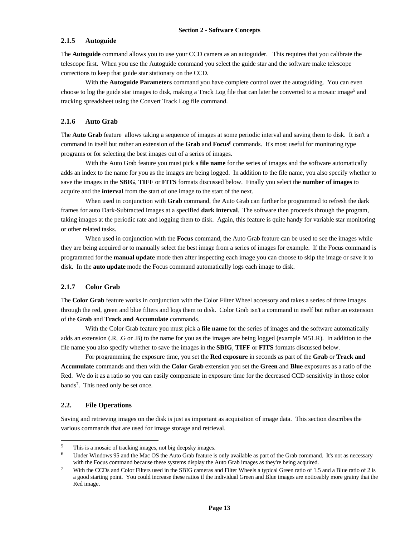# **2.1.5 Autoguide**

The **Autoguide** command allows you to use your CCD camera as an autoguider. This requires that you calibrate the telescope first. When you use the Autoguide command you select the guide star and the software make telescope corrections to keep that guide star stationary on the CCD.

With the **Autoguide Parameters** command you have complete control over the autoguiding. You can even choose to log the guide star images to disk, making a Track Log file that can later be converted to a mosaic image<sup>5</sup> and tracking spreadsheet using the Convert Track Log file command.

#### **2.1.6 Auto Grab**

The **Auto Grab** feature allows taking a sequence of images at some periodic interval and saving them to disk. It isn't a command in itself but rather an extension of the **Grab** and **Focus**<sup>6</sup> commands. It's most useful for monitoring type programs or for selecting the best images out of a series of images.

With the Auto Grab feature you must pick a **file name** for the series of images and the software automatically adds an index to the name for you as the images are being logged. In addition to the file name, you also specify whether to save the images in the **SBIG**, **TIFF** or **FITS** formats discussed below. Finally you select the **number of images** to acquire and the **interval** from the start of one image to the start of the next.

When used in conjunction with **Grab** command, the Auto Grab can further be programmed to refresh the dark frames for auto Dark-Subtracted images at a specified **dark interval**. The software then proceeds through the program, taking images at the periodic rate and logging them to disk. Again, this feature is quite handy for variable star monitoring or other related tasks.

When used in conjunction with the **Focus** command, the Auto Grab feature can be used to see the images while they are being acquired or to manually select the best image from a series of images for example. If the Focus command is programmed for the **manual update** mode then after inspecting each image you can choose to skip the image or save it to disk. In the **auto update** mode the Focus command automatically logs each image to disk.

# **2.1.7 Color Grab**

The **Color Grab** feature works in conjunction with the Color Filter Wheel accessory and takes a series of three images through the red, green and blue filters and logs them to disk. Color Grab isn't a command in itself but rather an extension of the **Grab** and **Track and Accumulate** commands.

With the Color Grab feature you must pick a **file name** for the series of images and the software automatically adds an extension (.R, .G or .B) to the name for you as the images are being logged (example M51.R). In addition to the file name you also specify whether to save the images in the **SBIG**, **TIFF** or **FITS** formats discussed below.

For programming the exposure time, you set the **Red exposure** in seconds as part of the **Grab** or **Track and Accumulate** commands and then with the **Color Grab** extension you set the **Green** and **Blue** exposures as a ratio of the Red. We do it as a ratio so you can easily compensate in exposure time for the decreased CCD sensitivity in those color bands<sup>7</sup>. This need only be set once.

# **2.2. File Operations**

 $\overline{a}$ 

Saving and retrieving images on the disk is just as important as acquisition of image data. This section describes the various commands that are used for image storage and retrieval.

<sup>&</sup>lt;sup>5</sup> This is a mosaic of tracking images, not big deepsky images.<br> $\frac{6}{2}$  Under Windows 05 and the Mag OS the Auto Crab fecture is

Under Windows 95 and the Mac OS the Auto Grab feature is only available as part of the Grab command. It's not as necessary with the Focus command because these systems display the Auto Grab images as they're being acquired.

<sup>&</sup>lt;sup>7</sup> With the CCDs and Color Filters used in the SBIG cameras and Filter Wheels a typical Green ratio of 1.5 and a Blue ratio of 2 is a good starting point. You could increase these ratios if the individual Green and Blue images are noticeably more grainy that the Red image.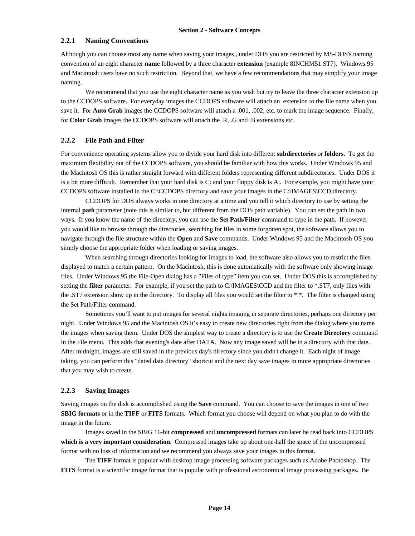## **2.2.1 Naming Conventions**

Although you can choose most any name when saving your images , under DOS you are restricted by MS-DOS's naming convention of an eight character **name** followed by a three character **extension** (example 8INCHM51.ST7). Windows 95 and Macintosh users have no such restriction. Beyond that, we have a few recommendations that may simplify your image naming.

We recommend that you use the eight character name as you wish but try to leave the three character extension up to the CCDOPS software. For everyday images the CCDOPS software will attach an extension to the file name when you save it. For **Auto Grab** images the CCDOPS software will attach a .001, .002, etc. to mark the image sequence. Finally, for **Color Grab** images the CCDOPS software will attach the .R, .G and .B extensions etc.

#### **2.2.2 File Path and Filter**

For convenience operating systems allow you to divide your hard disk into different **subdirectories** or **folders**. To get the maximum flexibility out of the CCDOPS software, you should be familiar with how this works. Under Windows 95 and the Macintosh OS this is rather straight forward with different folders representing different subdirectories. Under DOS it is a bit more difficult. Remember that your hard disk is C: and your floppy disk is A:. For example, you might have your CCDOPS software installed in the C:\CCDOPS directory and save your images in the C:\IMAGES\CCD directory.

CCDOPS for DOS always works in one directory at a time and you tell it which directory to use by setting the internal **path** parameter (note this is similar to, but different from the DOS path variable). You can set the path in two ways. If you know the name of the directory, you can use the **Set Path/Filter** command to type in the path. If however you would like to browse through the directories, searching for files in some forgotten spot, the software allows you to navigate through the file structure within the **Open** and **Save** commands. Under Windows 95 and the Macintosh OS you simply choose the appropriate folder when loading or saving images.

When searching through directories looking for images to load, the software also allows you to restrict the files displayed to match a certain pattern. On the Macintosh, this is done automatically with the software only showing image files. Under Windows 95 the File-Open dialog has a "Files of type" item you can set. Under DOS this is accomplished by setting the **filter** parameter. For example, if you set the path to C:\IMAGES\CCD and the filter to \*.ST7, only files with the .ST7 extension show up in the directory. To display all files you would set the filter to \*.\*. The filter is changed using the Set Path/Filter command.

Sometimes you'll want to put images for several nights imaging in separate directories, perhaps one directory per night. Under Windows 95 and the Macintosh OS it's easy to create new directories right from the dialog where you name the images when saving them. Under DOS the simplest way to create a directory is to use the **Create Directory** command in the File menu. This adds that evening's date after DATA. Now any image saved will be in a directory with that date. After midnight, images are still saved in the previous day's directory since you didn't change it. Each night of image taking, you can perform this "dated data directory" shortcut and the next day save images in more appropriate directories that you may wish to create.

## **2.2.3 Saving Images**

Saving images on the disk is accomplished using the **Save** command. You can choose to save the images in one of two **SBIG formats** or in the **TIFF** or **FITS** formats. Which format you choose will depend on what you plan to do with the image in the future.

Images saved in the SBIG 16-bit **compressed** and **uncompressed** formats can later be read back into CCDOPS **which is a very important consideration**. Compressed images take up about one-half the space of the uncompressed format with no loss of information and we recommend you always save your images in this format.

The **TIFF** format is popular with desktop image processing software packages such as Adobe Photoshop. The **FITS** format is a scientific image format that is popular with professional astronomical image processing packages. Be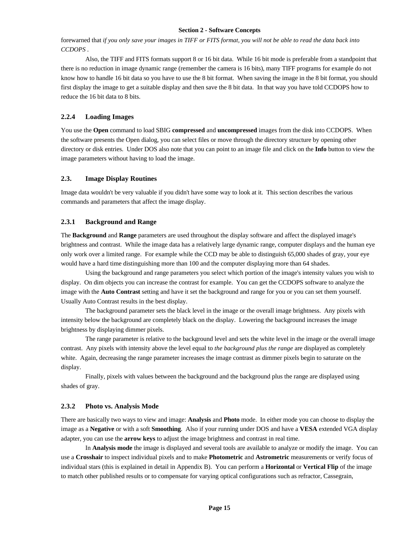forewarned that *if you only save your images in TIFF or FITS format, you will not be able to read the data back into CCDOPS* .

Also, the TIFF and FITS formats support 8 or 16 bit data. While 16 bit mode is preferable from a standpoint that there is no reduction in image dynamic range (remember the camera is 16 bits), many TIFF programs for example do not know how to handle 16 bit data so you have to use the 8 bit format. When saving the image in the 8 bit format, you should first display the image to get a suitable display and then save the 8 bit data. In that way you have told CCDOPS how to reduce the 16 bit data to 8 bits.

# **2.2.4 Loading Images**

You use the **Open** command to load SBIG **compressed** and **uncompressed** images from the disk into CCDOPS. When the software presents the Open dialog, you can select files or move through the directory structure by opening other directory or disk entries. Under DOS also note that you can point to an image file and click on the **Info** button to view the image parameters without having to load the image.

## **2.3. Image Display Routines**

Image data wouldn't be very valuable if you didn't have some way to look at it. This section describes the various commands and parameters that affect the image display.

## **2.3.1 Background and Range**

The **Background** and **Range** parameters are used throughout the display software and affect the displayed image's brightness and contrast. While the image data has a relatively large dynamic range, computer displays and the human eye only work over a limited range. For example while the CCD may be able to distinguish 65,000 shades of gray, your eye would have a hard time distinguishing more than 100 and the computer displaying more than 64 shades.

Using the background and range parameters you select which portion of the image's intensity values you wish to display. On dim objects you can increase the contrast for example. You can get the CCDOPS software to analyze the image with the **Auto Contrast** setting and have it set the background and range for you or you can set them yourself. Usually Auto Contrast results in the best display.

The background parameter sets the black level in the image or the overall image brightness. Any pixels with intensity below the background are completely black on the display. Lowering the background increases the image brightness by displaying dimmer pixels.

The range parameter is relative to the background level and sets the white level in the image or the overall image contrast. Any pixels with intensity above the level equal to *the background plus the range* are displayed as completely white. Again, decreasing the range parameter increases the image contrast as dimmer pixels begin to saturate on the display.

Finally, pixels with values between the background and the background plus the range are displayed using shades of gray.

# **2.3.2 Photo vs. Analysis Mode**

There are basically two ways to view and image: **Analysis** and **Photo** mode. In either mode you can choose to display the image as a **Negative** or with a soft **Smoothing**. Also if your running under DOS and have a **VESA** extended VGA display adapter, you can use the **arrow keys** to adjust the image brightness and contrast in real time.

In **Analysis mode** the image is displayed and several tools are available to analyze or modify the image. You can use a **Crosshair** to inspect individual pixels and to make **Photometric** and **Astrometric** measurements or verify focus of individual stars (this is explained in detail in Appendix B). You can perform a **Horizontal** or **Vertical Flip** of the image to match other published results or to compensate for varying optical configurations such as refractor, Cassegrain,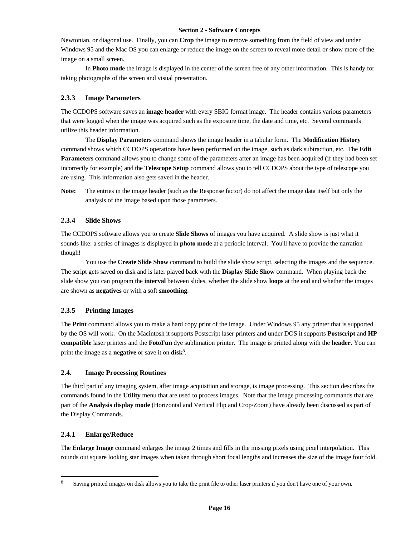Newtonian, or diagonal use. Finally, you can **Crop** the image to remove something from the field of view and under Windows 95 and the Mac OS you can enlarge or reduce the image on the screen to reveal more detail or show more of the image on a small screen.

In **Photo mode** the image is displayed in the center of the screen free of any other information. This is handy for taking photographs of the screen and visual presentation.

# **2.3.3 Image Parameters**

The CCDOPS software saves an **image header** with every SBIG format image. The header contains various parameters that were logged when the image was acquired such as the exposure time, the date and time, etc. Several commands utilize this header information.

The **Display Parameters** command shows the image header in a tabular form. The **Modification History** command shows which CCDOPS operations have been performed on the image, such as dark subtraction, etc. The **Edit Parameters** command allows you to change some of the parameters after an image has been acquired (if they had been set incorrectly for example) and the **Telescope Setup** command allows you to tell CCDOPS about the type of telescope you are using. This information also gets saved in the header.

**Note:** The entries in the image header (such as the Response factor) do not affect the image data itself but only the analysis of the image based upon those parameters.

# **2.3.4 Slide Shows**

The CCDOPS software allows you to create **Slide Shows** of images you have acquired. A slide show is just what it sounds like: a series of images is displayed in **photo mode** at a periodic interval. You'll have to provide the narration though!

You use the **Create Slide Show** command to build the slide show script, selecting the images and the sequence. The script gets saved on disk and is later played back with the **Display Slide Show** command. When playing back the slide show you can program the **interval** between slides, whether the slide show **loops** at the end and whether the images are shown as **negatives** or with a soft **smoothing**.

# **2.3.5 Printing Images**

The **Print** command allows you to make a hard copy print of the image. Under Windows 95 any printer that is supported by the OS will work. On the Macintosh it supports Postscript laser printers and under DOS it supports **Postscript** and **HP compatible** laser printers and the **FotoFun** dye sublimation printer. The image is printed along with the **header**. You can print the image as a **negative** or save it on **disk**<sup>8</sup> .

# **2.4. Image Processing Routines**

The third part of any imaging system, after image acquisition and storage, is image processing. This section describes the commands found in the **Utility** menu that are used to process images. Note that the image processing commands that are part of the **Analysis display mode** (Horizontal and Vertical Flip and Crop/Zoom) have already been discussed as part of the Display Commands.

# **2.4.1 Enlarge/Reduce**

1

The **Enlarge Image** command enlarges the image 2 times and fills in the missing pixels using pixel interpolation. This rounds out square looking star images when taken through short focal lengths and increases the size of the image four fold.

<sup>8</sup> Saving printed images on disk allows you to take the print file to other laser printers if you don't have one of your own.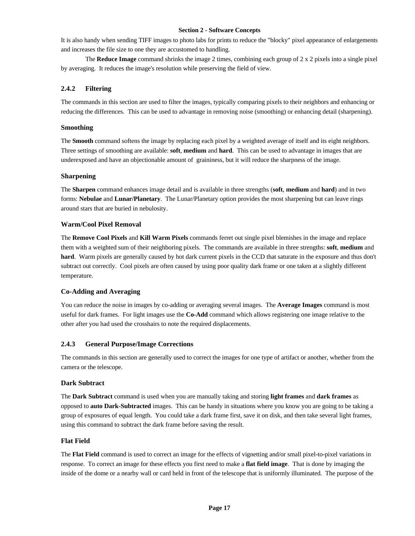It is also handy when sending TIFF images to photo labs for prints to reduce the "blocky" pixel appearance of enlargements and increases the file size to one they are accustomed to handling.

The **Reduce Image** command shrinks the image 2 times, combining each group of 2 x 2 pixels into a single pixel by averaging. It reduces the image's resolution while preserving the field of view.

# **2.4.2 Filtering**

The commands in this section are used to filter the images, typically comparing pixels to their neighbors and enhancing or reducing the differences. This can be used to advantage in removing noise (smoothing) or enhancing detail (sharpening).

# **Smoothing**

The **Smooth** command softens the image by replacing each pixel by a weighted average of itself and its eight neighbors. Three settings of smoothing are available: **soft**, **medium** and **hard**. This can be used to advantage in images that are underexposed and have an objectionable amount of graininess, but it will reduce the sharpness of the image.

# **Sharpening**

The **Sharpen** command enhances image detail and is available in three strengths (**soft**, **medium** and **hard**) and in two forms: **Nebulae** and **Lunar/Planetary**. The Lunar/Planetary option provides the most sharpening but can leave rings around stars that are buried in nebulosity.

# **Warm/Cool Pixel Removal**

The **Remove Cool Pixels** and **Kill Warm Pixels** commands ferret out single pixel blemishes in the image and replace them with a weighted sum of their neighboring pixels. The commands are available in three strengths: **soft**, **medium** and **hard**. Warm pixels are generally caused by hot dark current pixels in the CCD that saturate in the exposure and thus don't subtract out correctly. Cool pixels are often caused by using poor quality dark frame or one taken at a slightly different temperature.

# **Co-Adding and Averaging**

You can reduce the noise in images by co-adding or averaging several images. The **Average Images** command is most useful for dark frames. For light images use the **Co-Add** command which allows registering one image relative to the other after you had used the crosshairs to note the required displacements.

# **2.4.3 General Purpose/Image Corrections**

The commands in this section are generally used to correct the images for one type of artifact or another, whether from the camera or the telescope.

## **Dark Subtract**

The **Dark Subtract** command is used when you are manually taking and storing **light frames** and **dark frames** as opposed to **auto Dark-Subtracted** images. This can be handy in situations where you know you are going to be taking a group of exposures of equal length. You could take a dark frame first, save it on disk, and then take several light frames, using this command to subtract the dark frame before saving the result.

# **Flat Field**

The **Flat Field** command is used to correct an image for the effects of vignetting and/or small pixel-to-pixel variations in response. To correct an image for these effects you first need to make a **flat field image**. That is done by imaging the inside of the dome or a nearby wall or card held in front of the telescope that is uniformly illuminated. The purpose of the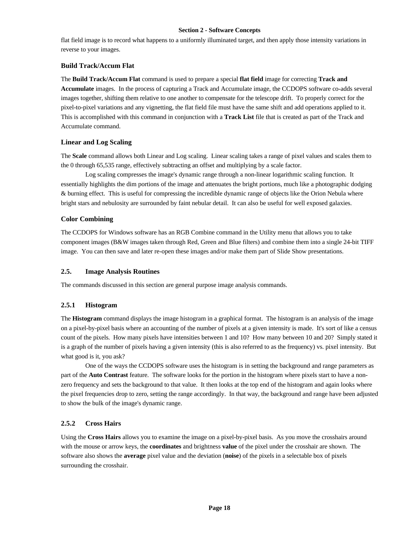flat field image is to record what happens to a uniformly illuminated target, and then apply those intensity variations in reverse to your images.

# **Build Track/Accum Flat**

The **Build Track/Accum Flat** command is used to prepare a special **flat field** image for correcting **Track and Accumulate** images. In the process of capturing a Track and Accumulate image, the CCDOPS software co-adds several images together, shifting them relative to one another to compensate for the telescope drift. To properly correct for the pixel-to-pixel variations and any vignetting, the flat field file must have the same shift and add operations applied to it. This is accomplished with this command in conjunction with a **Track List** file that is created as part of the Track and Accumulate command.

# **Linear and Log Scaling**

The **Scale** command allows both Linear and Log scaling. Linear scaling takes a range of pixel values and scales them to the 0 through 65,535 range, effectively subtracting an offset and multiplying by a scale factor.

Log scaling compresses the image's dynamic range through a non-linear logarithmic scaling function. It essentially highlights the dim portions of the image and attenuates the bright portions, much like a photographic dodging & burning effect. This is useful for compressing the incredible dynamic range of objects like the Orion Nebula where bright stars and nebulosity are surrounded by faint nebular detail. It can also be useful for well exposed galaxies.

# **Color Combining**

The CCDOPS for Windows software has an RGB Combine command in the Utility menu that allows you to take component images (B&W images taken through Red, Green and Blue filters) and combine them into a single 24-bit TIFF image. You can then save and later re-open these images and/or make them part of Slide Show presentations.

# **2.5. Image Analysis Routines**

The commands discussed in this section are general purpose image analysis commands.

# **2.5.1 Histogram**

The **Histogram** command displays the image histogram in a graphical format. The histogram is an analysis of the image on a pixel-by-pixel basis where an accounting of the number of pixels at a given intensity is made. It's sort of like a census count of the pixels. How many pixels have intensities between 1 and 10? How many between 10 and 20? Simply stated it is a graph of the number of pixels having a given intensity (this is also referred to as the frequency) vs. pixel intensity. But what good is it, you ask?

One of the ways the CCDOPS software uses the histogram is in setting the background and range parameters as part of the **Auto Contrast** feature. The software looks for the portion in the histogram where pixels start to have a nonzero frequency and sets the background to that value. It then looks at the top end of the histogram and again looks where the pixel frequencies drop to zero, setting the range accordingly. In that way, the background and range have been adjusted to show the bulk of the image's dynamic range.

# **2.5.2 Cross Hairs**

Using the **Cross Hairs** allows you to examine the image on a pixel-by-pixel basis. As you move the crosshairs around with the mouse or arrow keys, the **coordinates** and brightness **value** of the pixel under the crosshair are shown. The software also shows the **average** pixel value and the deviation (**noise**) of the pixels in a selectable box of pixels surrounding the crosshair.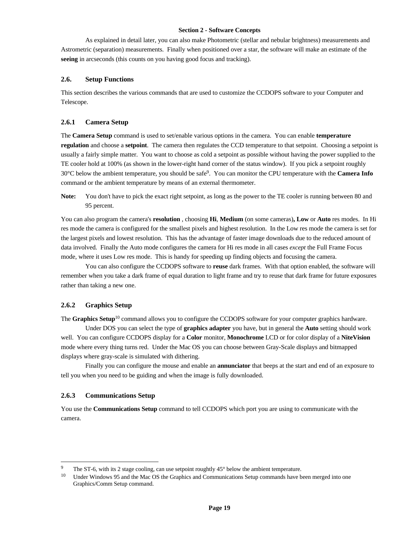As explained in detail later, you can also make Photometric (stellar and nebular brightness) measurements and Astrometric (separation) measurements. Finally when positioned over a star, the software will make an estimate of the **seeing** in arcseconds (this counts on you having good focus and tracking).

## **2.6. Setup Functions**

This section describes the various commands that are used to customize the CCDOPS software to your Computer and Telescope.

# **2.6.1 Camera Setup**

The **Camera Setup** command is used to set/enable various options in the camera. You can enable **temperature regulation** and choose a **setpoint**. The camera then regulates the CCD temperature to that setpoint. Choosing a setpoint is usually a fairly simple matter. You want to choose as cold a setpoint as possible without having the power supplied to the TE cooler hold at 100% (as shown in the lower-right hand corner of the status window). If you pick a setpoint roughly 30°C below the ambient temperature, you should be safe<sup>9</sup> . You can monitor the CPU temperature with the **Camera Info** command or the ambient temperature by means of an external thermometer.

**Note:** You don't have to pick the exact right setpoint, as long as the power to the TE cooler is running between 80 and 95 percent.

You can also program the camera's **resolution** , choosing **Hi**, **Medium** (on some cameras)**, Low** or **Auto** res modes. In Hi res mode the camera is configured for the smallest pixels and highest resolution. In the Low res mode the camera is set for the largest pixels and lowest resolution. This has the advantage of faster image downloads due to the reduced amount of data involved. Finally the Auto mode configures the camera for Hi res mode in all cases *except* the Full Frame Focus mode, where it uses Low res mode. This is handy for speeding up finding objects and focusing the camera.

You can also configure the CCDOPS software to **reuse** dark frames. With that option enabled, the software will remember when you take a dark frame of equal duration to light frame and try to reuse that dark frame for future exposures rather than taking a new one.

# **2.6.2 Graphics Setup**

The **Graphics Setup**<sup>10</sup> command allows you to configure the CCDOPS software for your computer graphics hardware.

Under DOS you can select the type of **graphics adapter** you have, but in general the **Auto** setting should work well. You can configure CCDOPS display for a **Color** monitor, **Monochrome** LCD or for color display of a **NiteVision** mode where every thing turns red. Under the Mac OS you can choose between Gray-Scale displays and bitmapped displays where gray-scale is simulated with dithering.

Finally you can configure the mouse and enable an **annunciator** that beeps at the start and end of an exposure to tell you when you need to be guiding and when the image is fully downloaded.

#### **2.6.3 Communications Setup**

l

You use the **Communications Setup** command to tell CCDOPS which port you are using to communicate with the camera.

The ST-6, with its 2 stage cooling, can use setpoint roughtly  $45^{\circ}$  below the ambient temperature.

<sup>&</sup>lt;sup>10</sup> Under Windows 95 and the Mac OS the Graphics and Communications Setup commands have been merged into one Graphics/Comm Setup command.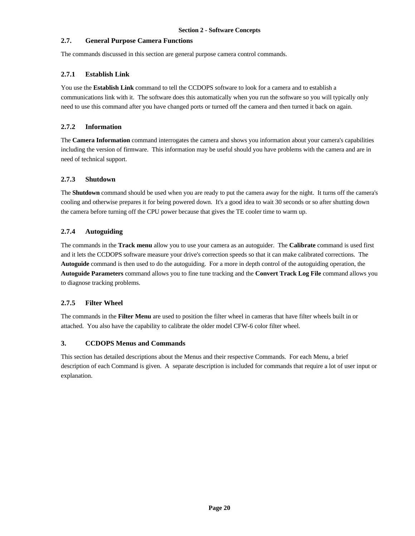# **2.7. General Purpose Camera Functions**

The commands discussed in this section are general purpose camera control commands.

# **2.7.1 Establish Link**

You use the **Establish Link** command to tell the CCDOPS software to look for a camera and to establish a communications link with it. The software does this automatically when you run the software so you will typically only need to use this command after you have changed ports or turned off the camera and then turned it back on again.

# **2.7.2 Information**

The **Camera Information** command interrogates the camera and shows you information about your camera's capabilities including the version of firmware. This information may be useful should you have problems with the camera and are in need of technical support.

# **2.7.3 Shutdown**

The **Shutdown** command should be used when you are ready to put the camera away for the night. It turns off the camera's cooling and otherwise prepares it for being powered down. It's a good idea to wait 30 seconds or so after shutting down the camera before turning off the CPU power because that gives the TE cooler time to warm up.

# **2.7.4 Autoguiding**

The commands in the **Track menu** allow you to use your camera as an autoguider. The **Calibrate** command is used first and it lets the CCDOPS software measure your drive's correction speeds so that it can make calibrated corrections. The **Autoguide** command is then used to do the autoguiding. For a more in depth control of the autoguiding operation, the **Autoguide Parameters** command allows you to fine tune tracking and the **Convert Track Log File** command allows you to diagnose tracking problems.

# **2.7.5 Filter Wheel**

The commands in the **Filter Menu** are used to position the filter wheel in cameras that have filter wheels built in or attached. You also have the capability to calibrate the older model CFW-6 color filter wheel.

# **3. CCDOPS Menus and Commands**

This section has detailed descriptions about the Menus and their respective Commands. For each Menu, a brief description of each Command is given. A separate description is included for commands that require a lot of user input or explanation.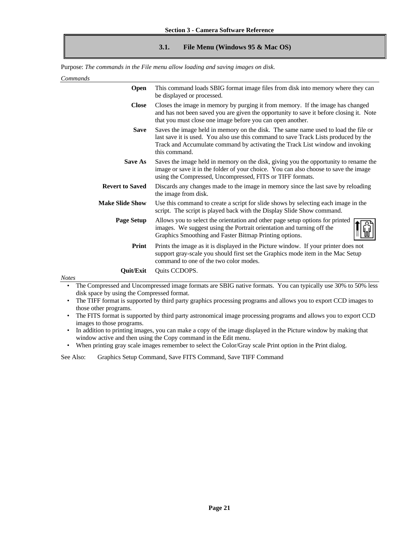# **3.1. File Menu (Windows 95 & Mac OS)**

Purpose: *The commands in the File menu allow loading and saving images on disk.*

| Commands |
|----------|
|----------|

| <b>Open</b>            | This command loads SBIG format image files from disk into memory where they can<br>be displayed or processed.                                                                                                                                                               |
|------------------------|-----------------------------------------------------------------------------------------------------------------------------------------------------------------------------------------------------------------------------------------------------------------------------|
| <b>Close</b>           | Closes the image in memory by purging it from memory. If the image has changed<br>and has not been saved you are given the opportunity to save it before closing it. Note<br>that you must close one image before you can open another.                                     |
| <b>Save</b>            | Saves the image held in memory on the disk. The same name used to load the file or<br>last save it is used. You also use this command to save Track Lists produced by the<br>Track and Accumulate command by activating the Track List window and invoking<br>this command. |
| <b>Save As</b>         | Saves the image held in memory on the disk, giving you the opportunity to rename the<br>image or save it in the folder of your choice. You can also choose to save the image<br>using the Compressed, Uncompressed, FITS or TIFF formats.                                   |
| <b>Revert to Saved</b> | Discards any changes made to the image in memory since the last save by reloading<br>the image from disk.                                                                                                                                                                   |
| <b>Make Slide Show</b> | Use this command to create a script for slide shows by selecting each image in the<br>script. The script is played back with the Display Slide Show command.                                                                                                                |
| <b>Page Setup</b>      | Allows you to select the orientation and other page setup options for printed<br>images. We suggest using the Portrait orientation and turning off the<br>Graphics Smoothing and Faster Bitmap Printing options.                                                            |
| Print                  | Prints the image as it is displayed in the Picture window. If your printer does not<br>support gray-scale you should first set the Graphics mode item in the Mac Setup<br>command to one of the two color modes.                                                            |
| Quit/Exit              | Quits CCDOPS.                                                                                                                                                                                                                                                               |

*Notes*

• The Compressed and Uncompressed image formats are SBIG native formats. You can typically use 30% to 50% less disk space by using the Compressed format.

- The TIFF format is supported by third party graphics processing programs and allows you to export CCD images to those other programs.
- The FITS format is supported by third party astronomical image processing programs and allows you to export CCD images to those programs.
- In addition to printing images, you can make a copy of the image displayed in the Picture window by making that window active and then using the Copy command in the Edit menu.

• When printing gray scale images remember to select the Color/Gray scale Print option in the Print dialog.

See Also: Graphics Setup Command, Save FITS Command, Save TIFF Command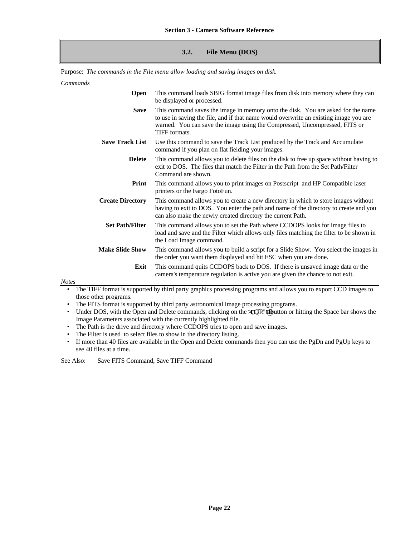# **3.2. File Menu (DOS)**

Purpose: *The commands in the File menu allow loading and saving images on disk.*

#### *Commands*

| Open                    | This command loads SBIG format image files from disk into memory where they can<br>be displayed or processed.                                                                                                                                                            |
|-------------------------|--------------------------------------------------------------------------------------------------------------------------------------------------------------------------------------------------------------------------------------------------------------------------|
| <b>Save</b>             | This command saves the image in memory onto the disk. You are asked for the name<br>to use in saving the file, and if that name would overwrite an existing image you are<br>warned. You can save the image using the Compressed, Uncompressed, FITS or<br>TIFF formats. |
| <b>Save Track List</b>  | Use this command to save the Track List produced by the Track and Accumulate<br>command if you plan on flat fielding your images.                                                                                                                                        |
| <b>Delete</b>           | This command allows you to delete files on the disk to free up space without having to<br>exit to DOS. The files that match the Filter in the Path from the Set Path/Filter<br>Command are shown.                                                                        |
| Print                   | This command allows you to print images on Postscript and HP Compatible laser<br>printers or the Fargo FotoFun.                                                                                                                                                          |
| <b>Create Directory</b> | This command allows you to create a new directory in which to store images without<br>having to exit to DOS. You enter the path and name of the directory to create and you<br>can also make the newly created directory the current Path.                               |
| <b>Set Path/Filter</b>  | This command allows you to set the Path where CCDOPS looks for image files to<br>load and save and the Filter which allows only files matching the filter to be shown in<br>the Load Image command.                                                                      |
| <b>Make Slide Show</b>  | This command allows you to build a script for a Slide Show. You select the images in<br>the order you want them displayed and hit ESC when you are done.                                                                                                                 |
| Exit<br><b>Notes</b>    | This command quits CCDOPS back to DOS. If there is unsaved image data or the<br>camera's temperature regulation is active you are given the chance to not exit.                                                                                                          |
|                         | The TIFF format is supported by third party graphics processing programs and allows you to export CCD images to                                                                                                                                                          |
|                         |                                                                                                                                                                                                                                                                          |

those other programs. • The FITS format is supported by third party astronomical image processing programs.

• Under DOS, with the Open and Delete commands, clicking on the  $\exists \mathbb{Q} \mathbb{R}^n \mathbb{Q}$ utton or hitting the Space bar shows the Image Parameters associated with the currently highlighted file.

- The Path is the drive and directory where CCDOPS tries to open and save images.
- The Filter is used to select files to show in the directory listing.
- If more than 40 files are available in the Open and Delete commands then you can use the PgDn and PgUp keys to see 40 files at a time.

See Also: Save FITS Command, Save TIFF Command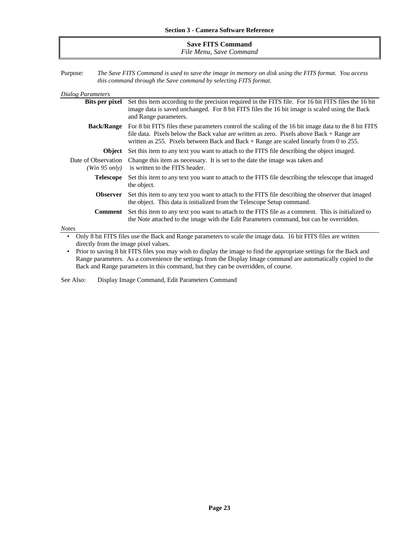## **Save FITS Command** *File Menu, Save Command*

Purpose: *The Save FITS Command is used to save the image in memory on disk using the FITS format. You access this command through the Save command by selecting FITS format.*

| <b>Dialog Parameters</b>              |                                                                                                                                                                                                                                                                                                  |  |
|---------------------------------------|--------------------------------------------------------------------------------------------------------------------------------------------------------------------------------------------------------------------------------------------------------------------------------------------------|--|
| <b>Bits per pixel</b>                 | Set this item according to the precision required in the FITS file. For 16 bit FITS files the 16 bit<br>image data is saved unchanged. For 8 bit FITS files the 16 bit image is scaled using the Back<br>and Range parameters.                                                                   |  |
| <b>Back/Range</b>                     | For 8 bit FITS files these parameters control the scaling of the 16 bit image data to the 8 bit FITS<br>file data. Pixels below the Back value are written as zero. Pixels above $Back + Range$ are<br>written as 255. Pixels between Back and Back $+$ Range are scaled linearly from 0 to 255. |  |
| <b>Object</b>                         | Set this item to any text you want to attach to the FITS file describing the object imaged.                                                                                                                                                                                                      |  |
| Date of Observation<br>(Win 95 only)  | Change this item as necessary. It is set to the date the image was taken and<br>is written to the FITS header.                                                                                                                                                                                   |  |
| <b>Telescope</b>                      | Set this item to any text you want to attach to the FITS file describing the telescope that imaged<br>the object.                                                                                                                                                                                |  |
| <b>Observer</b>                       | Set this item to any text you want to attach to the FITS file describing the observer that imaged<br>the object. This data is initialized from the Telescope Setup command.                                                                                                                      |  |
| Comment                               | Set this item to any text you want to attach to the FITS file as a comment. This is initialized to<br>the Note attached to the image with the Edit Parameters command, but can be overridden.                                                                                                    |  |
| <b>Notes</b>                          |                                                                                                                                                                                                                                                                                                  |  |
|                                       | Only 8 bit FITS files use the Back and Range parameters to scale the image data. 16 bit FITS files are written                                                                                                                                                                                   |  |
| directly from the image pixel values. |                                                                                                                                                                                                                                                                                                  |  |

• Prior to saving 8 bit FITS files you may wish to display the image to find the appropriate settings for the Back and Range parameters. As a convenience the settings from the Display Image command are automatically copied to the Back and Range parameters in this command, but they can be overridden, of course.

See Also: Display Image Command, Edit Parameters Command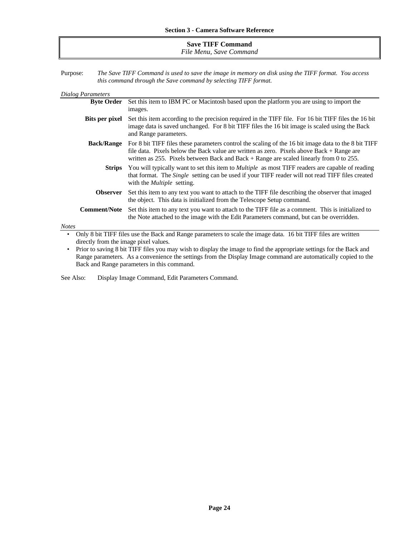# **Save TIFF Command** *File Menu, Save Command*

| Purpose: | The Save TIFF Command is used to save the image in memory on disk using the TIFF format. You access |  |
|----------|-----------------------------------------------------------------------------------------------------|--|
|          | this command through the Save command by selecting TIFF format.                                     |  |

| <b>Dialog Parameters</b>                                                                                                                                             |                                                                                                                                                                                                                                                                                                                  |  |
|----------------------------------------------------------------------------------------------------------------------------------------------------------------------|------------------------------------------------------------------------------------------------------------------------------------------------------------------------------------------------------------------------------------------------------------------------------------------------------------------|--|
| <b>Byte Order</b>                                                                                                                                                    | Set this item to IBM PC or Macintosh based upon the platform you are using to import the                                                                                                                                                                                                                         |  |
|                                                                                                                                                                      | images.                                                                                                                                                                                                                                                                                                          |  |
| <b>Bits per pixel</b>                                                                                                                                                | Set this item according to the precision required in the TIFF file. For 16 bit TIFF files the 16 bit<br>image data is saved unchanged. For 8 bit TIFF files the 16 bit image is scaled using the Back<br>and Range parameters.                                                                                   |  |
|                                                                                                                                                                      | <b>Back/Range</b> For 8 bit TIFF files these parameters control the scaling of the 16 bit image data to the 8 bit TIFF<br>file data. Pixels below the Back value are written as zero. Pixels above Back + Range are<br>written as 255. Pixels between Back and Back $+$ Range are scaled linearly from 0 to 255. |  |
|                                                                                                                                                                      | <b>Strips</b> You will typically want to set this item to <i>Multiple</i> as most TIFF readers are capable of reading<br>that format. The <i>Single</i> setting can be used if your TIFF reader will not read TIFF files created<br>with the <i>Multiple</i> setting.                                            |  |
| <b>Observer</b>                                                                                                                                                      | Set this item to any text you want to attach to the TIFF file describing the observer that imaged<br>the object. This data is initialized from the Telescope Setup command.                                                                                                                                      |  |
| <b>Comment/Note</b>                                                                                                                                                  | Set this item to any text you want to attach to the TIFF file as a comment. This is initialized to<br>the Note attached to the image with the Edit Parameters command, but can be overridden.                                                                                                                    |  |
| <b>Notes</b>                                                                                                                                                         |                                                                                                                                                                                                                                                                                                                  |  |
| Only 8 bit TIFF files use the Back and Range parameters to scale the image data. 16 bit TIFF files are written<br>$\bullet$<br>directly from the image pixel values. |                                                                                                                                                                                                                                                                                                                  |  |

• Prior to saving 8 bit TIFF files you may wish to display the image to find the appropriate settings for the Back and Range parameters. As a convenience the settings from the Display Image command are automatically copied to the Back and Range parameters in this command.

See Also: Display Image Command, Edit Parameters Command.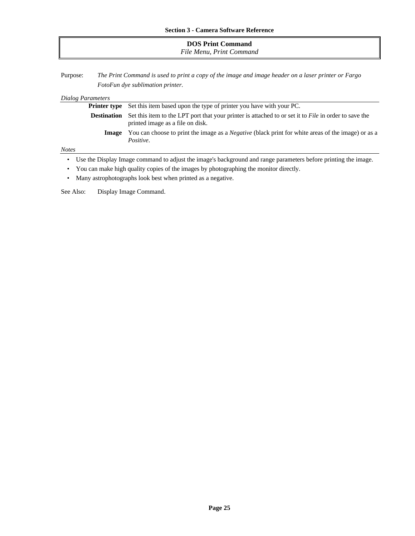| <b>DOS Print Command</b><br>File Menu, Print Command |  |
|------------------------------------------------------|--|
|                                                      |  |

Purpose: *The Print Command is used to print a copy of the image and image header on a laser printer or Fargo FotoFun dye sublimation printer.*

| Dialog Parameters                                                                     |                                                                                                                                           |  |
|---------------------------------------------------------------------------------------|-------------------------------------------------------------------------------------------------------------------------------------------|--|
| <b>Printer type</b>                                                                   | Set this item based upon the type of printer you have with your PC.                                                                       |  |
| <b>Destination</b>                                                                    | Set this item to the LPT port that your printer is attached to or set it to File in order to save the<br>printed image as a file on disk. |  |
| Image                                                                                 | You can choose to print the image as a <i>Negative</i> (black print for white areas of the image) or as a<br>Positive.                    |  |
| <b>Notes</b>                                                                          |                                                                                                                                           |  |
| $\bullet$                                                                             | Use the Display Image command to adjust the image's background and range parameters before printing the image.                            |  |
| You can make high quality copies of the images by photographing the monitor directly. |                                                                                                                                           |  |

• Many astrophotographs look best when printed as a negative.

See Also: Display Image Command.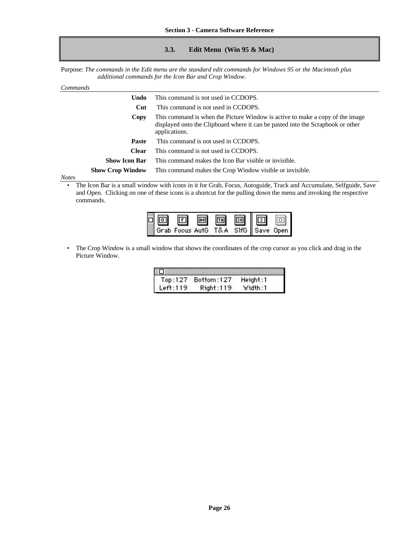# **3.3. Edit Menu (Win 95 & Mac)**

Purpose: *The commands in the Edit menu are the standard edit commands for Windows 95 or the Macintosh plus additional commands for the Icon Bar and Crop Window.*

| Commands      |                         |                                                                                                                                                                                   |
|---------------|-------------------------|-----------------------------------------------------------------------------------------------------------------------------------------------------------------------------------|
|               | Undo                    | This command is not used in CCDOPS.                                                                                                                                               |
|               | Cut                     | This command is not used in CCDOPS.                                                                                                                                               |
|               | Copy                    | This command is when the Picture Window is active to make a copy of the image<br>displayed onto the Clipboard where it can be pasted into the Scrapbook or other<br>applications. |
|               | <b>Paste</b>            | This command is not used in CCDOPS.                                                                                                                                               |
|               | <b>Clear</b>            | This command is not used in CCDOPS.                                                                                                                                               |
|               | <b>Show Icon Bar</b>    | This command makes the Icon Bar visible or invisible.                                                                                                                             |
|               | <b>Show Crop Window</b> | This command makes the Crop Window visible or invisible.                                                                                                                          |
| $\sim$ $\sim$ |                         |                                                                                                                                                                                   |

*Notes*

• The Icon Bar is a small window with icons in it for Grab, Focus, Autoguide, Track and Accumulate, Selfguide, Save and Open. Clicking on one of these icons is a shortcut for the pulling down the menu and invoking the respective commands.



• The Crop Window is a small window that shows the coordinates of the crop cursor as you click and drag in the Picture Window.

| Top:127  | Bottom:127 | Height:1 |
|----------|------------|----------|
| Left:119 | Right:119  | Width:1  |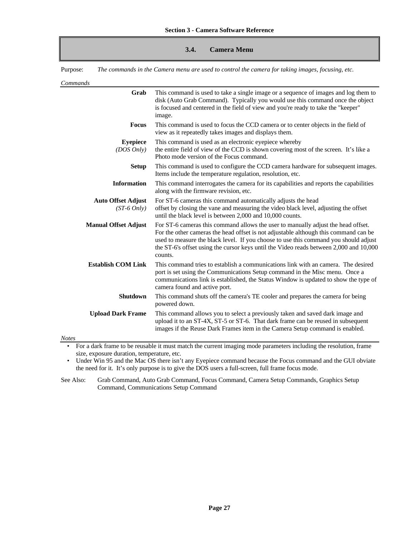#### **3.4. Camera Menu**

Purpose: *The commands in the Camera menu are used to control the camera for taking images, focusing, etc.*

*Commands*

| communus                                   |                                                                                                                                                                                                                                                                                                                                                                        |
|--------------------------------------------|------------------------------------------------------------------------------------------------------------------------------------------------------------------------------------------------------------------------------------------------------------------------------------------------------------------------------------------------------------------------|
| Grab                                       | This command is used to take a single image or a sequence of images and log them to<br>disk (Auto Grab Command). Typically you would use this command once the object<br>is focused and centered in the field of view and you're ready to take the "keeper"<br>image.                                                                                                  |
| <b>Focus</b>                               | This command is used to focus the CCD camera or to center objects in the field of<br>view as it repeatedly takes images and displays them.                                                                                                                                                                                                                             |
| <b>Eyepiece</b><br>(DOS Only)              | This command is used as an electronic eyepiece whereby<br>the entire field of view of the CCD is shown covering most of the screen. It's like a<br>Photo mode version of the Focus command.                                                                                                                                                                            |
| <b>Setup</b>                               | This command is used to configure the CCD camera hardware for subsequent images.<br>Items include the temperature regulation, resolution, etc.                                                                                                                                                                                                                         |
| <b>Information</b>                         | This command interrogates the camera for its capabilities and reports the capabilities<br>along with the firmware revision, etc.                                                                                                                                                                                                                                       |
| <b>Auto Offset Adjust</b><br>$(ST-6 Only)$ | For ST-6 cameras this command automatically adjusts the head<br>offset by closing the vane and measuring the video black level, adjusting the offset<br>until the black level is between 2,000 and 10,000 counts.                                                                                                                                                      |
| <b>Manual Offset Adjust</b>                | For ST-6 cameras this command allows the user to manually adjust the head offset.<br>For the other cameras the head offset is not adjustable although this command can be<br>used to measure the black level. If you choose to use this command you should adjust<br>the ST-6's offset using the cursor keys until the Video reads between 2,000 and 10,000<br>counts. |
| <b>Establish COM Link</b>                  | This command tries to establish a communications link with an camera. The desired<br>port is set using the Communications Setup command in the Misc menu. Once a<br>communications link is established, the Status Window is updated to show the type of<br>camera found and active port.                                                                              |
| <b>Shutdown</b>                            | This command shuts off the camera's TE cooler and prepares the camera for being<br>powered down.                                                                                                                                                                                                                                                                       |
| <b>Upload Dark Frame</b>                   | This command allows you to select a previously taken and saved dark image and<br>upload it to an ST-4X, ST-5 or ST-6. That dark frame can be reused in subsequent<br>images if the Reuse Dark Frames item in the Camera Setup command is enabled.                                                                                                                      |
| <b>Notes</b>                               |                                                                                                                                                                                                                                                                                                                                                                        |

• For a dark frame to be reusable it must match the current imaging mode parameters including the resolution, frame size, exposure duration, temperature, etc.

• Under Win 95 and the Mac OS there isn't any Eyepiece command because the Focus command and the GUI obviate the need for it. It's only purpose is to give the DOS users a full-screen, full frame focus mode.

See Also: Grab Command, Auto Grab Command, Focus Command, Camera Setup Commands, Graphics Setup Command, Communications Setup Command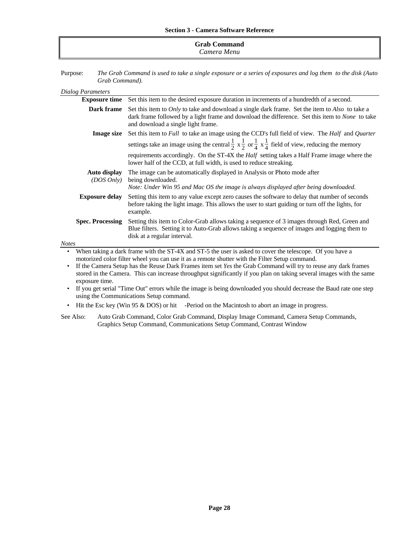# **Grab Command** *Camera Menu*

Purpose: *The Grab Command is used to take a single exposure or a series of exposures and log them to the disk (Auto Grab Command).*

#### *Dialog Parameters*

|                                                                                                                                                                                                            | <b>Exposure time</b> Set this item to the desired exposure duration in increments of a hundredth of a second.                                                                                                                                                            |
|------------------------------------------------------------------------------------------------------------------------------------------------------------------------------------------------------------|--------------------------------------------------------------------------------------------------------------------------------------------------------------------------------------------------------------------------------------------------------------------------|
| Dark frame                                                                                                                                                                                                 | Set this item to <i>Only</i> to take and download a single dark frame. Set the item to <i>Also</i> to take a<br>dark frame followed by a light frame and download the difference. Set this item to <i>None</i> to take<br>and download a single light frame.             |
| <b>Image size</b>                                                                                                                                                                                          | Set this item to <i>Full</i> to take an image using the CCD's full field of view. The <i>Half</i> and <i>Quarter</i><br>settings take an image using the central $\frac{1}{2} \times \frac{1}{2}$ or $\frac{1}{4} \times \frac{1}{4}$ field of view, reducing the memory |
|                                                                                                                                                                                                            | requirements accordingly. On the ST-4X the <i>Half</i> setting takes a Half Frame image where the<br>lower half of the CCD, at full width, is used to reduce streaking.                                                                                                  |
| Auto display<br>$(DOS\text{ Only})$                                                                                                                                                                        | The image can be automatically displayed in Analysis or Photo mode after<br>being downloaded.<br>Note: Under Win 95 and Mac OS the image is always displayed after being downloaded.                                                                                     |
| <b>Exposure delay</b>                                                                                                                                                                                      | Setting this item to any value except zero causes the software to delay that number of seconds<br>before taking the light image. This allows the user to start guiding or turn off the lights, for<br>example.                                                           |
| <b>Spec. Processing</b>                                                                                                                                                                                    | Setting this item to Color-Grab allows taking a sequence of 3 images through Red, Green and<br>Blue filters. Setting it to Auto-Grab allows taking a sequence of images and logging them to<br>disk at a regular interval.                                               |
| <b>Notes</b>                                                                                                                                                                                               |                                                                                                                                                                                                                                                                          |
| When taking a dark frame with the ST-4X and ST-5 the user is asked to cover the telescope. Of you have a<br>motorized color filter wheel you can use it as a remote shutter with the Filter Setup command. |                                                                                                                                                                                                                                                                          |

• If the Camera Setup has the Reuse Dark Frames item set *Yes* the Grab Command will try to reuse any dark frames stored in the Camera. This can increase throughput significantly if you plan on taking several images with the same exposure time.

• If you get serial "Time Out" errors while the image is being downloaded you should decrease the Baud rate one step using the Communications Setup command.

- Hit the Esc key (Win 95 & DOS) or hit -Period on the Macintosh to abort an image in progress.
- See Also: Auto Grab Command, Color Grab Command, Display Image Command, Camera Setup Commands, Graphics Setup Command, Communications Setup Command, Contrast Window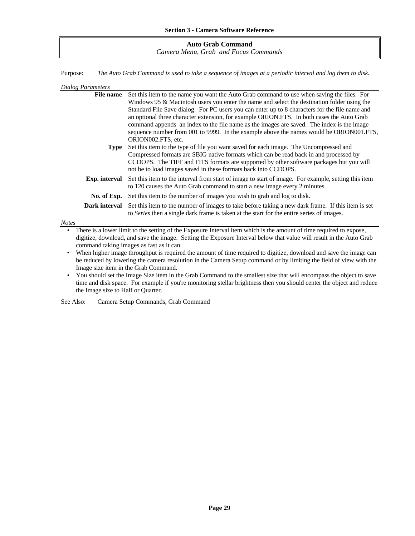| <b>Auto Grab Command</b>             |
|--------------------------------------|
| Camera Menu, Grab and Focus Commands |

Purpose: *The Auto Grab Command is used to take a sequence of images at a periodic interval and log them to disk.*

| Dialog Parameters |                                                                                                                          |
|-------------------|--------------------------------------------------------------------------------------------------------------------------|
| <b>File name</b>  | Set this item to the name you want the Auto Grab command to use when saving the files. For                               |
|                   | Windows 95 & Macintosh users you enter the name and select the destination folder using the                              |
|                   | Standard File Save dialog. For PC users you can enter up to 8 characters for the file name and                           |
|                   | an optional three character extension, for example ORION.FTS. In both cases the Auto Grab                                |
|                   | command appends an index to the file name as the images are saved. The index is the image                                |
|                   | sequence number from 001 to 9999. In the example above the names would be ORION001.FTS,                                  |
|                   | ORION002.FTS, etc.                                                                                                       |
| Type              | Set this item to the type of file you want saved for each image. The Uncompressed and                                    |
|                   | Compressed formats are SBIG native formats which can be read back in and processed by                                    |
|                   | CCDOPS. The TIFF and FITS formats are supported by other software packages but you will                                  |
|                   | not be to load images saved in these formats back into CCDOPS.                                                           |
|                   | <b>Exp. interval</b> Set this item to the interval from start of image to start of image. For example, setting this item |
|                   | to 120 causes the Auto Grab command to start a new image every 2 minutes.                                                |
| No. of Exp.       | Set this item to the number of images you wish to grab and log to disk.                                                  |
| Dark interval     | Set this item to the number of images to take before taking a new dark frame. If this item is set                        |
|                   | to Series then a single dark frame is taken at the start for the entire series of images.                                |
| <b>Notes</b>      |                                                                                                                          |

• There is a lower limit to the setting of the Exposure Interval item which is the amount of time required to expose, digitize, download, and save the image. Setting the Exposure Interval below that value will result in the Auto Grab command taking images as fast as it can.

• When higher image throughput is required the amount of time required to digitize, download and save the image can be reduced by lowering the camera resolution in the Camera Setup command or by limiting the field of view with the Image size item in the Grab Command.

• You should set the Image Size item in the Grab Command to the smallest size that will encompass the object to save time and disk space. For example if you're monitoring stellar brightness then you should center the object and reduce the Image size to Half or Quarter.

See Also: Camera Setup Commands, Grab Command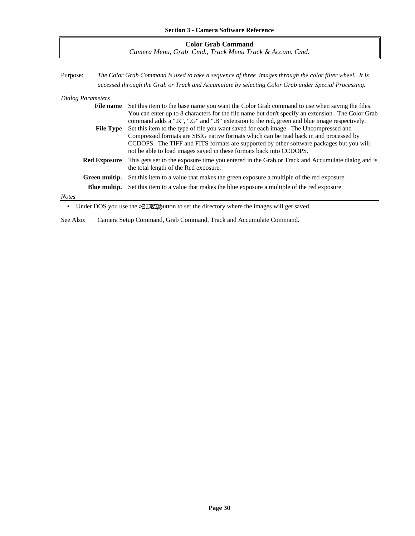| <b>Color Grab Command</b>                              |  |
|--------------------------------------------------------|--|
| Camera Menu, Grab Cmd., Track Menu Track & Accum, Cmd. |  |

Purpose: *The Color Grab Command is used to take a sequence of three images through the color filter wheel. It is accessed through the Grab or Track and Accumulate by selecting Color Grab under Special Processing.*

#### *Dialog Parameters*

|       | <b>File name</b>    | Set this item to the base name you want the Color Grab command to use when saving the files.                                              |
|-------|---------------------|-------------------------------------------------------------------------------------------------------------------------------------------|
|       |                     | You can enter up to 8 characters for the file name but don't specify an extension. The Color Grab                                         |
|       |                     | command adds a ".R", ".G" and ".B" extension to the red, green and blue image respectively.                                               |
|       | <b>File Type</b>    | Set this item to the type of file you want saved for each image. The Uncompressed and                                                     |
|       |                     | Compressed formats are SBIG native formats which can be read back in and processed by                                                     |
|       |                     | CCDOPS. The TIFF and FITS formats are supported by other software packages but you will                                                   |
|       |                     | not be able to load images saved in these formats back into CCDOPS.                                                                       |
|       | <b>Red Exposure</b> | This gets set to the exposure time you entered in the Grab or Track and Accumulate dialog and is<br>the total length of the Red exposure. |
|       |                     | <b>Green multip.</b> Set this item to a value that makes the green exposure a multiple of the red exposure.                               |
|       |                     | <b>Blue multip.</b> Set this item to a value that makes the blue exposure a multiple of the red exposure.                                 |
| Notes |                     |                                                                                                                                           |
|       |                     |                                                                                                                                           |

• Under DOS you use the **>3DM@** utton to set the directory where the images will get saved.

See Also: Camera Setup Command, Grab Command, Track and Accumulate Command.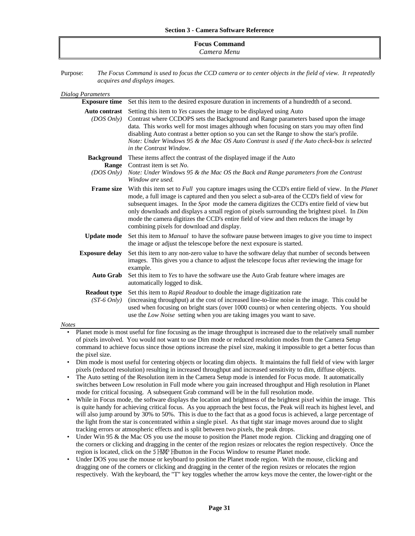| <b>Focus Command</b> |  |
|----------------------|--|
| Camera Menu          |  |

Purpose: *The Focus Command is used to focus the CCD camera or to center objects in the field of view. It repeatedly acquires and displays images.*

| Dialog Parameters                                        |                                                                                                                                                                                                                                                                                                                                                                                                                                                                                                                                                               |
|----------------------------------------------------------|---------------------------------------------------------------------------------------------------------------------------------------------------------------------------------------------------------------------------------------------------------------------------------------------------------------------------------------------------------------------------------------------------------------------------------------------------------------------------------------------------------------------------------------------------------------|
| <b>Exposure time</b>                                     | Set this item to the desired exposure duration in increments of a hundredth of a second.                                                                                                                                                                                                                                                                                                                                                                                                                                                                      |
| <b>Auto contrast</b><br>(DOS Only)                       | Setting this item to Yes causes the image to be displayed using Auto<br>Contrast where CCDOPS sets the Background and Range parameters based upon the image<br>data. This works well for most images although when focusing on stars you may often find<br>disabling Auto contrast a better option so you can set the Range to show the star's profile.<br>Note: Under Windows 95 & the Mac OS Auto Contrast is used if the Auto check-box is selected<br>in the Contrast Window.                                                                             |
| <b>Background</b><br><b>Range</b><br>$(DOS\text{ Only})$ | These items affect the contrast of the displayed image if the Auto<br>Contrast item is set No.<br>Note: Under Windows 95 & the Mac OS the Back and Range parameters from the Contrast<br>Window are used.                                                                                                                                                                                                                                                                                                                                                     |
| <b>Frame size</b>                                        | With this item set to <i>Full</i> you capture images using the CCD's entire field of view. In the <i>Planet</i><br>mode, a full image is captured and then you select a sub-area of the CCD's field of view for<br>subsequent images. In the <i>Spot</i> mode the camera digitizes the CCD's entire field of view but<br>only downloads and displays a small region of pixels surrounding the brightest pixel. In Dim<br>mode the camera digitizes the CCD's entire field of view and then reduces the image by<br>combining pixels for download and display. |
| <b>Update mode</b>                                       | Set this item to <i>Manual</i> to have the software pause between images to give you time to inspect<br>the image or adjust the telescope before the next exposure is started.                                                                                                                                                                                                                                                                                                                                                                                |
| <b>Exposure delay</b>                                    | Set this item to any non-zero value to have the software delay that number of seconds between<br>images. This gives you a chance to adjust the telescope focus after reviewing the image for<br>example.                                                                                                                                                                                                                                                                                                                                                      |
| <b>Auto Grab</b>                                         | Set this item to Yes to have the software use the Auto Grab feature where images are<br>automatically logged to disk.                                                                                                                                                                                                                                                                                                                                                                                                                                         |
| <b>Readout type</b><br>$(ST-6\ Only)$                    | Set this item to Rapid Readout to double the image digitization rate<br>(increasing throughput) at the cost of increased line-to-line noise in the image. This could be<br>used when focusing on bright stars (over 1000 counts) or when centering objects. You should<br>use the Low Noise setting when you are taking images you want to save.                                                                                                                                                                                                              |
| <b>Notes</b>                                             |                                                                                                                                                                                                                                                                                                                                                                                                                                                                                                                                                               |

- Planet mode is most useful for fine focusing as the image throughput is increased due to the relatively small number of pixels involved. You would not want to use Dim mode or reduced resolution modes from the Camera Setup command to achieve focus since those options increase the pixel size, making it impossible to get a better focus than the pixel size.
- Dim mode is most useful for centering objects or locating dim objects. It maintains the full field of view with larger pixels (reduced resolution) resulting in increased throughput and increased sensitivity to dim, diffuse objects.
- The Auto setting of the Resolution item in the Camera Setup mode is intended for Focus mode. It automatically switches between Low resolution in Full mode where you gain increased throughput and High resolution in Planet mode for critical focusing. A subsequent Grab command will be in the full resolution mode.
- While in Focus mode, the software displays the location and brightness of the brightest pixel within the image. This is quite handy for achieving critical focus. As you approach the best focus, the Peak will reach its highest level, and will also jump around by 30% to 50%. This is due to the fact that as a good focus is achieved, a large percentage of the light from the star is concentrated within a single pixel. As that tight star image moves around due to slight tracking errors or atmospheric effects and is split between two pixels, the peak drops.
- Under Win 95 & the Mac OS you use the mouse to position the Planet mode region. Clicking and dragging one of the corners or clicking and dragging in the center of the region resizes or relocates the region respectively. Once the region is located, click on the 5 HMP H button in the Focus Window to resume Planet mode.
- Under DOS you use the mouse or keyboard to position the Planet mode region. With the mouse, clicking and dragging one of the corners or clicking and dragging in the center of the region resizes or relocates the region respectively. With the keyboard, the "T" key toggles whether the arrow keys move the center, the lower-right or the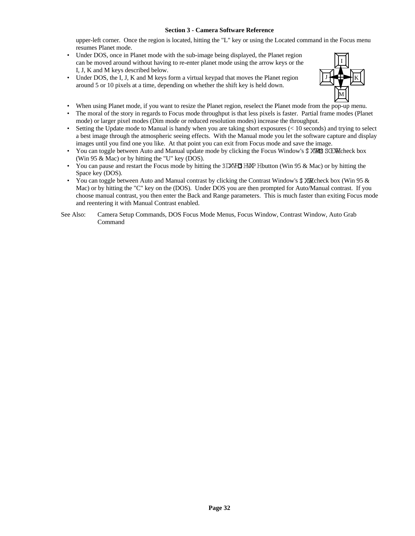upper-left corner. Once the region is located, hitting the "L" key or using the Located command in the Focus menu resumes Planet mode.

- Under DOS, once in Planet mode with the sub-image being displayed, the Planet region can be moved around without having to re-enter planet mode using the arrow keys or the I, J, K and M keys described below.
- Under DOS, the I, J, K and M keys form a virtual keypad that moves the Planet region around 5 or 10 pixels at a time, depending on whether the shift key is held down.



- When using Planet mode, if you want to resize the Planet region, reselect the Planet mode from the pop-up menu.
- The moral of the story in regards to Focus mode throughput is that less pixels is faster. Partial frame modes (Planet mode) or larger pixel modes (Dim mode or reduced resolution modes) increase the throughput.
- Setting the Update mode to Manual is handy when you are taking short exposures (< 10 seconds) and trying to select a best image through the atmospheric seeing effects. With the Manual mode you let the software capture and display images until you find one you like. At that point you can exit from Focus mode and save the image.
- You can toggle between Auto and Manual update mode by clicking the Focus Window's \$XM8 SCDMcheck box (Win 95 & Mac) or by hitting the "U" key (DOS).
- You can pause and restart the Focus mode by hitting the  $3$ LXVH3 HXVP Hibutton (Win 95 & Mac) or by hitting the Space key (DOS).
- You can toggle between Auto and Manual contrast by clicking the Contrast Window's  $\mathcal{K}\mathbb{R}$ check box (Win 95  $\&$ Mac) or by hitting the "C" key on the (DOS). Under DOS you are then prompted for Auto/Manual contrast. If you choose manual contrast, you then enter the Back and Range parameters. This is much faster than exiting Focus mode and reentering it with Manual Contrast enabled.
- See Also: Camera Setup Commands, DOS Focus Mode Menus, Focus Window, Contrast Window, Auto Grab Command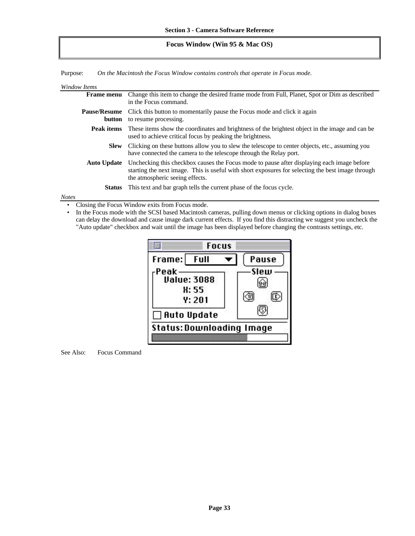## **Focus Window (Win 95 & Mac OS)**

Purpose: *On the Macintosh the Focus Window contains controls that operate in Focus mode.*

| Window Items      |                               |                                                                                                                                                                                                                                    |
|-------------------|-------------------------------|------------------------------------------------------------------------------------------------------------------------------------------------------------------------------------------------------------------------------------|
|                   | <b>Frame menu</b>             | Change this item to change the desired frame mode from Full, Planet, Spot or Dim as described<br>in the Focus command.                                                                                                             |
|                   | <b>Pause/Resume</b><br>button | Click this button to momentarily pause the Focus mode and click it again<br>to resume processing.                                                                                                                                  |
|                   | Peak items                    | These items show the coordinates and brightness of the brightest object in the image and can be<br>used to achieve critical focus by peaking the brightness.                                                                       |
|                   | <b>Slew</b>                   | Clicking on these buttons allow you to slew the telescope to center objects, etc., assuming you<br>have connected the camera to the telescope through the Relay port.                                                              |
|                   | <b>Auto Update</b>            | Unchecking this checkbox causes the Focus mode to pause after displaying each image before<br>starting the next image. This is useful with short exposures for selecting the best image through<br>the atmospheric seeing effects. |
|                   | <b>Status</b>                 | This text and bar graph tells the current phase of the focus cycle.                                                                                                                                                                |
| $\lambda T - 1 -$ |                               |                                                                                                                                                                                                                                    |

*Notes*

• Closing the Focus Window exits from Focus mode.

In the Focus mode with the SCSI based Macintosh cameras, pulling down menus or clicking options in dialog boxes can delay the download and cause image dark current effects. If you find this distracting we suggest you uncheck the "Auto update" checkbox and wait until the image has been displayed before changing the contrasts settings, etc.



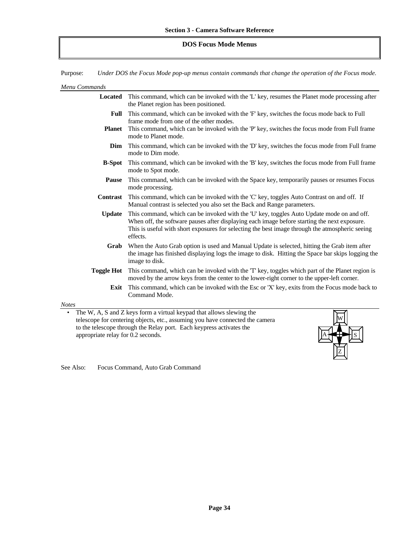# **DOS Focus Mode Menus**

Purpose: *Under DOS the Focus Mode pop-up menus contain commands that change the operation of the Focus mode.*

| Menu Commands                                                                                                                                                                                                                                                            |                                                                                                                                                                                                                                                                                                          |  |
|--------------------------------------------------------------------------------------------------------------------------------------------------------------------------------------------------------------------------------------------------------------------------|----------------------------------------------------------------------------------------------------------------------------------------------------------------------------------------------------------------------------------------------------------------------------------------------------------|--|
| <b>Located</b>                                                                                                                                                                                                                                                           | This command, which can be invoked with the 'L' key, resumes the Planet mode processing after<br>the Planet region has been positioned.                                                                                                                                                                  |  |
| Full                                                                                                                                                                                                                                                                     | This command, which can be invoked with the 'F' key, switches the focus mode back to Full<br>frame mode from one of the other modes.                                                                                                                                                                     |  |
| <b>Planet</b>                                                                                                                                                                                                                                                            | This command, which can be invoked with the 'P' key, switches the focus mode from Full frame<br>mode to Planet mode.                                                                                                                                                                                     |  |
| Dim                                                                                                                                                                                                                                                                      | This command, which can be invoked with the 'D' key, switches the focus mode from Full frame<br>mode to Dim mode.                                                                                                                                                                                        |  |
| <b>B-Spot</b>                                                                                                                                                                                                                                                            | This command, which can be invoked with the 'B' key, switches the focus mode from Full frame<br>mode to Spot mode.                                                                                                                                                                                       |  |
| <b>Pause</b>                                                                                                                                                                                                                                                             | This command, which can be invoked with the Space key, temporarily pauses or resumes Focus<br>mode processing.                                                                                                                                                                                           |  |
| Contrast                                                                                                                                                                                                                                                                 | This command, which can be invoked with the 'C' key, toggles Auto Contrast on and off. If<br>Manual contrast is selected you also set the Back and Range parameters.                                                                                                                                     |  |
| <b>Update</b>                                                                                                                                                                                                                                                            | This command, which can be invoked with the 'U' key, toggles Auto Update mode on and off.<br>When off, the software pauses after displaying each image before starting the next exposure.<br>This is useful with short exposures for selecting the best image through the atmospheric seeing<br>effects. |  |
| Grab                                                                                                                                                                                                                                                                     | When the Auto Grab option is used and Manual Update is selected, hitting the Grab item after<br>the image has finished displaying logs the image to disk. Hitting the Space bar skips logging the<br>image to disk.                                                                                      |  |
| <b>Toggle Hot</b>                                                                                                                                                                                                                                                        | This command, which can be invoked with the 'T' key, toggles which part of the Planet region is<br>moved by the arrow keys from the center to the lower-right corner to the upper-left corner.                                                                                                           |  |
| Exit                                                                                                                                                                                                                                                                     | This command, which can be invoked with the Esc or 'X' key, exits from the Focus mode back to<br>Command Mode.                                                                                                                                                                                           |  |
| <b>Notes</b>                                                                                                                                                                                                                                                             |                                                                                                                                                                                                                                                                                                          |  |
| The W, A, S and Z keys form a virtual keypad that allows slewing the<br>٠<br>telescope for centering objects, etc., assuming you have connected the camera<br>to the telescope through the Relay port. Each keypress activates the<br>appropriate relay for 0.2 seconds. |                                                                                                                                                                                                                                                                                                          |  |

Z

See Also: Focus Command, Auto Grab Command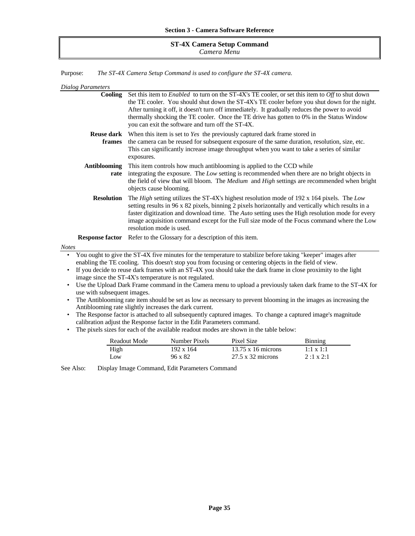### **ST-4X Camera Setup Command** *Camera Menu*

Purpose: *The ST-4X Camera Setup Command is used to configure the ST-4X camera.*

| Dialog Parameters                                     |                                                                                                             |                                                                              |                                                                                                                                                                                                                                                                                                              |                                                                                                               |  |
|-------------------------------------------------------|-------------------------------------------------------------------------------------------------------------|------------------------------------------------------------------------------|--------------------------------------------------------------------------------------------------------------------------------------------------------------------------------------------------------------------------------------------------------------------------------------------------------------|---------------------------------------------------------------------------------------------------------------|--|
| Cooling                                               |                                                                                                             | you can exit the software and turn off the ST-4X.                            | Set this item to <i>Enabled</i> to turn on the ST-4X's TE cooler, or set this item to <i>Off</i> to shut down<br>After turning it off, it doesn't turn off immediately. It gradually reduces the power to avoid<br>thermally shocking the TE cooler. Once the TE drive has gotten to 0% in the Status Window | the TE cooler. You should shut down the ST-4X's TE cooler before you shut down for the night.                 |  |
| frames                                                | exposures.                                                                                                  |                                                                              | <b>Reuse dark</b> When this item is set to Yes the previously captured dark frame stored in<br>the camera can be reused for subsequent exposure of the same duration, resolution, size, etc.<br>This can significantly increase image throughput when you want to take a series of similar                   |                                                                                                               |  |
| <b>Antiblooming</b><br>rate                           | objects cause blooming.                                                                                     |                                                                              | This item controls how much antiblooming is applied to the CCD while<br>integrating the exposure. The Low setting is recommended when there are no bright objects in                                                                                                                                         | the field of view that will bloom. The Medium and High settings are recommended when bright                   |  |
| <b>Resolution</b>                                     | resolution mode is used.                                                                                    |                                                                              | The High setting utilizes the ST-4X's highest resolution mode of 192 x 164 pixels. The Low<br>setting results in 96 x 82 pixels, binning 2 pixels horizontally and vertically which results in a<br>faster digitization and download time. The Auto setting uses the High resolution mode for every          | image acquisition command except for the Full size mode of the Focus command where the Low                    |  |
| Notes                                                 |                                                                                                             | <b>Response factor</b> Refer to the Glossary for a description of this item. |                                                                                                                                                                                                                                                                                                              |                                                                                                               |  |
|                                                       |                                                                                                             |                                                                              | You ought to give the ST-4X five minutes for the temperature to stabilize before taking "keeper" images after                                                                                                                                                                                                |                                                                                                               |  |
|                                                       |                                                                                                             |                                                                              | enabling the TE cooling. This doesn't stop you from focusing or centering objects in the field of view.                                                                                                                                                                                                      |                                                                                                               |  |
| $\bullet$                                             |                                                                                                             |                                                                              | If you decide to reuse dark frames with an ST-4X you should take the dark frame in close proximity to the light                                                                                                                                                                                              |                                                                                                               |  |
| image since the ST-4X's temperature is not regulated. |                                                                                                             |                                                                              |                                                                                                                                                                                                                                                                                                              |                                                                                                               |  |
| $\bullet$<br>use with subsequent images.              |                                                                                                             |                                                                              |                                                                                                                                                                                                                                                                                                              | Use the Upload Dark Frame command in the Camera menu to upload a previously taken dark frame to the ST-4X for |  |
| $\bullet$                                             |                                                                                                             |                                                                              | The Antiblooming rate item should be set as low as necessary to prevent blooming in the images as increasing the                                                                                                                                                                                             |                                                                                                               |  |
|                                                       | Antiblooming rate slightly increases the dark current.                                                      |                                                                              |                                                                                                                                                                                                                                                                                                              |                                                                                                               |  |
| $\bullet$                                             | The Response factor is attached to all subsequently captured images. To change a captured image's magnitude |                                                                              |                                                                                                                                                                                                                                                                                                              |                                                                                                               |  |
|                                                       |                                                                                                             | calibration adjust the Response factor in the Edit Parameters command.       |                                                                                                                                                                                                                                                                                                              |                                                                                                               |  |
| $\bullet$                                             |                                                                                                             |                                                                              | The pixels sizes for each of the available readout modes are shown in the table below:                                                                                                                                                                                                                       |                                                                                                               |  |
|                                                       | Readout Mode                                                                                                | Number Pixels                                                                | Pixel Size                                                                                                                                                                                                                                                                                                   | Binning                                                                                                       |  |
| High                                                  |                                                                                                             | 192 x 164                                                                    | $13.75 \times 16$ microns                                                                                                                                                                                                                                                                                    | $1:1 \times 1:1$                                                                                              |  |
| Low                                                   |                                                                                                             | 96 x 82                                                                      | $27.5 \times 32$ microns                                                                                                                                                                                                                                                                                     | $2:1 \times 2:1$                                                                                              |  |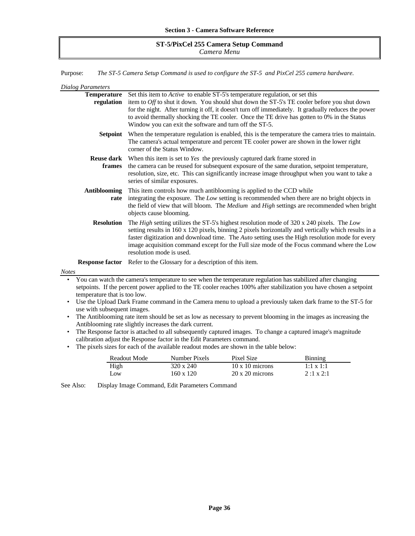## **ST-5/PixCel 255 Camera Setup Command** *Camera Menu*

Purpose: *The ST-5 Camera Setup Command is used to configure the ST-5 and PixCel 255 camera hardware.*

| <b>Dialog Parameters</b>     |                                                                                                                                                                                                                                                                                                                                                                                                                                |  |  |  |  |
|------------------------------|--------------------------------------------------------------------------------------------------------------------------------------------------------------------------------------------------------------------------------------------------------------------------------------------------------------------------------------------------------------------------------------------------------------------------------|--|--|--|--|
| <b>Temperature</b>           | Set this item to <i>Active</i> to enable ST-5's temperature regulation, or set this                                                                                                                                                                                                                                                                                                                                            |  |  |  |  |
| regulation                   | item to Off to shut it down. You should shut down the ST-5's TE cooler before you shut down                                                                                                                                                                                                                                                                                                                                    |  |  |  |  |
|                              | for the night. After turning it off, it doesn't turn off immediately. It gradually reduces the power                                                                                                                                                                                                                                                                                                                           |  |  |  |  |
|                              | to avoid thermally shocking the TE cooler. Once the TE drive has gotten to 0% in the Status                                                                                                                                                                                                                                                                                                                                    |  |  |  |  |
|                              | Window you can exit the software and turn off the ST-5.                                                                                                                                                                                                                                                                                                                                                                        |  |  |  |  |
| <b>Setpoint</b>              | When the temperature regulation is enabled, this is the temperature the camera tries to maintain.<br>The camera's actual temperature and percent TE cooler power are shown in the lower right<br>corner of the Status Window.                                                                                                                                                                                                  |  |  |  |  |
| <b>Reuse dark</b><br>frames  | When this item is set to Yes the previously captured dark frame stored in<br>the camera can be reused for subsequent exposure of the same duration, setpoint temperature,<br>resolution, size, etc. This can significantly increase image throughput when you want to take a<br>series of similar exposures.                                                                                                                   |  |  |  |  |
| <b>Antiblooming</b>          | This item controls how much antiblooming is applied to the CCD while                                                                                                                                                                                                                                                                                                                                                           |  |  |  |  |
| rate                         | integrating the exposure. The Low setting is recommended when there are no bright objects in<br>the field of view that will bloom. The Medium and High settings are recommended when bright                                                                                                                                                                                                                                    |  |  |  |  |
|                              | objects cause blooming.                                                                                                                                                                                                                                                                                                                                                                                                        |  |  |  |  |
| <b>Resolution</b>            | The High setting utilizes the ST-5's highest resolution mode of 320 x 240 pixels. The Low<br>setting results in 160 x 120 pixels, binning 2 pixels horizontally and vertically which results in a<br>faster digitization and download time. The Auto setting uses the High resolution mode for every<br>image acquisition command except for the Full size mode of the Focus command where the Low<br>resolution mode is used. |  |  |  |  |
|                              | <b>Response factor</b> Refer to the Glossary for a description of this item.                                                                                                                                                                                                                                                                                                                                                   |  |  |  |  |
| <b>Notes</b>                 |                                                                                                                                                                                                                                                                                                                                                                                                                                |  |  |  |  |
|                              | You can watch the camera's temperature to see when the temperature regulation has stabilized after changing<br>setpoints. If the percent power applied to the TE cooler reaches 100% after stabilization you have chosen a setpoint                                                                                                                                                                                            |  |  |  |  |
| temperature that is too low. |                                                                                                                                                                                                                                                                                                                                                                                                                                |  |  |  |  |
|                              | Use the Upload Dark Frame command in the Camera menu to upload a previously taken dark frame to the ST-5 for                                                                                                                                                                                                                                                                                                                   |  |  |  |  |
| $\bullet$                    | use with subsequent images.<br>The Antiblooming rate item should be set as low as necessary to prevent blooming in the images as increasing the                                                                                                                                                                                                                                                                                |  |  |  |  |
|                              | Antiblooming rate slightly increases the dark current.                                                                                                                                                                                                                                                                                                                                                                         |  |  |  |  |
| $\bullet$                    | The Response factor is attached to all subsequently captured images. To change a captured image's magnitude                                                                                                                                                                                                                                                                                                                    |  |  |  |  |
|                              | calibration adjust the Response factor in the Edit Parameters command.                                                                                                                                                                                                                                                                                                                                                         |  |  |  |  |

• The pixels sizes for each of the available readout modes are shown in the table below:

| Readout Mode | Number Pixels | Pixel Size             | Binning          |
|--------------|---------------|------------------------|------------------|
| High         | 320 x 240     | $10 \times 10$ microns | $1:1 \times 1:1$ |
| Low          | 160 x 120     | $20 \times 20$ microns | $2:1 \times 2:1$ |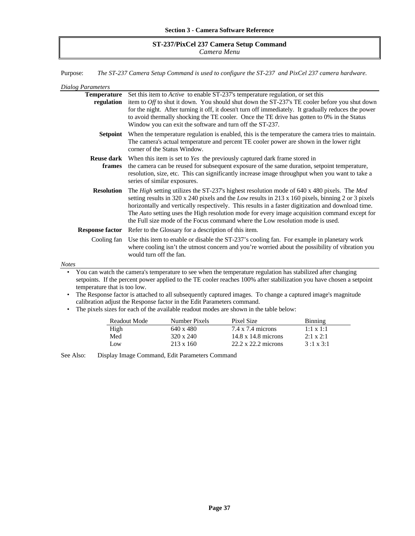### **ST-237/PixCel 237 Camera Setup Command** *Camera Menu*

Purpose: *The ST-237 Camera Setup Command is used to configure the ST-237 and PixCel 237 camera hardware.*

| Dialog Parameters                |                                                                                                                                                                                                                                                                                                                                                                                                                                                                                                                 |
|----------------------------------|-----------------------------------------------------------------------------------------------------------------------------------------------------------------------------------------------------------------------------------------------------------------------------------------------------------------------------------------------------------------------------------------------------------------------------------------------------------------------------------------------------------------|
| <b>Temperature</b><br>regulation | Set this item to <i>Active</i> to enable ST-237's temperature regulation, or set this<br>item to Off to shut it down. You should shut down the ST-237's TE cooler before you shut down<br>for the night. After turning it off, it doesn't turn off immediately. It gradually reduces the power<br>to avoid thermally shocking the TE cooler. Once the TE drive has gotten to 0% in the Status<br>Window you can exit the software and turn off the ST-237.                                                      |
| Setpoint                         | When the temperature regulation is enabled, this is the temperature the camera tries to maintain.<br>The camera's actual temperature and percent TE cooler power are shown in the lower right<br>corner of the Status Window.                                                                                                                                                                                                                                                                                   |
| <b>Reuse dark</b><br>frames      | When this item is set to Yes the previously captured dark frame stored in<br>the camera can be reused for subsequent exposure of the same duration, setpoint temperature,<br>resolution, size, etc. This can significantly increase image throughput when you want to take a<br>series of similar exposures.                                                                                                                                                                                                    |
| <b>Resolution</b>                | The High setting utilizes the ST-237's highest resolution mode of 640 x 480 pixels. The Med<br>setting results in $320 \times 240$ pixels and the <i>Low</i> results in $213 \times 160$ pixels, binning 2 or 3 pixels<br>horizontally and vertically respectively. This results in a faster digitization and download time.<br>The Auto setting uses the High resolution mode for every image acquisition command except for<br>the Full size mode of the Focus command where the Low resolution mode is used. |
|                                  | <b>Response factor</b> Refer to the Glossary for a description of this item.                                                                                                                                                                                                                                                                                                                                                                                                                                    |
|                                  | Cooling fan Use this item to enable or disable the ST-237's cooling fan. For example in planetary work<br>where cooling isn't the utmost concern and you're worried about the possibility of vibration you<br>would turn off the fan.                                                                                                                                                                                                                                                                           |
| <b>Notes</b>                     |                                                                                                                                                                                                                                                                                                                                                                                                                                                                                                                 |
| ٠                                | You can watch the camera's temperature to see when the temperature regulation has stabilized after changing                                                                                                                                                                                                                                                                                                                                                                                                     |

setpoints. If the percent power applied to the TE cooler reaches 100% after stabilization you have chosen a setpoint temperature that is too low.

• The Response factor is attached to all subsequently captured images. To change a captured image's magnitude calibration adjust the Response factor in the Edit Parameters command.

|  |  | • The pixels sizes for each of the available readout modes are shown in the table below: |  |  |  |  |  |  |  |  |
|--|--|------------------------------------------------------------------------------------------|--|--|--|--|--|--|--|--|
|--|--|------------------------------------------------------------------------------------------|--|--|--|--|--|--|--|--|

| Readout Mode | Number Pixels    | Pixel Size                 | <b>Binning</b>   |
|--------------|------------------|----------------------------|------------------|
| High         | 640 x 480        | $7.4 \times 7.4$ microns   | $1:1 \times 1:1$ |
| Med          | $320 \times 240$ | $14.8 \times 14.8$ microns | $2:1 \times 2:1$ |
| $\Omega$     | $213 \times 160$ | $22.2 \times 22.2$ microns | $3:1 \times 3:1$ |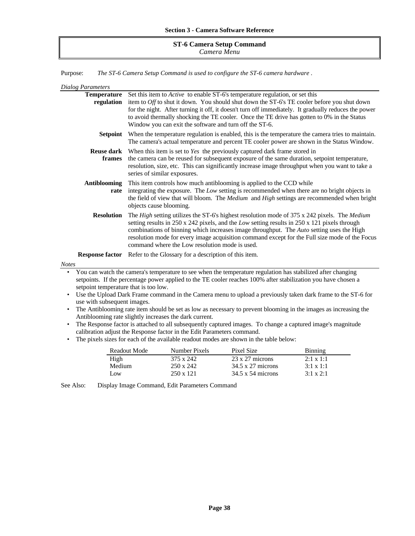#### **ST-6 Camera Setup Command** *Camera Menu*

Purpose: *The ST-6 Camera Setup Command is used to configure the ST-6 camera hardware .*

| Dialog Parameters    |                                                                                                                                                                                                                                                                                                                                                                                                                                              |
|----------------------|----------------------------------------------------------------------------------------------------------------------------------------------------------------------------------------------------------------------------------------------------------------------------------------------------------------------------------------------------------------------------------------------------------------------------------------------|
| <b>Temperature</b>   | Set this item to <i>Active</i> to enable ST-6's temperature regulation, or set this                                                                                                                                                                                                                                                                                                                                                          |
| regulation           | item to Off to shut it down. You should shut down the ST-6's TE cooler before you shut down<br>for the night. After turning it off, it doesn't turn off immediately. It gradually reduces the power<br>to avoid thermally shocking the TE cooler. Once the TE drive has gotten to 0% in the Status<br>Window you can exit the software and turn off the ST-6.                                                                                |
|                      | <b>Setpoint</b> When the temperature regulation is enabled, this is the temperature the camera tries to maintain.<br>The camera's actual temperature and percent TE cooler power are shown in the Status Window.                                                                                                                                                                                                                             |
| frames               | <b>Reuse dark</b> When this item is set to <i>Yes</i> the previously captured dark frame stored in<br>the camera can be reused for subsequent exposure of the same duration, setpoint temperature,<br>resolution, size, etc. This can significantly increase image throughput when you want to take a<br>series of similar exposures.                                                                                                        |
| Antiblooming<br>rate | This item controls how much antiblooming is applied to the CCD while<br>integrating the exposure. The Low setting is recommended when there are no bright objects in<br>the field of view that will bloom. The Medium and High settings are recommended when bright<br>objects cause blooming.                                                                                                                                               |
| <b>Resolution</b>    | The High setting utilizes the ST-6's highest resolution mode of 375 x 242 pixels. The Medium<br>setting results in 250 x 242 pixels, and the Low setting results in 250 x 121 pixels through<br>combinations of binning which increases image throughput. The Auto setting uses the High<br>resolution mode for every image acquisition command except for the Full size mode of the Focus<br>command where the Low resolution mode is used. |
|                      | <b>Response factor</b> Refer to the Glossary for a description of this item.                                                                                                                                                                                                                                                                                                                                                                 |
| Notes                |                                                                                                                                                                                                                                                                                                                                                                                                                                              |
|                      | Vou can watch the camera's temperature to see when the temperature requision has stabilized after changing                                                                                                                                                                                                                                                                                                                                   |

• You can watch the camera's temperature to see when the temperature regulation has stabilized after changing setpoints. If the percentage power applied to the TE cooler reaches 100% after stabilization you have chosen a setpoint temperature that is too low.

- Use the Upload Dark Frame command in the Camera menu to upload a previously taken dark frame to the ST-6 for use with subsequent images.
- The Antiblooming rate item should be set as low as necessary to prevent blooming in the images as increasing the Antiblooming rate slightly increases the dark current.
- The Response factor is attached to all subsequently captured images. To change a captured image's magnitude calibration adjust the Response factor in the Edit Parameters command.
- The pixels sizes for each of the available readout modes are shown in the table below:

| Readout Mode | Number Pixels    | Pixel Size               | <b>Binning</b>   |
|--------------|------------------|--------------------------|------------------|
| High         | 375 x 242        | $23 \times 27$ microns   | $2:1 \times 1:1$ |
| Medium       | $250 \times 242$ | $34.5 \times 27$ microns | $3:1 \times 1:1$ |
| Low          | $250 \times 121$ | $34.5 \times 54$ microns | $3:1 \times 2:1$ |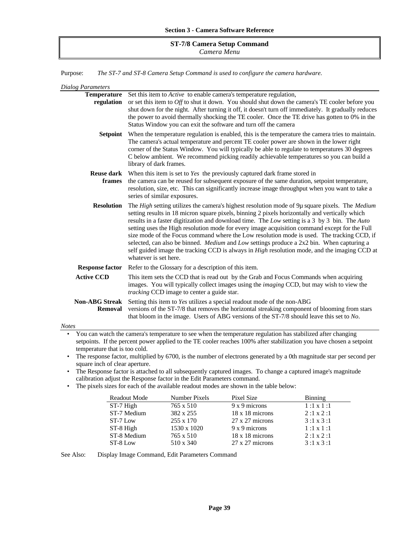#### **ST-7/8 Camera Setup Command** *Camera Menu*

Purpose: *The ST-7 and ST-8 Camera Setup Command is used to configure the camera hardware.*

| Dialog Parameters                |                                                                                                                                                                                                                                                                                                                                                                                                                                                                                                                                                                                                                                                                                                                                        |
|----------------------------------|----------------------------------------------------------------------------------------------------------------------------------------------------------------------------------------------------------------------------------------------------------------------------------------------------------------------------------------------------------------------------------------------------------------------------------------------------------------------------------------------------------------------------------------------------------------------------------------------------------------------------------------------------------------------------------------------------------------------------------------|
| <b>Temperature</b>               | Set this item to <i>Active</i> to enable camera's temperature regulation,                                                                                                                                                                                                                                                                                                                                                                                                                                                                                                                                                                                                                                                              |
| regulation                       | or set this item to $Off$ to shut it down. You should shut down the camera's TE cooler before you<br>shut down for the night. After turning it off, it doesn't turn off immediately. It gradually reduces<br>the power to avoid thermally shocking the TE cooler. Once the TE drive has gotten to 0% in the<br>Status Window you can exit the software and turn off the camera                                                                                                                                                                                                                                                                                                                                                         |
| Setpoint                         | When the temperature regulation is enabled, this is the temperature the camera tries to maintain.<br>The camera's actual temperature and percent TE cooler power are shown in the lower right<br>corner of the Status Window. You will typically be able to regulate to temperatures 30 degrees<br>C below ambient. We recommend picking readily achievable temperatures so you can build a<br>library of dark frames.                                                                                                                                                                                                                                                                                                                 |
| frames                           | <b>Reuse dark</b> When this item is set to Yes the previously captured dark frame stored in<br>the camera can be reused for subsequent exposure of the same duration, setpoint temperature,<br>resolution, size, etc. This can significantly increase image throughput when you want to take a<br>series of similar exposures.                                                                                                                                                                                                                                                                                                                                                                                                         |
| <b>Resolution</b>                | The High setting utilizes the camera's highest resolution mode of 9µ square pixels. The Medium<br>setting results in 18 micron square pixels, binning 2 pixels horizontally and vertically which<br>results in a faster digitization and download time. The Low setting is a 3 by 3 bin. The Auto<br>setting uses the High resolution mode for every image acquisition command except for the Full<br>size mode of the Focus command where the Low resolution mode is used. The tracking CCD, if<br>selected, can also be binned. <i>Medium</i> and <i>Low</i> settings produce a $2x2$ bin. When capturing a<br>self guided image the tracking CCD is always in High resolution mode, and the imaging CCD at<br>whatever is set here. |
|                                  | <b>Response factor</b> Refer to the Glossary for a description of this item.                                                                                                                                                                                                                                                                                                                                                                                                                                                                                                                                                                                                                                                           |
| <b>Active CCD</b>                | This item sets the CCD that is read out by the Grab and Focus Commands when acquiring<br>images. You will typically collect images using the <i>imaging</i> CCD, but may wish to view the<br><i>tracking</i> CCD image to center a guide star.                                                                                                                                                                                                                                                                                                                                                                                                                                                                                         |
| <b>Non-ABG Streak</b><br>Removal | Setting this item to Yes utilizes a special readout mode of the non-ABG<br>versions of the ST-7/8 that removes the horizontal streaking component of blooming from stars<br>that bloom in the image. Users of ABG versions of the ST-7/8 should leave this set to No.                                                                                                                                                                                                                                                                                                                                                                                                                                                                  |
| <b>Notes</b>                     |                                                                                                                                                                                                                                                                                                                                                                                                                                                                                                                                                                                                                                                                                                                                        |

• You can watch the camera's temperature to see when the temperature regulation has stabilized after changing setpoints. If the percent power applied to the TE cooler reaches 100% after stabilization you have chosen a setpoint temperature that is too cold.

• The response factor, multiplied by 6700, is the number of electrons generated by a 0th magnitude star per second per square inch of clear aperture.

• The Response factor is attached to all subsequently captured images. To change a captured image's magnitude calibration adjust the Response factor in the Edit Parameters command.

• The pixels sizes for each of the available readout modes are shown in the table below:

| Readout Mode | Number Pixels | Pixel Size             | <b>Binning</b>   |
|--------------|---------------|------------------------|------------------|
| ST-7 High    | 765 x 510     | $9 \times 9$ microns   | $1:1 \times 1:1$ |
| ST-7 Medium  | 382 x 255     | $18 \times 18$ microns | $2:1 \times 2:1$ |
| ST-7 Low     | 255 x 170     | $27 \times 27$ microns | $3:1 \times 3:1$ |
| ST-8 High    | 1530 x 1020   | $9 \times 9$ microns   | $1:1 \times 1:1$ |
| ST-8 Medium  | 765 x 510     | $18 \times 18$ microns | $2:1 \times 2:1$ |
| ST-8 Low     | 510 x 340     | $27 \times 27$ microns | $3:1 \times 3:1$ |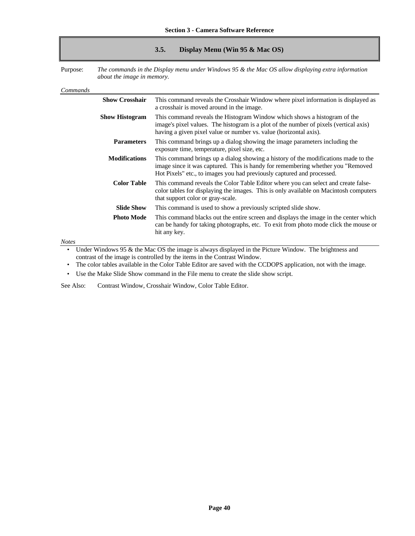### **3.5. Display Menu (Win 95 & Mac OS)**

Purpose: *The commands in the Display menu under Windows 95 & the Mac OS allow displaying extra information about the image in memory.*

| Commands              |                                                                                                                                                                                                                                                 |
|-----------------------|-------------------------------------------------------------------------------------------------------------------------------------------------------------------------------------------------------------------------------------------------|
| <b>Show Crosshair</b> | This command reveals the Crosshair Window where pixel information is displayed as<br>a crosshair is moved around in the image.                                                                                                                  |
| <b>Show Histogram</b> | This command reveals the Histogram Window which shows a histogram of the<br>image's pixel values. The histogram is a plot of the number of pixels (vertical axis)<br>having a given pixel value or number vs. value (horizontal axis).          |
| <b>Parameters</b>     | This command brings up a dialog showing the image parameters including the<br>exposure time, temperature, pixel size, etc.                                                                                                                      |
| <b>Modifications</b>  | This command brings up a dialog showing a history of the modifications made to the<br>image since it was captured. This is handy for remembering whether you "Removed<br>Hot Pixels" etc., to images you had previously captured and processed. |
| <b>Color Table</b>    | This command reveals the Color Table Editor where you can select and create false-<br>color tables for displaying the images. This is only available on Macintosh computers<br>that support color or gray-scale.                                |
| <b>Slide Show</b>     | This command is used to show a previously scripted slide show.                                                                                                                                                                                  |
| <b>Photo Mode</b>     | This command blacks out the entire screen and displays the image in the center which<br>can be handy for taking photographs, etc. To exit from photo mode click the mouse or<br>hit any key.                                                    |
| $M$ otog              |                                                                                                                                                                                                                                                 |

*Notes*

Under Windows 95 & the Mac OS the image is always displayed in the Picture Window. The brightness and contrast of the image is controlled by the items in the Contrast Window.

• The color tables available in the Color Table Editor are saved with the CCDOPS application, not with the image.

• Use the Make Slide Show command in the File menu to create the slide show script.

See Also: Contrast Window, Crosshair Window, Color Table Editor.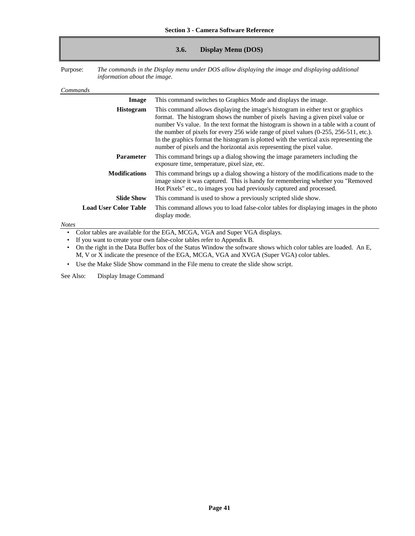### **3.6. Display Menu (DOS)**

Purpose: *The commands in the Display menu under DOS allow displaying the image and displaying additional information about the image.*

#### *Commands*

| Image                        | This command switches to Graphics Mode and displays the image.                                                                                                                                                                                                                                                                                                                                                                                                                                                           |
|------------------------------|--------------------------------------------------------------------------------------------------------------------------------------------------------------------------------------------------------------------------------------------------------------------------------------------------------------------------------------------------------------------------------------------------------------------------------------------------------------------------------------------------------------------------|
| <b>Histogram</b>             | This command allows displaying the image's histogram in either text or graphics<br>format. The histogram shows the number of pixels having a given pixel value or<br>number Vs value. In the text format the histogram is shown in a table with a count of<br>the number of pixels for every 256 wide range of pixel values (0-255, 256-511, etc.).<br>In the graphics format the histogram is plotted with the vertical axis representing the<br>number of pixels and the horizontal axis representing the pixel value. |
| <b>Parameter</b>             | This command brings up a dialog showing the image parameters including the<br>exposure time, temperature, pixel size, etc.                                                                                                                                                                                                                                                                                                                                                                                               |
| <b>Modifications</b>         | This command brings up a dialog showing a history of the modifications made to the<br>image since it was captured. This is handy for remembering whether you "Removed<br>Hot Pixels" etc., to images you had previously captured and processed.                                                                                                                                                                                                                                                                          |
| <b>Slide Show</b>            | This command is used to show a previously scripted slide show.                                                                                                                                                                                                                                                                                                                                                                                                                                                           |
| <b>Load User Color Table</b> | This command allows you to load false-color tables for displaying images in the photo<br>display mode.                                                                                                                                                                                                                                                                                                                                                                                                                   |

*Notes*

• Color tables are available for the EGA, MCGA, VGA and Super VGA displays.

• If you want to create your own false-color tables refer to Appendix B.

• On the right in the Data Buffer box of the Status Window the software shows which color tables are loaded. An E, M, V or X indicate the presence of the EGA, MCGA, VGA and XVGA (Super VGA) color tables.

• Use the Make Slide Show command in the File menu to create the slide show script.

See Also: Display Image Command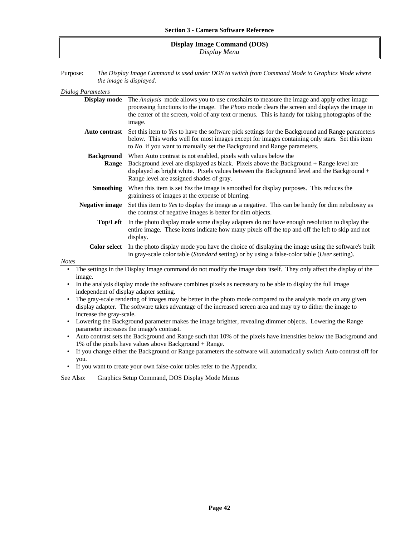#### **Display Image Command (DOS)** *Display Menu*

Purpose: *The Display Image Command is used under DOS to switch from Command Mode to Graphics Mode where the image is displayed.*

| <b>Dialog Parameters</b> |                                                                                                                                                                                                                                                                                                                                          |  |
|--------------------------|------------------------------------------------------------------------------------------------------------------------------------------------------------------------------------------------------------------------------------------------------------------------------------------------------------------------------------------|--|
| Display mode             | The Analysis mode allows you to use crosshairs to measure the image and apply other image<br>processing functions to the image. The <i>Photo</i> mode clears the screen and displays the image in<br>the center of the screen, void of any text or menus. This is handy for taking photographs of the<br>image.                          |  |
| <b>Auto contrast</b>     | Set this item to Yes to have the software pick settings for the Background and Range parameters<br>below. This works well for most images except for images containing only stars. Set this item<br>to $No$ if you want to manually set the Background and Range parameters.                                                             |  |
|                          | <b>Background</b><br>When Auto contrast is not enabled, pixels with values below the<br>Background level are displayed as black. Pixels above the Background + Range level are<br><b>Range</b><br>displayed as bright white. Pixels values between the Background level and the Background +<br>Range level are assigned shades of gray. |  |
| <b>Smoothing</b>         | When this item is set Yes the image is smoothed for display purposes. This reduces the<br>graininess of images at the expense of blurring.                                                                                                                                                                                               |  |
| <b>Negative image</b>    | Set this item to Yes to display the image as a negative. This can be handy for dim nebulosity as<br>the contrast of negative images is better for dim objects.                                                                                                                                                                           |  |
| Top/Left                 | In the photo display mode some display adapters do not have enough resolution to display the<br>entire image. These items indicate how many pixels off the top and off the left to skip and not<br>display.                                                                                                                              |  |
| <b>Notes</b>             | <b>Color select</b> In the photo display mode you have the choice of displaying the image using the software's built<br>in gray-scale color table ( <i>Standard</i> setting) or by using a false-color table ( <i>User</i> setting).                                                                                                     |  |
| $\bullet$                | The settings in the Display Image command do not modify the image data itself. They only affect the display of the                                                                                                                                                                                                                       |  |
| image.                   |                                                                                                                                                                                                                                                                                                                                          |  |
|                          | In the analysis display mode the software combines pixels as necessary to be able to display the full image                                                                                                                                                                                                                              |  |
|                          | independent of display adapter setting.                                                                                                                                                                                                                                                                                                  |  |
|                          |                                                                                                                                                                                                                                                                                                                                          |  |

- The gray-scale rendering of images may be better in the photo mode compared to the analysis mode on any given display adapter. The software takes advantage of the increased screen area and may try to dither the image to increase the gray-scale.
- Lowering the Background parameter makes the image brighter, revealing dimmer objects. Lowering the Range parameter increases the image's contrast.
- Auto contrast sets the Background and Range such that 10% of the pixels have intensities below the Background and 1% of the pixels have values above Background + Range.
- If you change either the Background or Range parameters the software will automatically switch Auto contrast off for you.
- If you want to create your own false-color tables refer to the Appendix.

See Also: Graphics Setup Command, DOS Display Mode Menus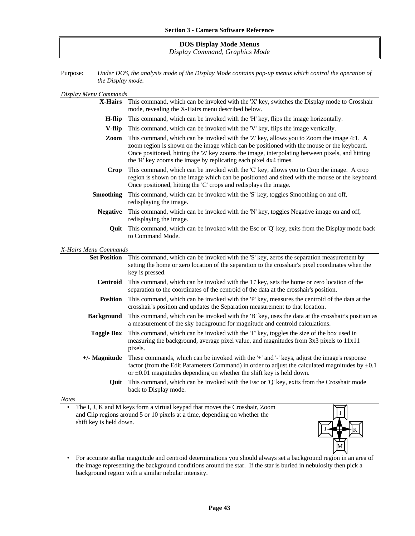### **DOS Display Mode Menus** *Display Command, Graphics Mode*

Purpose: *Under DOS, the analysis mode of the Display Mode contains pop-up menus which control the operation of the Display mode.*

| Display Menu Commands |  |  |  |  |  |
|-----------------------|--|--|--|--|--|
|-----------------------|--|--|--|--|--|

| X-Hairs                                                                                                                                                                                                                                                                                                                                                              | This command, which can be invoked with the 'X' key, switches the Display mode to Crosshair<br>mode, revealing the X-Hairs menu described below.                                                                                                                                |  |
|----------------------------------------------------------------------------------------------------------------------------------------------------------------------------------------------------------------------------------------------------------------------------------------------------------------------------------------------------------------------|---------------------------------------------------------------------------------------------------------------------------------------------------------------------------------------------------------------------------------------------------------------------------------|--|
| H-flip                                                                                                                                                                                                                                                                                                                                                               | This command, which can be invoked with the 'H' key, flips the image horizontally.                                                                                                                                                                                              |  |
| V-flip                                                                                                                                                                                                                                                                                                                                                               | This command, which can be invoked with the 'V' key, flips the image vertically.                                                                                                                                                                                                |  |
| This command, which can be invoked with the 'Z' key, allows you to Zoom the image 4:1. A<br>Zoom<br>zoom region is shown on the image which can be positioned with the mouse or the keyboard.<br>Once positioned, hitting the 'Z' key zooms the image, interpolating between pixels, and hitting<br>the 'R' key zooms the image by replicating each pixel 4x4 times. |                                                                                                                                                                                                                                                                                 |  |
| This command, which can be invoked with the 'C' key, allows you to Crop the image. A crop<br><b>Crop</b><br>region is shown on the image which can be positioned and sized with the mouse or the keyboard.<br>Once positioned, hitting the 'C' crops and redisplays the image.                                                                                       |                                                                                                                                                                                                                                                                                 |  |
| <b>Smoothing</b>                                                                                                                                                                                                                                                                                                                                                     | This command, which can be invoked with the 'S' key, toggles Smoothing on and off,<br>redisplaying the image.                                                                                                                                                                   |  |
| This command, which can be invoked with the 'N' key, toggles Negative image on and off,<br><b>Negative</b><br>redisplaying the image.                                                                                                                                                                                                                                |                                                                                                                                                                                                                                                                                 |  |
| This command, which can be invoked with the Esc or 'Q' key, exits from the Display mode back<br>Ouit<br>to Command Mode.                                                                                                                                                                                                                                             |                                                                                                                                                                                                                                                                                 |  |
| X-Hairs Menu Commands                                                                                                                                                                                                                                                                                                                                                |                                                                                                                                                                                                                                                                                 |  |
| <b>Set Position</b>                                                                                                                                                                                                                                                                                                                                                  | This command, which can be invoked with the 'S' key, zeros the separation measurement by<br>setting the home or zero location of the separation to the crosshair's pixel coordinates when the<br>key is pressed.                                                                |  |
| <b>Centroid</b>                                                                                                                                                                                                                                                                                                                                                      | This command, which can be invoked with the 'C' key, sets the home or zero location of the<br>separation to the coordinates of the centroid of the data at the crosshair's position.                                                                                            |  |
| <b>Position</b>                                                                                                                                                                                                                                                                                                                                                      | This command, which can be invoked with the 'P' key, measures the centroid of the data at the<br>crosshair's position and updates the Separation measurement to that location.                                                                                                  |  |
| <b>Background</b>                                                                                                                                                                                                                                                                                                                                                    | This command, which can be invoked with the 'B' key, uses the data at the crosshair's position as<br>a measurement of the sky background for magnitude and centroid calculations.                                                                                               |  |
| <b>Toggle Box</b>                                                                                                                                                                                                                                                                                                                                                    | This command, which can be invoked with the 'T' key, toggles the size of the box used in<br>measuring the background, average pixel value, and magnitudes from 3x3 pixels to 11x11<br>pixels.                                                                                   |  |
| $+/-$ Magnitude                                                                                                                                                                                                                                                                                                                                                      | These commands, which can be invoked with the '+' and '-' keys, adjust the image's response<br>factor (from the Edit Parameters Command) in order to adjust the calculated magnitudes by $\pm 0.1$<br>or $\pm 0.01$ magnitudes depending on whether the shift key is held down. |  |
| Quit                                                                                                                                                                                                                                                                                                                                                                 | This command, which can be invoked with the Esc or 'Q' key, exits from the Crosshair mode<br>back to Display mode.                                                                                                                                                              |  |
|                                                                                                                                                                                                                                                                                                                                                                      |                                                                                                                                                                                                                                                                                 |  |

#### *Notes*

• The I, J, K and M keys form a virtual keypad that moves the Crosshair, Zoom and Clip regions around 5 or 10 pixels at a time, depending on whether the shift key is held down.



• For accurate stellar magnitude and centroid determinations you should always set a background region in an area of the image representing the background conditions around the star. If the star is buried in nebulosity then pick a background region with a similar nebular intensity.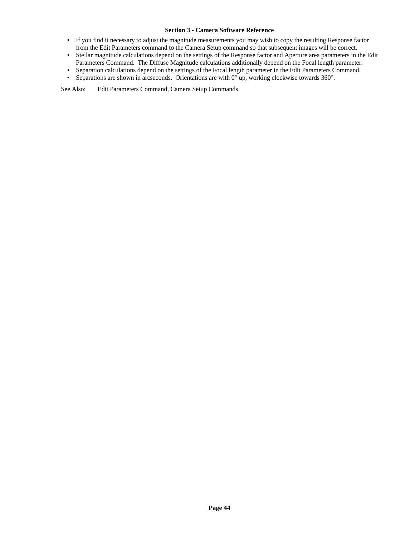- If you find it necessary to adjust the magnitude measurements you may wish to copy the resulting Response factor from the Edit Parameters command to the Camera Setup command so that subsequent images will be correct.
- Stellar magnitude calculations depend on the settings of the Response factor and Aperture area parameters in the Edit Parameters Command. The Diffuse Magnitude calculations additionally depend on the Focal length parameter.
- Separation calculations depend on the settings of the Focal length parameter in the Edit Parameters Command.<br>• Separations are shown in arcseconds. Orientations are with  $0^{\circ}$  up, working clockwise towards  $360^{\circ}$ .
- Separations are shown in arcseconds. Orientations are with 0° up, working clockwise towards 360°.

See Also: Edit Parameters Command, Camera Setup Commands.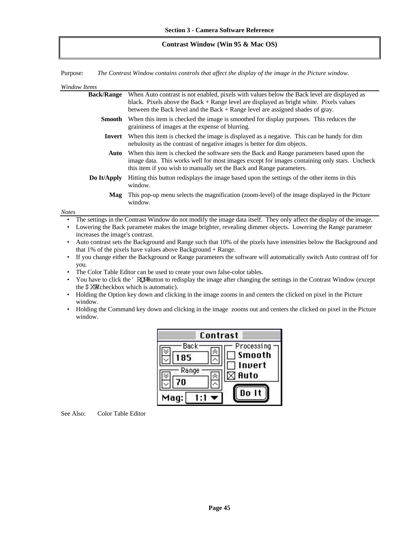#### **Contrast Window (Win 95 & Mac OS)**

Purpose: *The Contrast Window contains controls that affect the display of the image in the Picture window.*

#### *Window Items*

| <b>Back/Range</b> | When Auto contrast is not enabled, pixels with values below the Back level are displayed as<br>black. Pixels above the Back $+$ Range level are displayed as bright white. Pixels values<br>between the Back level and the Back $+$ Range level are assigned shades of gray. |
|-------------------|------------------------------------------------------------------------------------------------------------------------------------------------------------------------------------------------------------------------------------------------------------------------------|
| <b>Smooth</b>     | When this item is checked the image is smoothed for display purposes. This reduces the<br>graininess of images at the expense of blurring.                                                                                                                                   |
| Invert            | When this item is checked the image is displayed as a negative. This can be handy for dim<br>nebulosity as the contrast of negative images is better for dim objects.                                                                                                        |
| Auto              | When this item is checked the software sets the Back and Range parameters based upon the<br>image data. This works well for most images except for images containing only stars. Uncheck<br>this item if you wish to manually set the Back and Range parameters.             |
| Do It/Apply       | Hitting this button redisplays the image based upon the settings of the other items in this<br>window.                                                                                                                                                                       |
| Mag               | This pop-up menu selects the magnification (zoom-level) of the image displayed in the Picture<br>window.                                                                                                                                                                     |
| <b>Notes</b>      |                                                                                                                                                                                                                                                                              |

- The settings in the Contrast Window do not modify the image data itself. They only affect the display of the image.
- Lowering the Back parameter makes the image brighter, revealing dimmer objects. Lowering the Range parameter increases the image's contrast.
- Auto contrast sets the Background and Range such that 10% of the pixels have intensities below the Background and that 1% of the pixels have values above Background + Range.
- If you change either the Background or Range parameters the software will automatically switch Auto contrast off for you.
- The Color Table Editor can be used to create your own false-color tables.
- You have to click the ' RUW button to redisplay the image after changing the settings in the Contrast Window (except the  $\sqrt{s}$  XW checkbox which is automatic).
- Holding the Option key down and clicking in the image zooms in and centers the clicked on pixel in the Picture window.
- Holding the Command key down and clicking in the image zooms out and centers the clicked on pixel in the Picture window.



See Also: Color Table Editor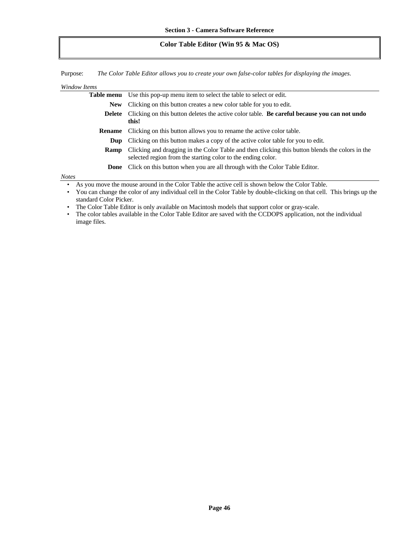### **Color Table Editor (Win 95 & Mac OS)**

Purpose: *The Color Table Editor allows you to create your own false-color tables for displaying the images.*

| Window Items                                                                                                          |                                                                                                                                                                 |  |
|-----------------------------------------------------------------------------------------------------------------------|-----------------------------------------------------------------------------------------------------------------------------------------------------------------|--|
|                                                                                                                       | Use this pop-up menu item to select the table to select or edit.<br>Table menu                                                                                  |  |
| <b>New</b>                                                                                                            | Clicking on this button creates a new color table for you to edit.                                                                                              |  |
| Clicking on this button deletes the active color table. Be careful because you can not undo<br><b>Delete</b><br>this! |                                                                                                                                                                 |  |
| Clicking on this button allows you to rename the active color table.<br><b>Rename</b>                                 |                                                                                                                                                                 |  |
| Clicking on this button makes a copy of the active color table for you to edit.<br>Dup                                |                                                                                                                                                                 |  |
| Ramp                                                                                                                  | Clicking and dragging in the Color Table and then clicking this button blends the colors in the<br>selected region from the starting color to the ending color. |  |
|                                                                                                                       | <b>Done</b> Click on this button when you are all through with the Color Table Editor.                                                                          |  |
| <b>Notes</b>                                                                                                          |                                                                                                                                                                 |  |
|                                                                                                                       | $\mathbf{r}$ and matrix and $\mathbf{r}$<br>.                                                                                                                   |  |

• As you move the mouse around in the Color Table the active cell is shown below the Color Table.

• You can change the color of any individual cell in the Color Table by double-clicking on that cell. This brings up the standard Color Picker.

• The Color Table Editor is only available on Macintosh models that support color or gray-scale.

• The color tables available in the Color Table Editor are saved with the CCDOPS application, not the individual image files.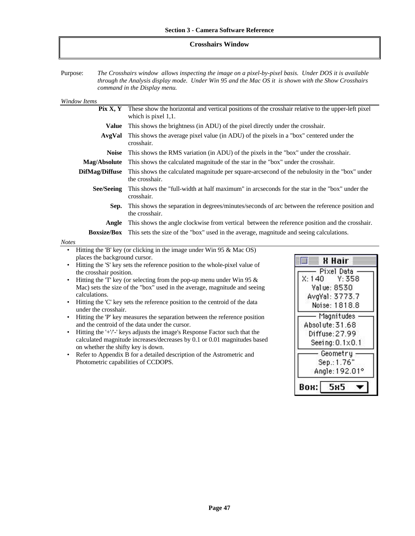### **Crosshairs Window**

Purpose: *The Crosshairs window allows inspecting the image on a pixel-by-pixel basis. Under DOS it is available through the Analysis display mode. Under Win 95 and the Mac OS it is shown with the Show Crosshairs command in the Display menu.*

| <b>Window Items</b>                                                                                                      |                                                                                                                              |                          |  |
|--------------------------------------------------------------------------------------------------------------------------|------------------------------------------------------------------------------------------------------------------------------|--------------------------|--|
| Pix X, Y                                                                                                                 | These show the horizontal and vertical positions of the crosshair relative to the upper-left pixel<br>which is pixel 1,1.    |                          |  |
| <b>Value</b>                                                                                                             | This shows the brightness (in ADU) of the pixel directly under the crosshair.                                                |                          |  |
| AvgVal                                                                                                                   | This shows the average pixel value (in ADU) of the pixels in a "box" centered under the<br>crosshair.                        |                          |  |
| <b>Noise</b>                                                                                                             | This shows the RMS variation (in ADU) of the pixels in the "box" under the crosshair.                                        |                          |  |
| Mag/Absolute                                                                                                             | This shows the calculated magnitude of the star in the "box" under the crosshair.                                            |                          |  |
| <b>DifMag/Diffuse</b>                                                                                                    | This shows the calculated magnitude per square-arcsecond of the nebulosity in the "box" under<br>the crosshair.              |                          |  |
| <b>See/Seeing</b>                                                                                                        | This shows the "full-width at half maximum" in arcseconds for the star in the "box" under the<br>crosshair.                  |                          |  |
| This shows the separation in degrees/minutes/seconds of arc between the reference position and<br>Sep.<br>the crosshair. |                                                                                                                              |                          |  |
| Angle                                                                                                                    | This shows the angle clockwise from vertical between the reference position and the crosshair.                               |                          |  |
|                                                                                                                          | <b>Boxsize/Box</b> This sets the size of the "box" used in the average, magnitude and seeing calculations.                   |                          |  |
| <b>Notes</b>                                                                                                             |                                                                                                                              |                          |  |
| $\bullet$                                                                                                                | Hitting the 'B' key (or clicking in the image under Win 95 $\&$ Mac OS)                                                      |                          |  |
| places the background cursor.                                                                                            |                                                                                                                              | X Hair                   |  |
| Hitting the 'S' key sets the reference position to the whole-pixel value of                                              |                                                                                                                              | Pixel Data               |  |
| $\bullet$                                                                                                                | the crosshair position.<br>Hitting the 'T' key (or selecting from the pop-up menu under Win 95 $\&$                          |                          |  |
|                                                                                                                          | Mac) sets the size of the "box" used in the average, magnitude and seeing                                                    |                          |  |
| Value: 8530<br>calculations.                                                                                             |                                                                                                                              | AvgVal: 3773.7           |  |
|                                                                                                                          | Hitting the 'C' key sets the reference position to the centroid of the data<br>Noise: 1818.8                                 |                          |  |
|                                                                                                                          | under the crosshair.                                                                                                         |                          |  |
|                                                                                                                          | Hitting the 'P' key measures the separation between the reference position                                                   | Magnitudes               |  |
| $\bullet$                                                                                                                | and the centroid of the data under the cursor.<br>Hitting the '+'/'-' keys adjusts the image's Response Factor such that the | Absolute: 31.68          |  |
|                                                                                                                          | calculated magnitude increases/decreases by 0.1 or 0.01 magnitudes based                                                     | Diffuse: 27.99           |  |
| on whether the shifty key is down.                                                                                       |                                                                                                                              | Seeing: $0.1 \times 0.1$ |  |
| ٠                                                                                                                        | Geometry<br>Refer to Appendix B for a detailed description of the Astrometric and                                            |                          |  |

Photometric capabilities of CCDOPS.

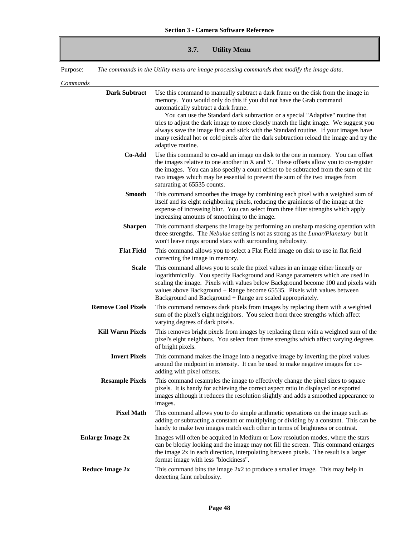# **3.7. Utility Menu**

Purpose: *The commands in the Utility menu are image processing commands that modify the image data.*

*Commands*

| Commanas                  |                                                                                                                                                                                                                                                                                                                                                                                                                                                                                                                                                                                    |
|---------------------------|------------------------------------------------------------------------------------------------------------------------------------------------------------------------------------------------------------------------------------------------------------------------------------------------------------------------------------------------------------------------------------------------------------------------------------------------------------------------------------------------------------------------------------------------------------------------------------|
| <b>Dark Subtract</b>      | Use this command to manually subtract a dark frame on the disk from the image in<br>memory. You would only do this if you did not have the Grab command<br>automatically subtract a dark frame.<br>You can use the Standard dark subtraction or a special "Adaptive" routine that<br>tries to adjust the dark image to more closely match the light image. We suggest you<br>always save the image first and stick with the Standard routine. If your images have<br>many residual hot or cold pixels after the dark subtraction reload the image and try the<br>adaptive routine. |
| Co-Add                    | Use this command to co-add an image on disk to the one in memory. You can offset<br>the images relative to one another in X and Y. These offsets allow you to co-register<br>the images. You can also specify a count offset to be subtracted from the sum of the<br>two images which may be essential to prevent the sum of the two images from<br>saturating at 65535 counts.                                                                                                                                                                                                    |
| <b>Smooth</b>             | This command smoothes the image by combining each pixel with a weighted sum of<br>itself and its eight neighboring pixels, reducing the graininess of the image at the<br>expense of increasing blur. You can select from three filter strengths which apply<br>increasing amounts of smoothing to the image.                                                                                                                                                                                                                                                                      |
| <b>Sharpen</b>            | This command sharpens the image by performing an unsharp masking operation with<br>three strengths. The Nebulae setting is not as strong as the Lunar/Planetary but it<br>won't leave rings around stars with surrounding nebulosity.                                                                                                                                                                                                                                                                                                                                              |
| <b>Flat Field</b>         | This command allows you to select a Flat Field image on disk to use in flat field<br>correcting the image in memory.                                                                                                                                                                                                                                                                                                                                                                                                                                                               |
| <b>Scale</b>              | This command allows you to scale the pixel values in an image either linearly or<br>logarithmically. You specify Background and Range parameters which are used in<br>scaling the image. Pixels with values below Background become 100 and pixels with<br>values above Background + Range become $65535$ . Pixels with values between<br>Background and Background + Range are scaled appropriately.                                                                                                                                                                              |
| <b>Remove Cool Pixels</b> | This command removes dark pixels from images by replacing them with a weighted<br>sum of the pixel's eight neighbors. You select from three strengths which affect<br>varying degrees of dark pixels.                                                                                                                                                                                                                                                                                                                                                                              |
| <b>Kill Warm Pixels</b>   | This removes bright pixels from images by replacing them with a weighted sum of the<br>pixel's eight neighbors. You select from three strengths which affect varying degrees<br>of bright pixels.                                                                                                                                                                                                                                                                                                                                                                                  |
| <b>Invert Pixels</b>      | This command makes the image into a negative image by inverting the pixel values<br>around the midpoint in intensity. It can be used to make negative images for co-<br>adding with pixel offsets.                                                                                                                                                                                                                                                                                                                                                                                 |
| <b>Resample Pixels</b>    | This command resamples the image to effectively change the pixel sizes to square<br>pixels. It is handy for achieving the correct aspect ratio in displayed or exported<br>images although it reduces the resolution slightly and adds a smoothed appearance to<br>images.                                                                                                                                                                                                                                                                                                         |
| <b>Pixel Math</b>         | This command allows you to do simple arithmetic operations on the image such as<br>adding or subtracting a constant or multiplying or dividing by a constant. This can be<br>handy to make two images match each other in terms of brightness or contrast.                                                                                                                                                                                                                                                                                                                         |
| <b>Enlarge Image 2x</b>   | Images will often be acquired in Medium or Low resolution modes, where the stars<br>can be blocky looking and the image may not fill the screen. This command enlarges<br>the image 2x in each direction, interpolating between pixels. The result is a larger<br>format image with less "blockiness".                                                                                                                                                                                                                                                                             |
| <b>Reduce Image 2x</b>    | This command bins the image 2x2 to produce a smaller image. This may help in<br>detecting faint nebulosity.                                                                                                                                                                                                                                                                                                                                                                                                                                                                        |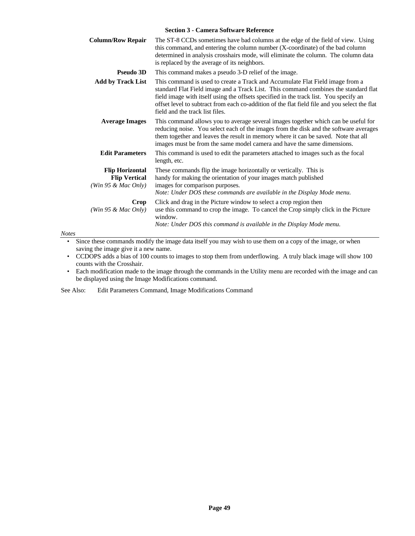| <b>Column/Row Repair</b>                                                 | The ST-8 CCDs sometimes have bad columns at the edge of the field of view. Using<br>this command, and entering the column number (X-coordinate) of the bad column<br>determined in analysis crosshairs mode, will eliminate the column. The column data<br>is replaced by the average of its neighbors.                                                                                           |  |
|--------------------------------------------------------------------------|---------------------------------------------------------------------------------------------------------------------------------------------------------------------------------------------------------------------------------------------------------------------------------------------------------------------------------------------------------------------------------------------------|--|
| <b>Pseudo 3D</b>                                                         | This command makes a pseudo 3-D relief of the image.                                                                                                                                                                                                                                                                                                                                              |  |
| <b>Add by Track List</b>                                                 | This command is used to create a Track and Accumulate Flat Field image from a<br>standard Flat Field image and a Track List. This command combines the standard flat<br>field image with itself using the offsets specified in the track list. You specify an<br>offset level to subtract from each co-addition of the flat field file and you select the flat<br>field and the track list files. |  |
| <b>Average Images</b>                                                    | This command allows you to average several images together which can be useful for<br>reducing noise. You select each of the images from the disk and the software averages<br>them together and leaves the result in memory where it can be saved. Note that all<br>images must be from the same model camera and have the same dimensions.                                                      |  |
| <b>Edit Parameters</b>                                                   | This command is used to edit the parameters attached to images such as the focal<br>length, etc.                                                                                                                                                                                                                                                                                                  |  |
| <b>Flip Horizontal</b><br><b>Flip Vertical</b><br>(Win 95 $\&$ Mac Only) | These commands flip the image horizontally or vertically. This is<br>handy for making the orientation of your images match published<br>images for comparison purposes.<br>Note: Under DOS these commands are available in the Display Mode menu.                                                                                                                                                 |  |
| Crop<br>(Win 95 & Mac Only)                                              | Click and drag in the Picture window to select a crop region then<br>use this command to crop the image. To cancel the Crop simply click in the Picture<br>window.<br>Note: Under DOS this command is available in the Display Mode menu.                                                                                                                                                         |  |

*Notes*

• Since these commands modify the image data itself you may wish to use them on a copy of the image, or when saving the image give it a new name.

• CCDOPS adds a bias of 100 counts to images to stop them from underflowing. A truly black image will show 100 counts with the Crosshair.

• Each modification made to the image through the commands in the Utility menu are recorded with the image and can be displayed using the Image Modifications command.

See Also: Edit Parameters Command, Image Modifications Command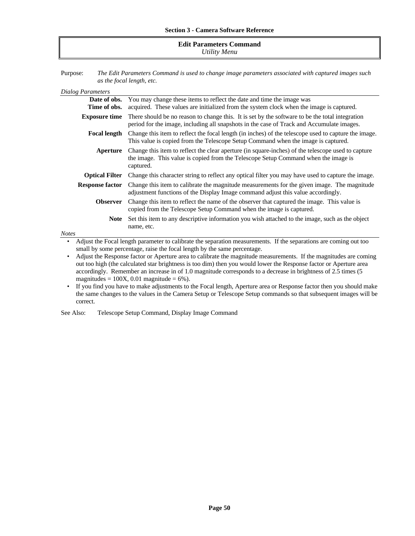#### **Edit Parameters Command** *Utility Menu*

Purpose: *The Edit Parameters Command is used to change image parameters associated with captured images such as the focal length, etc.*

| Dialog Parameters            |                                                                                                                                                                                                       |
|------------------------------|-------------------------------------------------------------------------------------------------------------------------------------------------------------------------------------------------------|
| Date of obs.<br>Time of obs. | You may change these items to reflect the date and time the image was<br>acquired. These values are initialized from the system clock when the image is captured.                                     |
| <b>Exposure time</b>         | There should be no reason to change this. It is set by the software to be the total integration<br>period for the image, including all snapshots in the case of Track and Accumulate images.          |
| <b>Focal length</b>          | Change this item to reflect the focal length (in inches) of the telescope used to capture the image.<br>This value is copied from the Telescope Setup Command when the image is captured.             |
| Aperture                     | Change this item to reflect the clear aperture (in square-inches) of the telescope used to capture<br>the image. This value is copied from the Telescope Setup Command when the image is<br>captured. |
| <b>Optical Filter</b>        | Change this character string to reflect any optical filter you may have used to capture the image.                                                                                                    |
| <b>Response factor</b>       | Change this item to calibrate the magnitude measurements for the given image. The magnitude<br>adjustment functions of the Display Image command adjust this value accordingly.                       |
| <b>Observer</b>              | Change this item to reflect the name of the observer that captured the image. This value is<br>copied from the Telescope Setup Command when the image is captured.                                    |
| <b>Note</b>                  | Set this item to any descriptive information you wish attached to the image, such as the object<br>name, etc.                                                                                         |
| <b>Notes</b>                 |                                                                                                                                                                                                       |
| ٠                            | Adjust the Focal length parameter to calibrate the separation measurements. If the separations are coming out too<br>small by some percentage, raise the focal length by the same percentage.         |

• Adjust the Response factor or Aperture area to calibrate the magnitude measurements. If the magnitudes are coming out too high (the calculated star brightness is too dim) then you would lower the Response factor or Aperture area accordingly. Remember an increase in of 1.0 magnitude corresponds to a decrease in brightness of 2.5 times (5 magnitudes =  $100X$ , 0.01 magnitude =  $6\%$ ).

• If you find you have to make adjustments to the Focal length, Aperture area or Response factor then you should make the same changes to the values in the Camera Setup or Telescope Setup commands so that subsequent images will be correct.

See Also: Telescope Setup Command, Display Image Command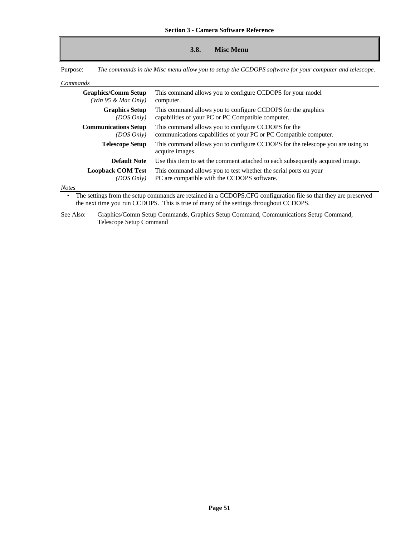### **3.8. Misc Menu**

Purpose: *The commands in the Misc menu allow you to setup the CCDOPS software for your computer and telescope.*

*Commands*

| ------------ |                                                   |                                                                                                                          |
|--------------|---------------------------------------------------|--------------------------------------------------------------------------------------------------------------------------|
|              | <b>Graphics/Comm Setup</b><br>(Win 95 & Mac Only) | This command allows you to configure CCDOPS for your model<br>computer.                                                  |
|              | <b>Graphics Setup</b><br>(DOS Only)               | This command allows you to configure CCDOPS for the graphics<br>capabilities of your PC or PC Compatible computer.       |
|              | <b>Communications Setup</b><br>(DOS Only)         | This command allows you to configure CCDOPS for the<br>communications capabilities of your PC or PC Compatible computer. |
|              | <b>Telescope Setup</b>                            | This command allows you to configure CCDOPS for the telescope you are using to<br>acquire images.                        |
|              | <b>Default Note</b>                               | Use this item to set the comment attached to each subsequently acquired image.                                           |
|              | <b>Loopback COM Test</b><br>(DOS Only)            | This command allows you to test whether the serial ports on your<br>PC are compatible with the CCDOPS software.          |

#### *Notes*

• The settings from the setup commands are retained in a CCDOPS.CFG configuration file so that they are preserved the next time you run CCDOPS. This is true of many of the settings throughout CCDOPS.

See Also: Graphics/Comm Setup Commands, Graphics Setup Command, Communications Setup Command, Telescope Setup Command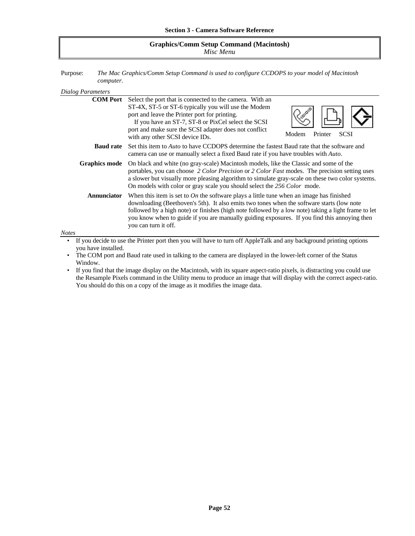### **Graphics/Comm Setup Command (Macintosh)** *Misc Menu*

Purpose: *The Mac Graphics/Comm Setup Command is used to configure CCDOPS to your model of Macintosh computer.*

| Dialog Parameters                                                                                                  |                                                                                                                                                                                                                                                                                                                                                                                                                     |                                 |
|--------------------------------------------------------------------------------------------------------------------|---------------------------------------------------------------------------------------------------------------------------------------------------------------------------------------------------------------------------------------------------------------------------------------------------------------------------------------------------------------------------------------------------------------------|---------------------------------|
| <b>COM Port</b>                                                                                                    | Select the port that is connected to the camera. With an<br>ST-4X, ST-5 or ST-6 typically you will use the Modem<br>port and leave the Printer port for printing.<br>If you have an ST-7, ST-8 or PixCel select the SCSI<br>port and make sure the SCSI adapter does not conflict<br>with any other SCSI device IDs.                                                                                                | Modem<br>Printer<br><b>SCSI</b> |
| <b>Baud rate</b>                                                                                                   | Set this item to <i>Auto</i> to have CCDOPS determine the fastest Baud rate that the software and<br>camera can use or manually select a fixed Baud rate if you have troubles with Auto.                                                                                                                                                                                                                            |                                 |
| <b>Graphics mode</b>                                                                                               | On black and white (no gray-scale) Macintosh models, like the Classic and some of the<br>portables, you can choose 2 Color Precision or 2 Color Fast modes. The precision setting uses<br>a slower but visually more pleasing algorithm to simulate gray-scale on these two color systems.<br>On models with color or gray scale you should select the 256 Color mode.                                              |                                 |
| <b>Annunciator</b><br><b>Notes</b>                                                                                 | When this item is set to On the software plays a little tune when an image has finished<br>downloading (Beethoven's 5th). It also emits two tones when the software starts (low note<br>followed by a high note) or finishes (high note followed by a low note) taking a light frame to let<br>you know when to guide if you are manually guiding exposures. If you find this annoying then<br>you can turn it off. |                                 |
|                                                                                                                    |                                                                                                                                                                                                                                                                                                                                                                                                                     |                                 |
| If you decide to use the Printer port then you will have to turn off AppleTalk and any background printing options |                                                                                                                                                                                                                                                                                                                                                                                                                     |                                 |

• If you decide to use the Printer port then you will have to turn off AppleTalk and any background printing options you have installed.

• The COM port and Baud rate used in talking to the camera are displayed in the lower-left corner of the Status Window.

• If you find that the image display on the Macintosh, with its square aspect-ratio pixels, is distracting you could use the Resample Pixels command in the Utility menu to produce an image that will display with the correct aspect-ratio. You should do this on a copy of the image as it modifies the image data.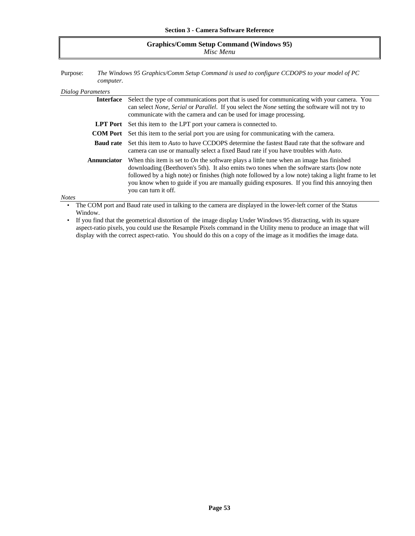### **Graphics/Comm Setup Command (Windows 95)** *Misc Menu*

Purpose: *The Windows 95 Graphics/Comm Setup Command is used to configure CCDOPS to your model of PC computer.*

#### *Dialog Parameters*

| Interface                                                                                                                                                                                                                                                                                                                                                                                                                                 | Select the type of communications port that is used for communicating with your camera. You                                                                                                                       |  |
|-------------------------------------------------------------------------------------------------------------------------------------------------------------------------------------------------------------------------------------------------------------------------------------------------------------------------------------------------------------------------------------------------------------------------------------------|-------------------------------------------------------------------------------------------------------------------------------------------------------------------------------------------------------------------|--|
|                                                                                                                                                                                                                                                                                                                                                                                                                                           | can select None, Serial or Parallel. If you select the None setting the software will not try to<br>communicate with the camera and can be used for image processing.                                             |  |
|                                                                                                                                                                                                                                                                                                                                                                                                                                           | <b>LPT Port</b> Set this item to the LPT port your camera is connected to.                                                                                                                                        |  |
|                                                                                                                                                                                                                                                                                                                                                                                                                                           | <b>COM Port</b> Set this item to the serial port you are using for communicating with the camera.                                                                                                                 |  |
|                                                                                                                                                                                                                                                                                                                                                                                                                                           | <b>Baud rate</b> Set this item to <i>Auto</i> to have CCDOPS determine the fastest Baud rate that the software and<br>camera can use or manually select a fixed Baud rate if you have troubles with <i>Auto</i> . |  |
| When this item is set to On the software plays a little tune when an image has finished<br><b>Annunciator</b><br>downloading (Beethoven's 5th). It also emits two tones when the software starts (low note<br>followed by a high note) or finishes (high note followed by a low note) taking a light frame to let<br>you know when to guide if you are manually guiding exposures. If you find this annoying then<br>you can turn it off. |                                                                                                                                                                                                                   |  |
| <b>Notes</b>                                                                                                                                                                                                                                                                                                                                                                                                                              |                                                                                                                                                                                                                   |  |

The COM port and Baud rate used in talking to the camera are displayed in the lower-left corner of the Status Window.

• If you find that the geometrical distortion of the image display Under Windows 95 distracting, with its square aspect-ratio pixels, you could use the Resample Pixels command in the Utility menu to produce an image that will display with the correct aspect-ratio. You should do this on a copy of the image as it modifies the image data.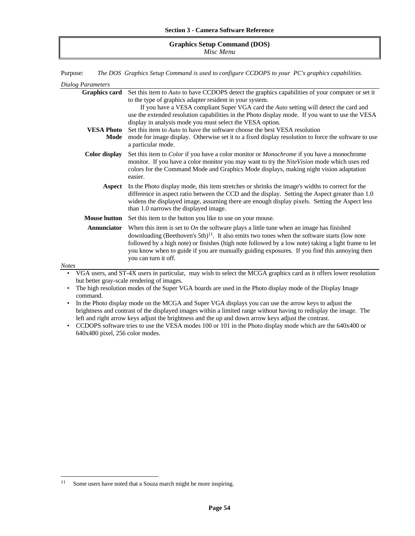#### **Graphics Setup Command (DOS)** *Misc Menu*

Purpose: *The DOS Graphics Setup Command is used to configure CCDOPS to your PC's graphics capabilities.*

|              | Dialog Parameters    |                                                                                                                                                                                                                                                                                                                                                                                                                                |
|--------------|----------------------|--------------------------------------------------------------------------------------------------------------------------------------------------------------------------------------------------------------------------------------------------------------------------------------------------------------------------------------------------------------------------------------------------------------------------------|
|              | <b>Graphics card</b> | Set this item to Auto to have CCDOPS detect the graphics capabilities of your computer or set it                                                                                                                                                                                                                                                                                                                               |
|              |                      | to the type of graphics adapter resident in your system.                                                                                                                                                                                                                                                                                                                                                                       |
|              |                      | If you have a VESA compliant Super VGA card the Auto setting will detect the card and                                                                                                                                                                                                                                                                                                                                          |
|              |                      | use the extended resolution capabilities in the Photo display mode. If you want to use the VESA                                                                                                                                                                                                                                                                                                                                |
|              |                      | display in analysis mode you must select the VESA option.                                                                                                                                                                                                                                                                                                                                                                      |
|              | VESA Photo           | Set this item to <i>Auto</i> to have the software choose the best VESA resolution                                                                                                                                                                                                                                                                                                                                              |
|              | Mode                 | mode for image display. Otherwise set it to a fixed display resolution to force the software to use<br>a particular mode.                                                                                                                                                                                                                                                                                                      |
|              | Color display        | Set this item to <i>Color</i> if you have a color monitor or <i>Monochrome</i> if you have a monochrome<br>monitor. If you have a color monitor you may want to try the NiteVision mode which uses red<br>colors for the Command Mode and Graphics Mode displays, making night vision adaptation<br>easier.                                                                                                                    |
|              | Aspect               | In the Photo display mode, this item stretches or shrinks the image's widths to correct for the<br>difference in aspect ratio between the CCD and the display. Setting the Aspect greater than 1.0<br>widens the displayed image, assuming there are enough display pixels. Setting the Aspect less<br>than 1.0 narrows the displayed image.                                                                                   |
|              | <b>Mouse button</b>  | Set this item to the button you like to use on your mouse.                                                                                                                                                                                                                                                                                                                                                                     |
|              | <b>Annunciator</b>   | When this item is set to $On$ the software plays a little tune when an image has finished<br>downloading (Beethoven's 5th) $^{11}$ . It also emits two tones when the software starts (low note<br>followed by a high note) or finishes (high note followed by a low note) taking a light frame to let<br>you know when to guide if you are manually guiding exposures. If you find this annoying then<br>you can turn it off. |
| <b>Notes</b> |                      |                                                                                                                                                                                                                                                                                                                                                                                                                                |
|              |                      | VGA users, and ST-4X users in particular, may wish to select the MCGA graphics card as it offers lower resolution                                                                                                                                                                                                                                                                                                              |

• VGA users, and ST-4X users in particular, may wish to select the MCGA graphics card as it offers lower resolution but better gray-scale rendering of images.

• The high resolution modes of the Super VGA boards are used in the Photo display mode of the Display Image command.

• In the Photo display mode on the MCGA and Super VGA displays you can use the arrow keys to adjust the brightness and contrast of the displayed images within a limited range without having to redisplay the image. The left and right arrow keys adjust the brightness and the up and down arrow keys adjust the contrast.

• CCDOPS software tries to use the VESA modes 100 or 101 in the Photo display mode which are the 640x400 or 640x480 pixel, 256 color modes.

1

<sup>&</sup>lt;sup>11</sup> Some users have noted that a Souza march might be more inspiring.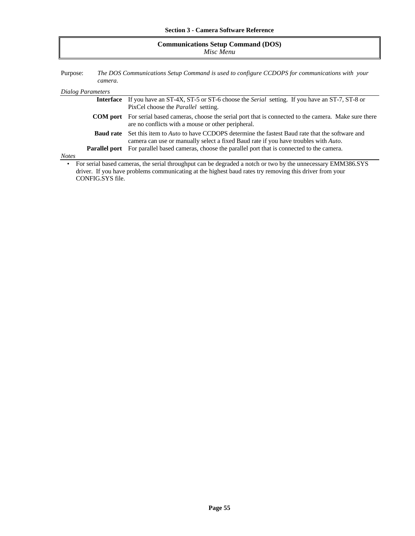| <b>Communications Setup Command (DOS)</b><br>Misc Menu                                                               |                  |                                                                                                                                                                                                  |
|----------------------------------------------------------------------------------------------------------------------|------------------|--------------------------------------------------------------------------------------------------------------------------------------------------------------------------------------------------|
| The DOS Communications Setup Command is used to configure CCDOPS for communications with your<br>Purpose:<br>camera. |                  |                                                                                                                                                                                                  |
| Dialog Parameters                                                                                                    |                  |                                                                                                                                                                                                  |
|                                                                                                                      | <b>Interface</b> | If you have an ST-4X, ST-5 or ST-6 choose the <i>Serial</i> setting. If you have an ST-7, ST-8 or<br>PixCel choose the <i>Parallel</i> setting.                                                  |
|                                                                                                                      |                  | <b>COM port</b> For serial based cameras, choose the serial port that is connected to the camera. Make sure there<br>are no conflicts with a mouse or other peripheral.                          |
|                                                                                                                      | <b>Baud rate</b> | Set this item to <i>Auto</i> to have CCDOPS determine the fastest Baud rate that the software and<br>camera can use or manually select a fixed Baud rate if you have troubles with <i>Auto</i> . |

*Notes*

• For serial based cameras, the serial throughput can be degraded a notch or two by the unnecessary EMM386.SYS driver. If you have problems communicating at the highest baud rates try removing this driver from your CONFIG.SYS file.

Parallel port For parallel based cameras, choose the parallel port that is connected to the camera.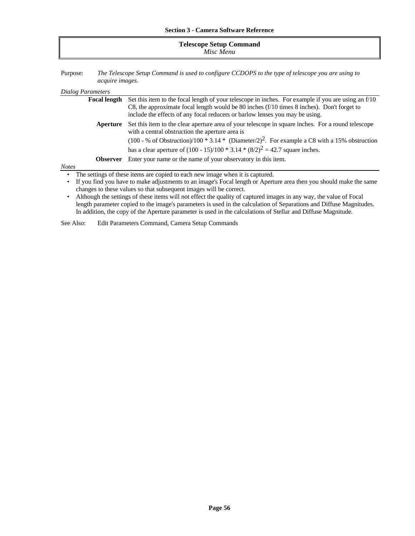| <b>Telescope Setup Command</b> |  |
|--------------------------------|--|
| Misc Menu                      |  |

Purpose: *The Telescope Setup Command is used to configure CCDOPS to the type of telescope you are using to acquire images.*

#### *Dialog Parameters*

|                 | <b>Focal length</b> Set this item to the focal length of your telescope in inches. For example if you are using an f/10 |  |
|-----------------|-------------------------------------------------------------------------------------------------------------------------|--|
|                 | C8, the approximate focal length would be 80 inches $(f/10$ times 8 inches). Don't forget to                            |  |
|                 | include the effects of any focal reducers or barlow lenses you may be using.                                            |  |
| Aperture        | Set this item to the clear aperture area of your telescope in square inches. For a round telescope                      |  |
|                 | with a central obstruction the aperture area is                                                                         |  |
|                 | $(100 - %$ of Obstruction)/100 * 3.14 * (Diameter/2) <sup>2</sup> . For example a C8 with a 15% obstruction             |  |
|                 | has a clear aperture of $(100 - 15)/100 * 3.14 * (8/2)^2 = 42.7$ square inches.                                         |  |
| <b>Observer</b> | Enter your name or the name of your observatory in this item.                                                           |  |
| <b>Notes</b>    |                                                                                                                         |  |
|                 | The settings of these items are copied to each new image when it is captured.                                           |  |

• If you find you have to make adjustments to an image's Focal length or Aperture area then you should make the same changes to these values so that subsequent images will be correct.

• Although the settings of these items will not effect the quality of captured images in any way, the value of Focal length parameter copied to the image's parameters is used in the calculation of Separations and Diffuse Magnitudes. In addition, the copy of the Aperture parameter is used in the calculations of Stellar and Diffuse Magnitude.

See Also: Edit Parameters Command, Camera Setup Commands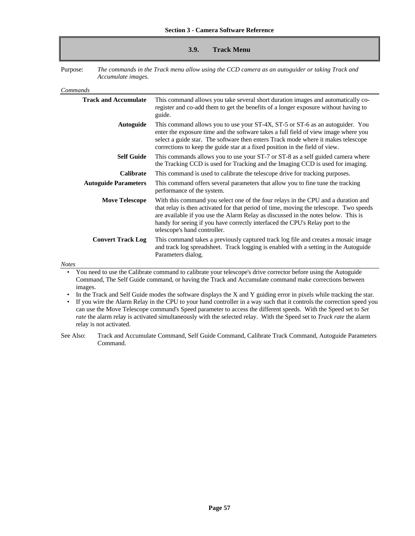#### **3.9. Track Menu**

Purpose: *The commands in the Track menu allow using the CCD camera as an autoguider or taking Track and Accumulate images.*

*Commands*

| <b>Track and Accumulate</b> | This command allows you take several short duration images and automatically co-<br>register and co-add them to get the benefits of a longer exposure without having to<br>guide.                                                                                                                                                                                                 |
|-----------------------------|-----------------------------------------------------------------------------------------------------------------------------------------------------------------------------------------------------------------------------------------------------------------------------------------------------------------------------------------------------------------------------------|
| <b>Autoguide</b>            | This command allows you to use your ST-4X, ST-5 or ST-6 as an autoguider. You<br>enter the exposure time and the software takes a full field of view image where you<br>select a guide star. The software then enters Track mode where it makes telescope<br>corrections to keep the guide star at a fixed position in the field of view.                                         |
| <b>Self Guide</b>           | This commands allows you to use your ST-7 or ST-8 as a self guided camera where<br>the Tracking CCD is used for Tracking and the Imaging CCD is used for imaging.                                                                                                                                                                                                                 |
| <b>Calibrate</b>            | This command is used to calibrate the telescope drive for tracking purposes.                                                                                                                                                                                                                                                                                                      |
| <b>Autoguide Parameters</b> | This command offers several parameters that allow you to fine tune the tracking<br>performance of the system.                                                                                                                                                                                                                                                                     |
| <b>Move Telescope</b>       | With this command you select one of the four relays in the CPU and a duration and<br>that relay is then activated for that period of time, moving the telescope. Two speeds<br>are available if you use the Alarm Relay as discussed in the notes below. This is<br>handy for seeing if you have correctly interfaced the CPU's Relay port to the<br>telescope's hand controller. |
| <b>Convert Track Log</b>    | This command takes a previously captured track log file and creates a mosaic image<br>and track log spreadsheet. Track logging is enabled with a setting in the Autoguide<br>Parameters dialog.                                                                                                                                                                                   |
| <b>Notes</b>                |                                                                                                                                                                                                                                                                                                                                                                                   |

• You need to use the Calibrate command to calibrate your telescope's drive corrector before using the Autoguide Command, The Self Guide command, or having the Track and Accumulate command make corrections between images.

• In the Track and Self Guide modes the software displays the X and Y guiding error in pixels while tracking the star.

• If you wire the Alarm Relay in the CPU to your hand controller in a way such that it controls the correction speed you can use the Move Telescope command's Speed parameter to access the different speeds. With the Speed set to *Set rate* the alarm relay is activated simultaneously with the selected relay. With the Speed set to *Track rate* the alarm relay is not activated.

See Also: Track and Accumulate Command, Self Guide Command, Calibrate Track Command, Autoguide Parameters Command.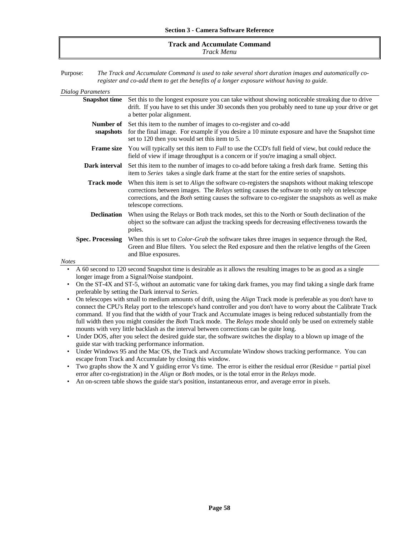#### **Track and Accumulate Command** *Track Menu*

Purpose: *The Track and Accumulate Command is used to take several short duration images and automatically coregister and co-add them to get the benefits of a longer exposure without having to guide.*

| <b>Dialog Parameters</b>                |                                                                                                                                                                                                                                                                                                                                                      |
|-----------------------------------------|------------------------------------------------------------------------------------------------------------------------------------------------------------------------------------------------------------------------------------------------------------------------------------------------------------------------------------------------------|
| <b>Snapshot time</b>                    | Set this to the longest exposure you can take without showing noticeable streaking due to drive<br>drift. If you have to set this under 30 seconds then you probably need to tune up your drive or get<br>a better polar alignment.                                                                                                                  |
| snapshots                               | <b>Number of</b> Set this item to the number of images to co-register and co-add<br>for the final image. For example if you desire a 10 minute exposure and have the Snapshot time<br>set to 120 then you would set this item to 5.                                                                                                                  |
| <b>Frame size</b>                       | You will typically set this item to <i>Full</i> to use the CCD's full field of view, but could reduce the<br>field of view if image throughput is a concern or if you're imaging a small object.                                                                                                                                                     |
| Dark interval                           | Set this item to the number of images to co-add before taking a fresh dark frame. Setting this<br>item to Series takes a single dark frame at the start for the entire series of snapshots.                                                                                                                                                          |
| <b>Track mode</b>                       | When this item is set to <i>Align</i> the software co-registers the snapshots without making telescope<br>corrections between images. The <i>Relays</i> setting causes the software to only rely on telescope<br>corrections, and the <i>Both</i> setting causes the software to co-register the snapshots as well as make<br>telescope corrections. |
| <b>Declination</b>                      | When using the Relays or Both track modes, set this to the North or South declination of the<br>object so the software can adjust the tracking speeds for decreasing effectiveness towards the<br>poles.                                                                                                                                             |
| <b>Spec. Processing</b><br><b>Notes</b> | When this is set to <i>Color-Grab</i> the software takes three images in sequence through the Red,<br>Green and Blue filters. You select the Red exposure and then the relative lengths of the Green<br>and Blue exposures.                                                                                                                          |
|                                         | A 60 second to 120 second Snapshot time is desirable as it allows the resulting images to be as good as a single                                                                                                                                                                                                                                     |
|                                         |                                                                                                                                                                                                                                                                                                                                                      |

longer image from a Signal/Noise standpoint.

• On the ST-4X and ST-5, without an automatic vane for taking dark frames, you may find taking a single dark frame preferable by setting the Dark interval to *Series*.

• On telescopes with small to medium amounts of drift, using the *Align* Track mode is preferable as you don't have to connect the CPU's Relay port to the telescope's hand controller and you don't have to worry about the Calibrate Track command. If you find that the width of your Track and Accumulate images is being reduced substantially from the full width then you might consider the *Both* Track mode. The *Relays* mode should only be used on extremely stable mounts with very little backlash as the interval between corrections can be quite long.

- Under DOS, after you select the desired guide star, the software switches the display to a blown up image of the guide star with tracking performance information.
- Under Windows 95 and the Mac OS, the Track and Accumulate Window shows tracking performance. You can escape from Track and Accumulate by closing this window.
- Two graphs show the X and Y guiding error Vs time. The error is either the residual error (Residue  $=$  partial pixel error after co-registration) in the *Align* or *Both* modes, or is the total error in the *Relays* mode.
- An on-screen table shows the guide star's position, instantaneous error, and average error in pixels.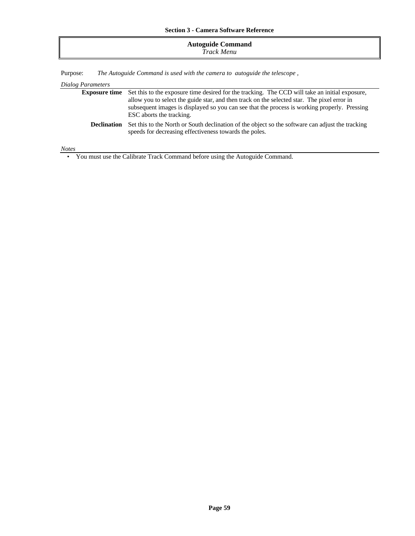### **Autoguide Command** *Track Menu*

Purpose: *The Autoguide Command is used with the camera to autoguide the telescope ,*

### *Dialog Parameters*

|                    | <b>Exposure time</b> Set this to the exposure time desired for the tracking. The CCD will take an initial exposure,                                        |  |
|--------------------|------------------------------------------------------------------------------------------------------------------------------------------------------------|--|
|                    | allow you to select the guide star, and then track on the selected star. The pixel error in                                                                |  |
|                    | subsequent images is displayed so you can see that the process is working properly. Pressing                                                               |  |
|                    | ESC aborts the tracking.                                                                                                                                   |  |
| <b>Declination</b> | Set this to the North or South declination of the object so the software can adjust the tracking<br>speeds for decreasing effectiveness towards the poles. |  |
|                    |                                                                                                                                                            |  |

*Notes*

• You must use the Calibrate Track Command before using the Autoguide Command.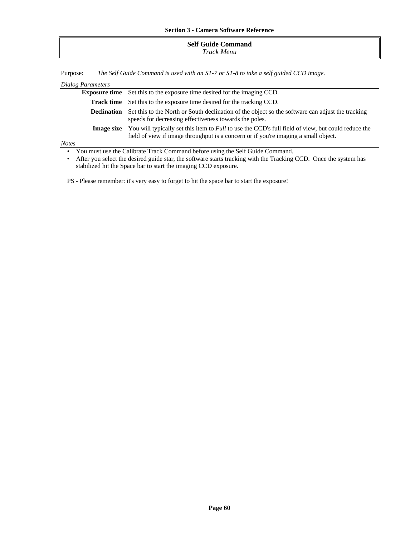| <b>Self Guide Command</b><br>Track Menu |
|-----------------------------------------|
|-----------------------------------------|

Purpose: *The Self Guide Command is used with an ST-7 or ST-8 to take a self guided CCD image.*

| Dialog Parameters                                                                          |                                                                                                                                                                                                  |  |
|--------------------------------------------------------------------------------------------|--------------------------------------------------------------------------------------------------------------------------------------------------------------------------------------------------|--|
|                                                                                            | <b>Exposure time</b> Set this to the exposure time desired for the imaging CCD.                                                                                                                  |  |
| <b>Track time</b>                                                                          | Set this to the exposure time desired for the tracking CCD.                                                                                                                                      |  |
| <b>Declination</b>                                                                         | Set this to the North or South declination of the object so the software can adjust the tracking<br>speeds for decreasing effectiveness towards the poles.                                       |  |
| <b>Image size</b>                                                                          | You will typically set this item to <i>Full</i> to use the CCD's full field of view, but could reduce the<br>field of view if image throughput is a concern or if you're imaging a small object. |  |
| <b>Notes</b>                                                                               |                                                                                                                                                                                                  |  |
| You must use the Calibrate Track Command before using the Self Guide Command.<br>$\bullet$ |                                                                                                                                                                                                  |  |

• After you select the desired guide star, the software starts tracking with the Tracking CCD. Once the system has stabilized hit the Space bar to start the imaging CCD exposure.

PS - Please remember: it's very easy to forget to hit the space bar to start the exposure!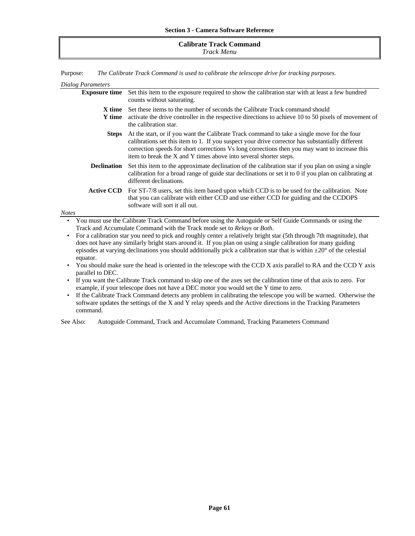#### **Calibrate Track Command** *Track Menu*

Purpose: *The Calibrate Track Command is used to calibrate the telescope drive for tracking purposes.*

| Dialog Parameters                                                                                                                                                                                                                                                                                                                                                                      |                                                                                                                                                                                                                                         |  |  |
|----------------------------------------------------------------------------------------------------------------------------------------------------------------------------------------------------------------------------------------------------------------------------------------------------------------------------------------------------------------------------------------|-----------------------------------------------------------------------------------------------------------------------------------------------------------------------------------------------------------------------------------------|--|--|
| <b>Exposure time</b>                                                                                                                                                                                                                                                                                                                                                                   | Set this item to the exposure required to show the calibration star with at least a few hundred<br>counts without saturating.                                                                                                           |  |  |
| X time<br>Y time                                                                                                                                                                                                                                                                                                                                                                       | Set these items to the number of seconds the Calibrate Track command should<br>activate the drive controller in the respective directions to achieve 10 to 50 pixels of movement of<br>the calibration star.                            |  |  |
| At the start, or if you want the Calibrate Track command to take a single move for the four<br><b>Steps</b><br>calibrations set this item to 1. If you suspect your drive corrector has substantially different<br>correction speeds for short corrections Vs long corrections then you may want to increase this<br>item to break the X and Y times above into several shorter steps. |                                                                                                                                                                                                                                         |  |  |
| <b>Declination</b>                                                                                                                                                                                                                                                                                                                                                                     | Set this item to the approximate declination of the calibration star if you plan on using a single<br>calibration for a broad range of guide star declinations or set it to 0 if you plan on calibrating at<br>different declinations.  |  |  |
| <b>Active CCD</b><br>For ST-7/8 users, set this item based upon which CCD is to be used for the calibration. Note<br>that you can calibrate with either CCD and use either CCD for guiding and the CCDOPS<br>software will sort it all out.                                                                                                                                            |                                                                                                                                                                                                                                         |  |  |
| <b>Notes</b>                                                                                                                                                                                                                                                                                                                                                                           |                                                                                                                                                                                                                                         |  |  |
| ٠                                                                                                                                                                                                                                                                                                                                                                                      | You must use the Calibrate Track Command before using the Autoguide or Self Guide Commands or using the<br>Track and Accumulate Command with the Track mode set to Relays or Both.                                                      |  |  |
| ٠                                                                                                                                                                                                                                                                                                                                                                                      | For a calibration star you need to pick and roughly center a relatively bright star (5th through 7th magnitude), that<br>does not have any similarly bright stars around it. If you plan on using a single calibration for many guiding |  |  |

- episodes at varying declinations you should additionally pick a calibration star that is within  $\pm 20^{\circ}$  of the celestial equator.
- You should make sure the head is oriented in the telescope with the CCD X axis parallel to RA and the CCD Y axis parallel to DEC.
- If you want the Calibrate Track command to skip one of the axes set the calibration time of that axis to zero. For example, if your telescope does not have a DEC motor you would set the Y time to zero.
- If the Calibrate Track Command detects any problem in calibrating the telescope you will be warned. Otherwise the software updates the settings of the X and Y relay speeds and the Active directions in the Tracking Parameters command.

See Also: Autoguide Command, Track and Accumulate Command, Tracking Parameters Command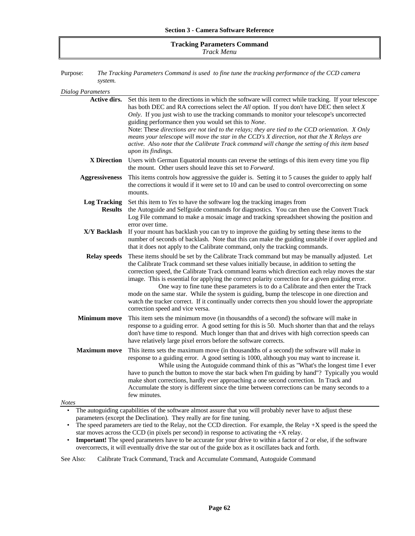#### **Tracking Parameters Command** *Track Menu*

Purpose: *The Tracking Parameters Command is used to fine tune the tracking performance of the CCD camera system.*

| <b>Dialog Parameters</b>              |                                                                                                                                                                                                                                                                                                                                                                                                                                                                                                                                                                                                                                                                                                                               |
|---------------------------------------|-------------------------------------------------------------------------------------------------------------------------------------------------------------------------------------------------------------------------------------------------------------------------------------------------------------------------------------------------------------------------------------------------------------------------------------------------------------------------------------------------------------------------------------------------------------------------------------------------------------------------------------------------------------------------------------------------------------------------------|
| Active dirs.                          | Set this item to the directions in which the software will correct while tracking. If your telescope<br>has both DEC and RA corrections select the All option. If you don't have DEC then select $X$<br>Only. If you just wish to use the tracking commands to monitor your telescope's uncorrected<br>guiding performance then you would set this to None.<br>Note: These directions are not tied to the relays; they are tied to the CCD orientation. X Only<br>means your telescope will move the star in the CCD's X direction, not that the X Relays are<br>active. Also note that the Calibrate Track command will change the setting of this item based<br>upon its findings.                                          |
| X Direction                           | Users with German Equatorial mounts can reverse the settings of this item every time you flip<br>the mount. Other users should leave this set to <i>Forward</i> .                                                                                                                                                                                                                                                                                                                                                                                                                                                                                                                                                             |
| <b>Aggressiveness</b>                 | This items controls how aggressive the guider is. Setting it to 5 causes the guider to apply half<br>the corrections it would if it were set to 10 and can be used to control overcorrecting on some<br>mounts.                                                                                                                                                                                                                                                                                                                                                                                                                                                                                                               |
| <b>Log Tracking</b><br><b>Results</b> | Set this item to Yes to have the software log the tracking images from<br>the Autoguide and Selfguide commands for diagnostics. You can then use the Convert Track<br>Log File command to make a mosaic image and tracking spreadsheet showing the position and<br>error over time.                                                                                                                                                                                                                                                                                                                                                                                                                                           |
| X/Y Backlash                          | If your mount has backlash you can try to improve the guiding by setting these items to the<br>number of seconds of backlash. Note that this can make the guiding unstable if over applied and<br>that it does not apply to the Calibrate command, only the tracking commands.                                                                                                                                                                                                                                                                                                                                                                                                                                                |
| <b>Relay speeds</b>                   | These items should be set by the Calibrate Track command but may be manually adjusted. Let<br>the Calibrate Track command set these values initially because, in addition to setting the<br>correction speed, the Calibrate Track command learns which direction each relay moves the star<br>image. This is essential for applying the correct polarity correction for a given guiding error.<br>One way to fine tune these parameters is to do a Calibrate and then enter the Track<br>mode on the same star. While the system is guiding, bump the telescope in one direction and<br>watch the tracker correct. If it continually under corrects then you should lower the appropriate<br>correction speed and vice versa. |
| <b>Minimum move</b>                   | This item sets the minimum move (in thousandths of a second) the software will make in<br>response to a guiding error. A good setting for this is 50. Much shorter than that and the relays<br>don't have time to respond. Much longer than that and drives with high correction speeds can<br>have relatively large pixel errors before the software corrects.                                                                                                                                                                                                                                                                                                                                                               |
| <b>Maximum move</b><br><b>Notes</b>   | This items sets the maximum move (in thousandths of a second) the software will make in<br>response to a guiding error. A good setting is 1000, although you may want to increase it.<br>While using the Autoguide command think of this as "What's the longest time I ever<br>have to punch the button to move the star back when I'm guiding by hand"? Typically you would<br>make short corrections, hardly ever approaching a one second correction. In Track and<br>Accumulate the story is different since the time between corrections can be many seconds to a<br>few minutes.                                                                                                                                        |
|                                       | The autoguiding capabilities of the software almost assure that you will probably never have to adjust these<br>parameters (except the Declination). They really are for fine tuning.                                                                                                                                                                                                                                                                                                                                                                                                                                                                                                                                         |
|                                       |                                                                                                                                                                                                                                                                                                                                                                                                                                                                                                                                                                                                                                                                                                                               |

• The speed parameters are tied to the Relay, not the CCD direction. For example, the Relay  $+X$  speed is the speed the star moves across the CCD (in pixels per second) in response to activating the +X relay.

• **Important!** The speed parameters have to be accurate for your drive to within a factor of 2 or else, if the software overcorrects, it will eventually drive the star out of the guide box as it oscillates back and forth.

See Also: Calibrate Track Command, Track and Accumulate Command, Autoguide Command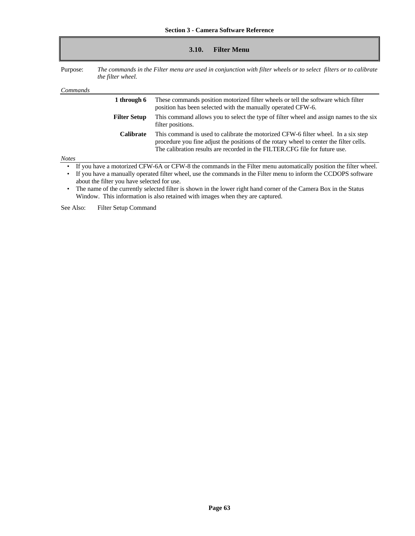| 3.10. | <b>Filter Menu</b> |
|-------|--------------------|
|-------|--------------------|

Purpose: *The commands in the Filter menu are used in conjunction with filter wheels or to select filters or to calibrate the filter wheel.*

| <i>Commands</i>                                                                                                                                                                                                                                                                                              |                                                                                                                                                                                                                                                              |  |
|--------------------------------------------------------------------------------------------------------------------------------------------------------------------------------------------------------------------------------------------------------------------------------------------------------------|--------------------------------------------------------------------------------------------------------------------------------------------------------------------------------------------------------------------------------------------------------------|--|
| 1 through 6                                                                                                                                                                                                                                                                                                  | These commands position motorized filter wheels or tell the software which filter<br>position has been selected with the manually operated CFW-6.                                                                                                            |  |
| <b>Filter Setup</b>                                                                                                                                                                                                                                                                                          | This command allows you to select the type of filter wheel and assign names to the six<br>filter positions.                                                                                                                                                  |  |
| <b>Calibrate</b>                                                                                                                                                                                                                                                                                             | This command is used to calibrate the motorized CFW-6 filter wheel. In a six step<br>procedure you fine adjust the positions of the rotary wheel to center the filter cells.<br>The calibration results are recorded in the FILTER. CFG file for future use. |  |
| <b>Notes</b>                                                                                                                                                                                                                                                                                                 |                                                                                                                                                                                                                                                              |  |
| If you have a motorized CFW-6A or CFW-8 the commands in the Filter menu automatically position the filter wheel.<br>$\bullet$<br>If you have a manually operated filter wheel, use the commands in the Filter menu to inform the CCDOPS software<br>$\bullet$<br>about the filter you have selected for use. |                                                                                                                                                                                                                                                              |  |

• The name of the currently selected filter is shown in the lower right hand corner of the Camera Box in the Status Window. This information is also retained with images when they are captured.

See Also: Filter Setup Command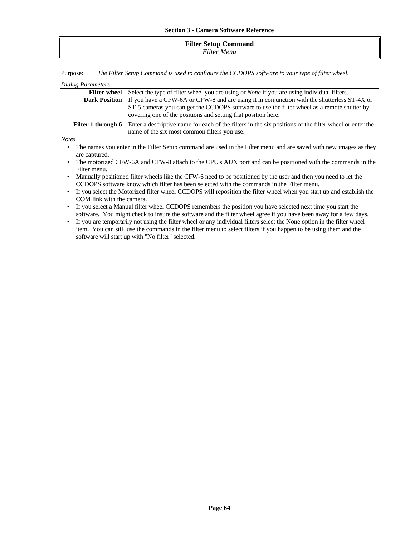| <b>Filter Setup Command</b><br>Filter Menu |
|--------------------------------------------|
|                                            |

Purpose: *The Filter Setup Command is used to configure the CCDOPS software to your type of filter wheel.*

| Dialog Parameters                                                                                               |                                                                                                                                                                                                                                                             |  |  |
|-----------------------------------------------------------------------------------------------------------------|-------------------------------------------------------------------------------------------------------------------------------------------------------------------------------------------------------------------------------------------------------------|--|--|
| <b>Filter wheel</b>                                                                                             | Select the type of filter wheel you are using or <i>None</i> if you are using individual filters.                                                                                                                                                           |  |  |
| <b>Dark Position</b>                                                                                            | If you have a CFW-6A or CFW-8 and are using it in conjunction with the shutterless ST-4X or<br>ST-5 cameras you can get the CCDOPS software to use the filter wheel as a remote shutter by<br>covering one of the positions and setting that position here. |  |  |
| Filter 1 through 6                                                                                              | Enter a descriptive name for each of the filters in the six positions of the filter wheel or enter the<br>name of the six most common filters you use.                                                                                                      |  |  |
| <b>Notes</b>                                                                                                    |                                                                                                                                                                                                                                                             |  |  |
| are captured.                                                                                                   | The names you enter in the Filter Setup command are used in the Filter menu and are saved with new images as they                                                                                                                                           |  |  |
| The motorized CFW-6A and CFW-8 attach to the CPU's AUX port and can be positioned with the commands in the      |                                                                                                                                                                                                                                                             |  |  |
| Filter menu.                                                                                                    |                                                                                                                                                                                                                                                             |  |  |
| Manually positioned filter wheels like the CFW-6 need to be positioned by the user and then you need to let the |                                                                                                                                                                                                                                                             |  |  |
|                                                                                                                 | CCDOPS software know which filter has been selected with the commands in the Filter menu.                                                                                                                                                                   |  |  |
|                                                                                                                 | If you select the Motorized filter wheel CCDOPS will reposition the filter wheel when you start up and establish the                                                                                                                                        |  |  |

- COM link with the camera.
- If you select a Manual filter wheel CCDOPS remembers the position you have selected next time you start the software. You might check to insure the software and the filter wheel agree if you have been away for a few days.
- If you are temporarily not using the filter wheel or any individual filters select the None option in the filter wheel item. You can still use the commands in the filter menu to select filters if you happen to be using them and the software will start up with "No filter" selected.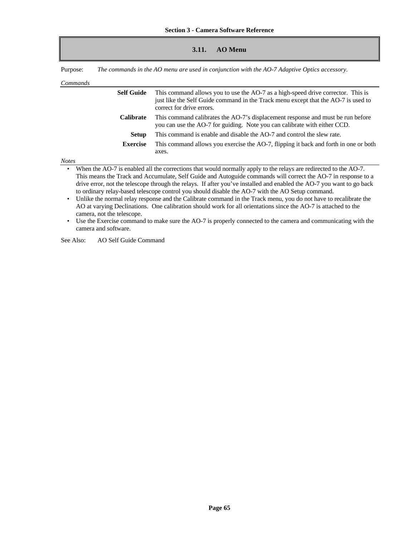| 3.11. | <b>AO Menu</b> |
|-------|----------------|
|       |                |

Purpose: *The commands in the AO menu are used in conjunction with the AO-7 Adaptive Optics accessory.*

*Commands*

| Commands |                   |                                                                                                                                                                                                     |
|----------|-------------------|-----------------------------------------------------------------------------------------------------------------------------------------------------------------------------------------------------|
|          | <b>Self Guide</b> | This command allows you to use the AO-7 as a high-speed drive corrector. This is<br>just like the Self Guide command in the Track menu except that the AO-7 is used to<br>correct for drive errors. |
|          | <b>Calibrate</b>  | This command calibrates the AO-7's displacement response and must be run before<br>you can use the AO-7 for guiding. Note you can calibrate with either CCD.                                        |
|          | Setup             | This command is enable and disable the AO-7 and control the slew rate.                                                                                                                              |
|          | <b>Exercise</b>   | This command allows you exercise the AO-7, flipping it back and forth in one or both<br>axes.                                                                                                       |
| Notes    |                   |                                                                                                                                                                                                     |

• When the AO-7 is enabled all the corrections that would normally apply to the relays are redirected to the AO-7. This means the Track and Accumulate, Self Guide and Autoguide commands will correct the AO-7 in response to a drive error, not the telescope through the relays. If after you've installed and enabled the AO-7 you want to go back to ordinary relay-based telescope control you should disable the AO-7 with the AO Setup command.

• Unlike the normal relay response and the Calibrate command in the Track menu, you do not have to recalibrate the AO at varying Declinations. One calibration should work for all orientations since the AO-7 is attached to the camera, not the telescope.

• Use the Exercise command to make sure the AO-7 is properly connected to the camera and communicating with the camera and software.

See Also: AO Self Guide Command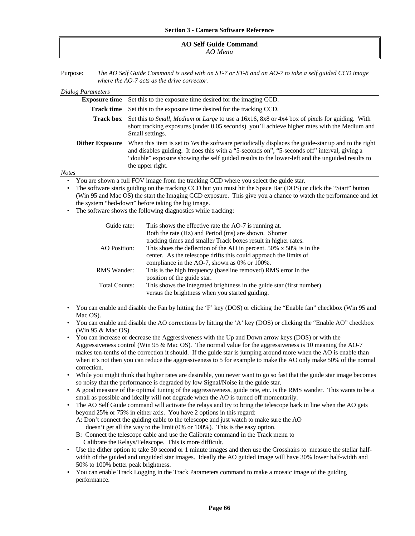#### **AO Self Guide Command** *AO Menu*

Purpose: *The AO Self Guide Command is used with an ST-7 or ST-8 and an AO-7 to take a self guided CCD image where the AO-7 acts as the drive corrector.*

| Dialog Parameters                                                                                                                                                                                                                        |                                                                                                                                                                                                                                                                                                                            |  |  |  |
|------------------------------------------------------------------------------------------------------------------------------------------------------------------------------------------------------------------------------------------|----------------------------------------------------------------------------------------------------------------------------------------------------------------------------------------------------------------------------------------------------------------------------------------------------------------------------|--|--|--|
| <b>Exposure time</b>                                                                                                                                                                                                                     | Set this to the exposure time desired for the imaging CCD.                                                                                                                                                                                                                                                                 |  |  |  |
| Track time                                                                                                                                                                                                                               | Set this to the exposure time desired for the tracking CCD.                                                                                                                                                                                                                                                                |  |  |  |
| <b>Track box</b>                                                                                                                                                                                                                         | Set this to <i>Small, Medium</i> or <i>Large</i> to use a 16x16, 8x8 or 4x4 box of pixels for guiding. With<br>short tracking exposures (under 0.05 seconds) you'll achieve higher rates with the Medium and<br>Small settings.                                                                                            |  |  |  |
| <b>Dither Exposure</b>                                                                                                                                                                                                                   | When this item is set to Yes the software periodically displaces the guide-star up and to the right<br>and disables guiding. It does this with a "5-seconds on", "5-seconds off" interval, giving a<br>"double" exposure showing the self guided results to the lower-left and the unguided results to<br>the upper right. |  |  |  |
| Notes                                                                                                                                                                                                                                    |                                                                                                                                                                                                                                                                                                                            |  |  |  |
| ٠                                                                                                                                                                                                                                        | You are shown a full FOV image from the tracking CCD where you select the guide star.                                                                                                                                                                                                                                      |  |  |  |
| The software starts guiding on the tracking CCD but you must hit the Space Bar (DOS) or click the "Start" button<br>٠<br>(Win 95 and Mac OS) the start the Imaging CCD exposure. This give you a chance to watch the performance and let |                                                                                                                                                                                                                                                                                                                            |  |  |  |
|                                                                                                                                                                                                                                          | the system "bed-down" before taking the big image.                                                                                                                                                                                                                                                                         |  |  |  |
| The software shows the following diagnostics while tracking:<br>٠                                                                                                                                                                        |                                                                                                                                                                                                                                                                                                                            |  |  |  |
| Guide rate:                                                                                                                                                                                                                              | This shows the effective rate the AO-7 is running at.                                                                                                                                                                                                                                                                      |  |  |  |
|                                                                                                                                                                                                                                          | Both the rate (Hz) and Period (ms) are shown. Shorter                                                                                                                                                                                                                                                                      |  |  |  |
|                                                                                                                                                                                                                                          | tracking times and smaller Track boxes result in higher rates.                                                                                                                                                                                                                                                             |  |  |  |
| AO Position:                                                                                                                                                                                                                             | This shoes the deflection of the AO in percent. 50% x 50% is in the                                                                                                                                                                                                                                                        |  |  |  |
|                                                                                                                                                                                                                                          | center. As the telescope drifts this could approach the limits of                                                                                                                                                                                                                                                          |  |  |  |
|                                                                                                                                                                                                                                          | compliance in the AO-7, shown as $0\%$ or $100\%$ .                                                                                                                                                                                                                                                                        |  |  |  |

RMS Wander: This is the high frequency (baseline removed) RMS error in the position of the guide star. Total Counts: This shows the integrated brightness in the guide star (first number)

versus the brightness when you started guiding.

- You can enable and disable the Fan by hitting the 'F' key (DOS) or clicking the "Enable fan" checkbox (Win 95 and Mac OS).
- You can enable and disable the AO corrections by hitting the 'A' key (DOS) or clicking the "Enable AO" checkbox (Win 95 & Mac OS).
- You can increase or decrease the Aggressiveness with the Up and Down arrow keys (DOS) or with the Aggressiveness control (Win 95 & Mac OS). The normal value for the aggressiveness is 10 meaning the AO-7 makes ten-tenths of the correction it should. If the guide star is jumping around more when the AO is enable than when it's not then you can reduce the aggressiveness to 5 for example to make the AO only make 50% of the normal correction.
- While you might think that higher rates are desirable, you never want to go so fast that the guide star image becomes so noisy that the performance is degraded by low Signal/Noise in the guide star.
- A good measure of the optimal tuning of the aggressiveness, guide rate, etc. is the RMS wander. This wants to be a small as possible and ideally will not degrade when the AO is turned off momentarily.
- The AO Self Guide command will activate the relays and try to bring the telescope back in line when the AO gets beyond 25% or 75% in either axis. You have 2 options in this regard:
	- A: Don't connect the guiding cable to the telescope and just watch to make sure the AO doesn't get all the way to the limit (0% or 100%). This is the easy option.
	- B: Connect the telescope cable and use the Calibrate command in the Track menu to Calibrate the Relays/Telescope. This is more difficult.
- Use the dither option to take 30 second or 1 minute images and then use the Crosshairs to measure the stellar halfwidth of the guided and unguided star images. Ideally the AO guided image will have 30% lower half-width and 50% to 100% better peak brightness.
- You can enable Track Logging in the Track Parameters command to make a mosaic image of the guiding performance.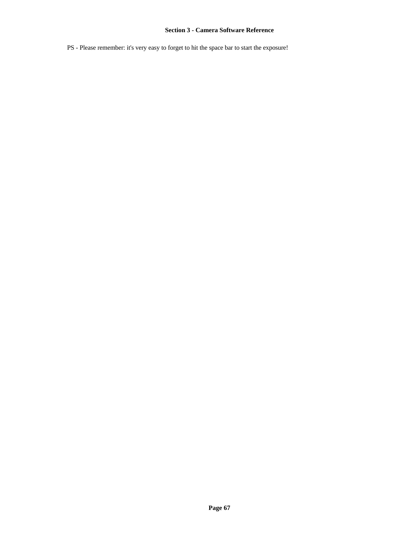PS - Please remember: it's very easy to forget to hit the space bar to start the exposure!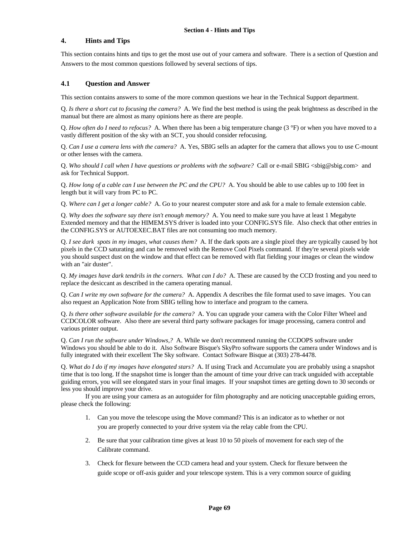# **4. Hints and Tips**

This section contains hints and tips to get the most use out of your camera and software. There is a section of Question and Answers to the most common questions followed by several sections of tips.

### **4.1 Question and Answer**

This section contains answers to some of the more common questions we hear in the Technical Support department.

Q. *Is there a short cut to focusing the camera?* A. We find the best method is using the peak brightness as described in the manual but there are almost as many opinions here as there are people.

Q. *How often do I need to refocus?* A. When there has been a big temperature change (3 °F) or when you have moved to a vastly different position of the sky with an SCT, you should consider refocusing.

Q. *Can I use a camera lens with the camera?* A. Yes, SBIG sells an adapter for the camera that allows you to use C-mount or other lenses with the camera.

Q. *Who should I call when I have questions or problems with the software?* Call or e-mail SBIG <sbig@sbig.com> and ask for Technical Support.

Q. *How long of a cable can I use between the PC and the CPU?* A. You should be able to use cables up to 100 feet in length but it will vary from PC to PC.

Q. *Where can I get a longer cable?* A. Go to your nearest computer store and ask for a male to female extension cable.

Q. *Why does the software say there isn't enough memory?* A. You need to make sure you have at least 1 Megabyte Extended memory and that the HIMEM.SYS driver is loaded into your CONFIG.SYS file. Also check that other entries in the CONFIG.SYS or AUTOEXEC.BAT files are not consuming too much memory.

Q. *I see dark spots in my images, what causes them?* A. If the dark spots are a single pixel they are typically caused by hot pixels in the CCD saturating and can be removed with the Remove Cool Pixels command. If they're several pixels wide you should suspect dust on the window and that effect can be removed with flat fielding your images or clean the window with an "air duster".

Q. *My images have dark tendrils in the corners. What can I do?* A. These are caused by the CCD frosting and you need to replace the desiccant as described in the camera operating manual.

Q. *Can I write my own software for the camera?* A. Appendix A describes the file format used to save images. You can also request an Application Note from SBIG telling how to interface and program to the camera.

Q. *Is there other software available for the camera?* A. You can upgrade your camera with the Color Filter Wheel and CCDCOLOR software. Also there are several third party software packages for image processing, camera control and various printer output.

Q. *Can I run the software under Windows,?* A. While we don't recommend running the CCDOPS software under Windows you should be able to do it. Also Software Bisque's SkyPro software supports the camera under Windows and is fully integrated with their excellent The Sky software. Contact Software Bisque at (303) 278-4478.

Q. *What do I do if my images have elongated stars?* A. If using Track and Accumulate you are probably using a snapshot time that is too long. If the snapshot time is longer than the amount of time your drive can track unguided with acceptable guiding errors, you will see elongated stars in your final images. If your snapshot times are getting down to 30 seconds or less you should improve your drive.

If you are using your camera as an autoguider for film photography and are noticing unacceptable guiding errors, please check the following:

- 1. Can you move the telescope using the Move command? This is an indicator as to whether or not you are properly connected to your drive system via the relay cable from the CPU.
- 2. Be sure that your calibration time gives at least 10 to 50 pixels of movement for each step of the Calibrate command.
- 3. Check for flexure between the CCD camera head and your system. Check for flexure between the guide scope or off-axis guider and your telescope system. This is a very common source of guiding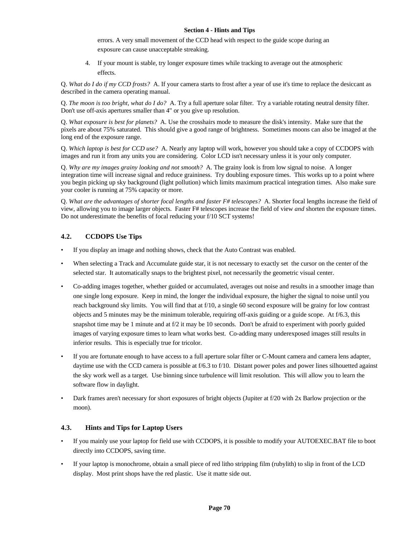### **Section 4 - Hints and Tips**

errors. A very small movement of the CCD head with respect to the guide scope during an exposure can cause unacceptable streaking.

4. If your mount is stable, try longer exposure times while tracking to average out the atmospheric effects.

Q. *What do I do if my CCD frosts?* A. If your camera starts to frost after a year of use it's time to replace the desiccant as described in the camera operating manual.

Q. *The moon is too bright, what do I do?* A. Try a full aperture solar filter. Try a variable rotating neutral density filter. Don't use off-axis apertures smaller than 4" or you give up resolution.

Q. *What exposure is best for planets?* A. Use the crosshairs mode to measure the disk's intensity. Make sure that the pixels are about 75% saturated. This should give a good range of brightness. Sometimes moons can also be imaged at the long end of the exposure range.

Q. *Which laptop is best for CCD use?* A. Nearly any laptop will work, however you should take a copy of CCDOPS with images and run it from any units you are considering. Color LCD isn't necessary unless it is your only computer.

Q. *Why are my images grainy looking and not smooth?* A. The grainy look is from low signal to noise. A longer integration time will increase signal and reduce graininess. Try doubling exposure times. This works up to a point where you begin picking up sky background (light pollution) which limits maximum practical integration times. Also make sure your cooler is running at 75% capacity or more.

Q. *What are the advantages of shorter focal lengths and faster F# telescopes?* A. Shorter focal lengths increase the field of view, allowing you to image larger objects. Faster F# telescopes increase the field of view *and* shorten the exposure times. Do not underestimate the benefits of focal reducing your f/10 SCT systems!

### **4.2. CCDOPS Use Tips**

- If you display an image and nothing shows, check that the Auto Contrast was enabled.
- When selecting a Track and Accumulate guide star, it is not necessary to exactly set the cursor on the center of the selected star. It automatically snaps to the brightest pixel, not necessarily the geometric visual center.
- Co-adding images together, whether guided or accumulated, averages out noise and results in a smoother image than one single long exposure. Keep in mind, the longer the individual exposure, the higher the signal to noise until you reach background sky limits. You will find that at f/10, a single 60 second exposure will be grainy for low contrast objects and 5 minutes may be the minimum tolerable, requiring off-axis guiding or a guide scope. At f/6.3, this snapshot time may be 1 minute and at f/2 it may be 10 seconds. Don't be afraid to experiment with poorly guided images of varying exposure times to learn what works best. Co-adding many underexposed images still results in inferior results. This is especially true for tricolor.
- If you are fortunate enough to have access to a full aperture solar filter or C-Mount camera and camera lens adapter, daytime use with the CCD camera is possible at f/6.3 to f/10. Distant power poles and power lines silhouetted against the sky work well as a target. Use binning since turbulence will limit resolution. This will allow you to learn the software flow in daylight.
- Dark frames aren't necessary for short exposures of bright objects (Jupiter at f/20 with 2x Barlow projection or the moon).

### **4.3. Hints and Tips for Laptop Users**

- If you mainly use your laptop for field use with CCDOPS, it is possible to modify your AUTOEXEC.BAT file to boot directly into CCDOPS, saving time.
- If your laptop is monochrome, obtain a small piece of red litho stripping film (rubylith) to slip in front of the LCD display. Most print shops have the red plastic. Use it matte side out.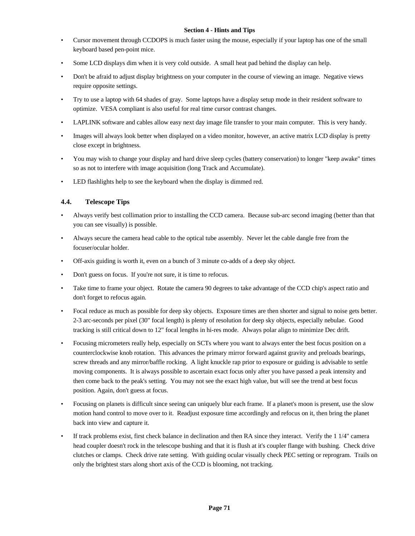### **Section 4 - Hints and Tips**

- Cursor movement through CCDOPS is much faster using the mouse, especially if your laptop has one of the small keyboard based pen-point mice.
- Some LCD displays dim when it is very cold outside. A small heat pad behind the display can help.
- Don't be afraid to adjust display brightness on your computer in the course of viewing an image. Negative views require opposite settings.
- Try to use a laptop with 64 shades of gray. Some laptops have a display setup mode in their resident software to optimize. VESA compliant is also useful for real time cursor contrast changes.
- LAPLINK software and cables allow easy next day image file transfer to your main computer. This is very handy.
- Images will always look better when displayed on a video monitor, however, an active matrix LCD display is pretty close except in brightness.
- You may wish to change your display and hard drive sleep cycles (battery conservation) to longer "keep awake" times so as not to interfere with image acquisition (long Track and Accumulate).
- LED flashlights help to see the keyboard when the display is dimmed red.

### **4.4. Telescope Tips**

- Always verify best collimation prior to installing the CCD camera. Because sub-arc second imaging (better than that you can see visually) is possible.
- Always secure the camera head cable to the optical tube assembly. Never let the cable dangle free from the focuser/ocular holder.
- Off-axis guiding is worth it, even on a bunch of 3 minute co-adds of a deep sky object.
- Don't guess on focus. If you're not sure, it is time to refocus.
- Take time to frame your object. Rotate the camera 90 degrees to take advantage of the CCD chip's aspect ratio and don't forget to refocus again.
- Focal reduce as much as possible for deep sky objects. Exposure times are then shorter and signal to noise gets better. 2-3 arc-seconds per pixel (30" focal length) is plenty of resolution for deep sky objects, especially nebulae. Good tracking is still critical down to 12" focal lengths in hi-res mode. Always polar align to minimize Dec drift.
- Focusing micrometers really help, especially on SCTs where you want to always enter the best focus position on a counterclockwise knob rotation. This advances the primary mirror forward against gravity and preloads bearings, screw threads and any mirror/baffle rocking. A light knuckle rap prior to exposure or guiding is advisable to settle moving components. It is always possible to ascertain exact focus only after you have passed a peak intensity and then come back to the peak's setting. You may not see the exact high value, but will see the trend at best focus position. Again, don't guess at focus.
- Focusing on planets is difficult since seeing can uniquely blur each frame. If a planet's moon is present, use the slow motion hand control to move over to it. Readjust exposure time accordingly and refocus on it, then bring the planet back into view and capture it.
- If track problems exist, first check balance in declination and then RA since they interact. Verify the 1 1/4" camera head coupler doesn't rock in the telescope bushing and that it is flush at it's coupler flange with bushing. Check drive clutches or clamps. Check drive rate setting. With guiding ocular visually check PEC setting or reprogram. Trails on only the brightest stars along short axis of the CCD is blooming, not tracking.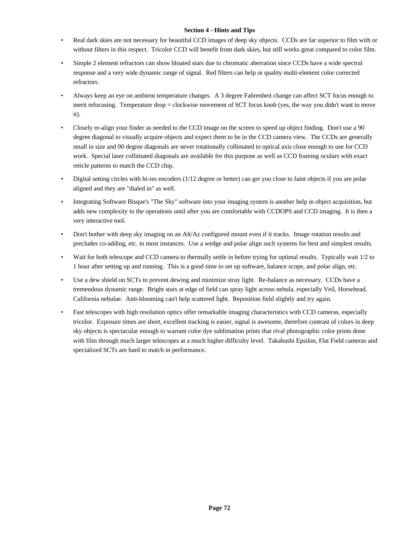### **Section 4 - Hints and Tips**

- Real dark skies are not necessary for beautiful CCD images of deep sky objects. CCDs are far superior to film with or without filters in this respect. Tricolor CCD will benefit from dark skies, but still works great compared to color film.
- Simple 2 element refractors can show bloated stars due to chromatic aberration since CCDs have a wide spectral response and a very wide dynamic range of signal. Red filters can help or quality multi-element color corrected refractors.
- Always keep an eye on ambient temperature changes. A 3 degree Fahrenheit change can affect SCT focus enough to merit refocusing. Temperature drop = clockwise movement of SCT focus knob (yes, the way you didn't want to move it).
- Closely re-align your finder as needed to the CCD image on the screen to speed up object finding. Don't use a 90 degree diagonal to visually acquire objects and expect them to be in the CCD camera view. The CCDs are generally small in size and 90 degree diagonals are never rotationally collimated to optical axis close enough to use for CCD work. Special laser collimated diagonals are available for this purpose as well as CCD framing oculars with exact reticle patterns to match the CCD chip.
- Digital setting circles with hi-res encoders (1/12 degree or better) can get you close to faint objects if you are polar aligned and they are "dialed in" as well.
- Integrating Software Bisque's "The Sky" software into your imaging system is another help in object acquisition, but adds new complexity to the operations until after you are comfortable with CCDOPS and CCD imaging. It is then a very interactive tool.
- Don't bother with deep sky imaging on an Alt/Az configured mount even if it tracks. Image rotation results and precludes co-adding, etc. in most instances. Use a wedge and polar align such systems for best and simplest results.
- Wait for both telescope and CCD camera to thermally settle in before trying for optimal results. Typically wait 1/2 to 1 hour after setting up and running. This is a good time to set up software, balance scope, and polar align, etc.
- Use a dew shield on SCTs to prevent dewing and minimize stray light. Re-balance as necessary. CCDs have a tremendous dynamic range. Bright stars at edge of field can spray light across nebula, especially Veil, Horsehead, California nebulae. Anti-blooming can't help scattered light. Reposition field slightly and try again.
- Fast telescopes with high resolution optics offer remarkable imaging characteristics with CCD cameras, especially tricolor. Exposure times are short, excellent tracking is easier, signal is awesome, therefore contrast of colors in deep sky objects is spectacular enough to warrant color dye sublimation prints that rival photographic color prints done with film through much larger telescopes at a much higher difficulty level. Takahashi Epsilon, Flat Field cameras and specialized SCTs are hard to match in performance.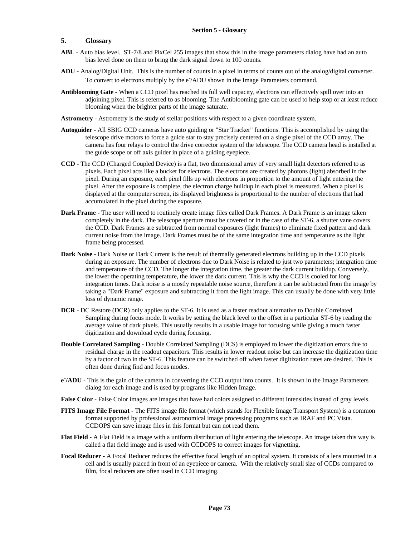## **5. Glossary**

- ABL Auto bias level. ST-7/8 and PixCel 255 images that show this in the image parameters dialog have had an auto bias level done on them to bring the dark signal down to 100 counts.
- **ADU -** Analog/Digital Unit. This is the number of counts in a pixel in terms of counts out of the analog/digital converter. To convert to electrons multiply by the e<sup>-</sup>/ADU shown in the Image Parameters command.
- **Antiblooming Gate** When a CCD pixel has reached its full well capacity, electrons can effectively spill over into an adjoining pixel. This is referred to as blooming. The Antiblooming gate can be used to help stop or at least reduce blooming when the brighter parts of the image saturate.
- **Astrometry** Astrometry is the study of stellar positions with respect to a given coordinate system.
- **Autoguider** All SBIG CCD cameras have auto guiding or "Star Tracker" functions. This is accomplished by using the telescope drive motors to force a guide star to stay precisely centered on a single pixel of the CCD array. The camera has four relays to control the drive corrector system of the telescope. The CCD camera head is installed at the guide scope or off axis guider in place of a guiding eyepiece.
- **CCD** The CCD (Charged Coupled Device) is a flat, two dimensional array of very small light detectors referred to as pixels. Each pixel acts like a bucket for electrons. The electrons are created by photons (light) absorbed in the pixel. During an exposure, each pixel fills up with electrons in proportion to the amount of light entering the pixel. After the exposure is complete, the electron charge buildup in each pixel is measured. When a pixel is displayed at the computer screen, its displayed brightness is proportional to the number of electrons that had accumulated in the pixel during the exposure.
- **Dark Frame** The user will need to routinely create image files called Dark Frames. A Dark Frame is an image taken completely in the dark. The telescope aperture must be covered or in the case of the ST-6, a shutter vane covers the CCD. Dark Frames are subtracted from normal exposures (light frames) to eliminate fixed pattern and dark current noise from the image. Dark Frames must be of the same integration time and temperature as the light frame being processed.
- **Dark Noise**  Dark Noise or Dark Current is the result of thermally generated electrons building up in the CCD pixels during an exposure. The number of electrons due to Dark Noise is related to just two parameters; integration time and temperature of the CCD. The longer the integration time, the greater the dark current buildup. Conversely, the lower the operating temperature, the lower the dark current. This is why the CCD is cooled for long integration times. Dark noise is a mostly repeatable noise source, therefore it can be subtracted from the image by taking a "Dark Frame" exposure and subtracting it from the light image. This can usually be done with very little loss of dynamic range.
- **DCR** DC Restore (DCR) only applies to the ST-6. It is used as a faster readout alternative to Double Correlated Sampling during focus mode. It works by setting the black level to the offset in a particular ST-6 by reading the average value of dark pixels. This usually results in a usable image for focusing while giving a much faster digitization and download cycle during focusing.
- **Double Correlated Sampling** Double Correlated Sampling (DCS) is employed to lower the digitization errors due to residual charge in the readout capacitors. This results in lower readout noise but can increase the digitization time by a factor of two in the ST-6. This feature can be switched off when faster digitization rates are desired. This is often done during find and focus modes.
- **e - /ADU** This is the gain of the camera in converting the CCD output into counts. It is shown in the Image Parameters dialog for each image and is used by programs like Hidden Image.
- **False Color** False Color images are images that have had colors assigned to different intensities instead of gray levels.
- **FITS Image File Format** The FITS image file format (which stands for Flexible Image Transport System) is a common format supported by professional astronomical image processing programs such as IRAF and PC Vista. CCDOPS can save image files in this format but can not read them.
- **Flat Field** A Flat Field is a image with a uniform distribution of light entering the telescope. An image taken this way is called a flat field image and is used with CCDOPS to correct images for vignetting.
- **Focal Reducer** A Focal Reducer reduces the effective focal length of an optical system. It consists of a lens mounted in a cell and is usually placed in front of an eyepiece or camera. With the relatively small size of CCDs compared to film, focal reducers are often used in CCD imaging.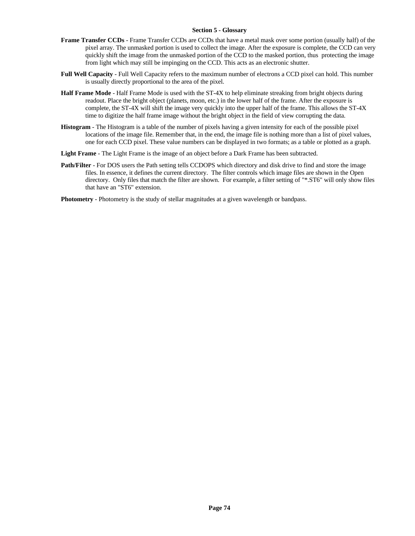#### **Section 5 - Glossary**

- **Frame Transfer CCDs** Frame Transfer CCDs are CCDs that have a metal mask over some portion (usually half) of the pixel array. The unmasked portion is used to collect the image. After the exposure is complete, the CCD can very quickly shift the image from the unmasked portion of the CCD to the masked portion, thus protecting the image from light which may still be impinging on the CCD. This acts as an electronic shutter.
- **Full Well Capacity** Full Well Capacity refers to the maximum number of electrons a CCD pixel can hold. This number is usually directly proportional to the area of the pixel.
- **Half Frame Mode** Half Frame Mode is used with the ST-4X to help eliminate streaking from bright objects during readout. Place the bright object (planets, moon, etc.) in the lower half of the frame. After the exposure is complete, the ST-4X will shift the image very quickly into the upper half of the frame. This allows the ST-4X time to digitize the half frame image without the bright object in the field of view corrupting the data.
- **Histogram** The Histogram is a table of the number of pixels having a given intensity for each of the possible pixel locations of the image file. Remember that, in the end, the image file is nothing more than a list of pixel values, one for each CCD pixel. These value numbers can be displayed in two formats; as a table or plotted as a graph.
- **Light Frame** The Light Frame is the image of an object before a Dark Frame has been subtracted.
- **Path/Filter**  For DOS users the Path setting tells CCDOPS which directory and disk drive to find and store the image files. In essence, it defines the current directory. The filter controls which image files are shown in the Open directory. Only files that match the filter are shown. For example, a filter setting of "\*.ST6" will only show files that have an "ST6" extension.

**Photometry** - Photometry is the study of stellar magnitudes at a given wavelength or bandpass.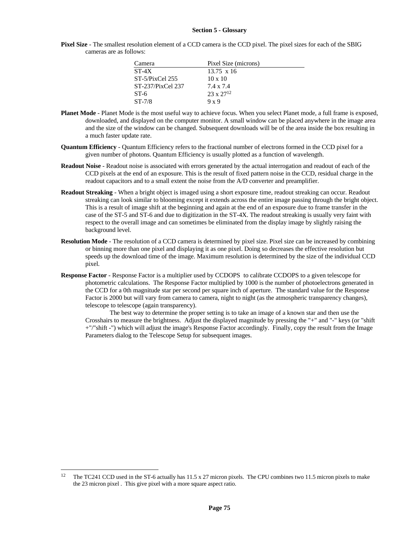#### **Section 5 - Glossary**

**Pixel Size** - The smallest resolution element of a CCD camera is the CCD pixel. The pixel sizes for each of the SBIG cameras are as follows:

| Camera             | Pixel Size (microns) |
|--------------------|----------------------|
| $ST-4X$            | $13.75 \times 16$    |
| $ST-5/P$ ixCel 255 | $10 \times 10$       |
| ST-237/PixCel 237  | 7.4 x 7.4            |
| $ST-6$             | $23 \times 27^{12}$  |
| $ST-7/8$           | 9 x 9                |

- **Planet Mode** Planet Mode is the most useful way to achieve focus. When you select Planet mode, a full frame is exposed, downloaded, and displayed on the computer monitor. A small window can be placed anywhere in the image area and the size of the window can be changed. Subsequent downloads will be of the area inside the box resulting in a much faster update rate.
- **Quantum Efficiency** Quantum Efficiency refers to the fractional number of electrons formed in the CCD pixel for a given number of photons. Quantum Efficiency is usually plotted as a function of wavelength.
- **Readout Noise** Readout noise is associated with errors generated by the actual interrogation and readout of each of the CCD pixels at the end of an exposure. This is the result of fixed pattern noise in the CCD, residual charge in the readout capacitors and to a small extent the noise from the A/D converter and preamplifier.
- **Readout Streaking** When a bright object is imaged using a short exposure time, readout streaking can occur. Readout streaking can look similar to blooming except it extends across the entire image passing through the bright object. This is a result of image shift at the beginning and again at the end of an exposure due to frame transfer in the case of the ST-5 and ST-6 and due to digitization in the ST-4X. The readout streaking is usually very faint with respect to the overall image and can sometimes be eliminated from the display image by slightly raising the background level.
- **Resolution Mode** The resolution of a CCD camera is determined by pixel size. Pixel size can be increased by combining or binning more than one pixel and displaying it as one pixel. Doing so decreases the effective resolution but speeds up the download time of the image. Maximum resolution is determined by the size of the individual CCD pixel.
- **Response Factor** Response Factor is a multiplier used by CCDOPS to calibrate CCDOPS to a given telescope for photometric calculations. The Response Factor multiplied by 1000 is the number of photoelectrons generated in the CCD for a 0th magnitude star per second per square inch of aperture. The standard value for the Response Factor is 2000 but will vary from camera to camera, night to night (as the atmospheric transparency changes), telescope to telescope (again transparency).

The best way to determine the proper setting is to take an image of a known star and then use the Crosshairs to measure the brightness. Adjust the displayed magnitude by pressing the "+" and "-" keys (or "shift +"/"shift -") which will adjust the image's Response Factor accordingly. Finally, copy the result from the Image Parameters dialog to the Telescope Setup for subsequent images.

 $\overline{a}$ 

<sup>&</sup>lt;sup>12</sup> The TC241 CCD used in the ST-6 actually has 11.5 x 27 micron pixels. The CPU combines two 11.5 micron pixels to make the 23 micron pixel . This give pixel with a more square aspect ratio.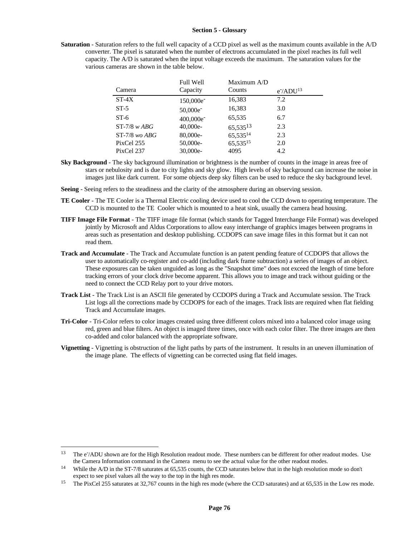#### **Section 5 - Glossary**

**Saturation** - Saturation refers to the full well capacity of a CCD pixel as well as the maximum counts available in the A/D converter. The pixel is saturated when the number of electrons accumulated in the pixel reaches its full well capacity. The A/D is saturated when the input voltage exceeds the maximum. The saturation values for the various cameras are shown in the table below.

|                   | <b>Full Well</b>      | Maximum A/D   |                           |
|-------------------|-----------------------|---------------|---------------------------|
| Camera            | Capacity              | Counts        | $e^{\frac{-\lambda}{13}}$ |
| $ST-4X$           | 150,000e <sup>-</sup> | 16,383        | 7.2                       |
| $ST-5$            | 50,000e <sup>-</sup>  | 16,383        | 3.0                       |
| $ST-6$            | 400,000e <sup>-</sup> | 65,535        | 6.7                       |
| $ST-7/8$ w $ABG$  | $40,000e-$            | $65,535^{13}$ | 2.3                       |
| $ST-7/8$ wo $ABG$ | 80,000e-              | 65,53514      | 2.3                       |
| PixCel 255        | 50,000e-              | 65,53515      | 2.0                       |
| PixCel 237        | 30.000e-              | 4095          | 4.2                       |

- **Sky Background** The sky background illumination or brightness is the number of counts in the image in areas free of stars or nebulosity and is due to city lights and sky glow. High levels of sky background can increase the noise in images just like dark current. For some objects deep sky filters can be used to reduce the sky background level.
- **Seeing** Seeing refers to the steadiness and the clarity of the atmosphere during an observing session.
- **TE Cooler**  The TE Cooler is a Thermal Electric cooling device used to cool the CCD down to operating temperature. The CCD is mounted to the TE Cooler which is mounted to a heat sink, usually the camera head housing.
- **TIFF Image File Format** The TIFF image file format (which stands for Tagged Interchange File Format) was developed jointly by Microsoft and Aldus Corporations to allow easy interchange of graphics images between programs in areas such as presentation and desktop publishing. CCDOPS can save image files in this format but it can not read them.
- **Track and Accumulate** The Track and Accumulate function is an patent pending feature of CCDOPS that allows the user to automatically co-register and co-add (including dark frame subtraction) a series of images of an object. These exposures can be taken unguided as long as the "Snapshot time" does not exceed the length of time before tracking errors of your clock drive become apparent. This allows you to image and track without guiding or the need to connect the CCD Relay port to your drive motors.
- **Track List** The Track List is an ASCII file generated by CCDOPS during a Track and Accumulate session. The Track List logs all the corrections made by CCDOPS for each of the images. Track lists are required when flat fielding Track and Accumulate images.
- **Tri-Color** Tri-Color refers to color images created using three different colors mixed into a balanced color image using red, green and blue filters. An object is imaged three times, once with each color filter. The three images are then co-added and color balanced with the appropriate software.
- **Vignetting** Vignetting is obstruction of the light paths by parts of the instrument. It results in an uneven illumination of the image plane. The effects of vignetting can be corrected using flat field images.

 $\overline{a}$ 

<sup>&</sup>lt;sup>13</sup> The e<sup>-</sup>/ADU shown are for the High Resolution readout mode. These numbers can be different for other readout modes. Use the Camera Information command in the Camera menu to see the actual value for the other readout modes.

<sup>&</sup>lt;sup>14</sup> While the A/D in the ST-7/8 saturates at 65,535 counts, the CCD saturates below that in the high resolution mode so don't expect to see pixel values all the way to the top in the high res mode.

<sup>&</sup>lt;sup>15</sup> The PixCel 255 saturates at 32,767 counts in the high res mode (where the CCD saturates) and at 65,535 in the Low res mode.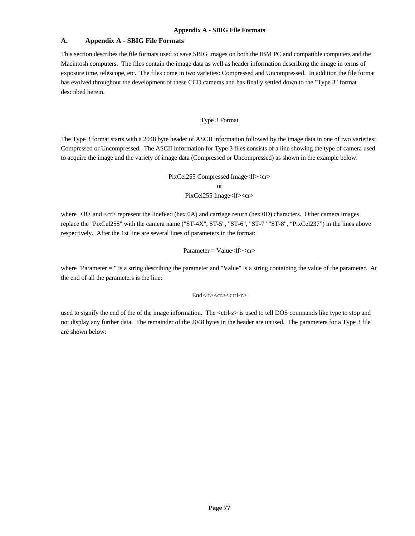## **A. Appendix A - SBIG File Formats**

This section describes the file formats used to save SBIG images on both the IBM PC and compatible computers and the Macintosh computers. The files contain the image data as well as header information describing the image in terms of exposure time, telescope, etc. The files come in two varieties: Compressed and Uncompressed. In addition the file format has evolved throughout the development of these CCD cameras and has finally settled down to the "Type 3" format described herein.

### Type 3 Format

The Type 3 format starts with a 2048 byte header of ASCII information followed by the image data in one of two varieties: Compressed or Uncompressed. The ASCII information for Type 3 files consists of a line showing the type of camera used to acquire the image and the variety of image data (Compressed or Uncompressed) as shown in the example below:

PixCel255 Compressed Image<lf><cr>

or

PixCel255 Image<lf><cr>

where <lf> and <cr> represent the linefeed (hex 0A) and carriage return (hex 0D) characters. Other camera images replace the "PixCel255" with the camera name ("ST-4X", ST-5", "ST-6", "ST-7" "ST-8", "PixCel237") in the lines above respectively. After the 1st line are several lines of parameters in the format:

### $Parameter = Value <$ lf $> <$ cr $>$

where "Parameter = " is a string describing the parameter and "Value" is a string containing the value of the parameter. At the end of all the parameters is the line:

## End<lf><cr><ctrl-z>

used to signify the end of the of the image information. The <ctrl-z> is used to tell DOS commands like type to stop and not display any further data. The remainder of the 2048 bytes in the header are unused. The parameters for a Type 3 file are shown below: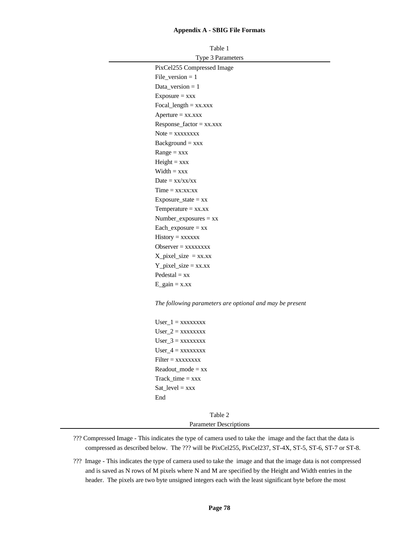| Table 1                                                  |
|----------------------------------------------------------|
| Type 3 Parameters                                        |
| PixCel255 Compressed Image                               |
| File version $= 1$                                       |
| Data_version $= 1$                                       |
| $Exposure = xxx$                                         |
| $Focal_length = xx.xxx$                                  |
| $A$ perture = $xx.xxx$                                   |
| $Respose\_factor = xx.xxx$                               |
| $Note = XXXXXX$                                          |
| $Background = xxx$                                       |
| $Range = XXX$                                            |
| $Height = xxx$                                           |
| $Width = xxx$                                            |
| $Date = xx/xx/xx$                                        |
| $Time = xx:xx:xx$                                        |
| Exposure_state = $xx$                                    |
| Temperature $= xx.xx$                                    |
| $Number_{exposures} = xx$                                |
| $Each\_exposure = xx$                                    |
| $History = XXXXXX$                                       |
| Observer $=$ xxxxxxxx                                    |
| $X$ <sub>pixel_size</sub> = xx.xx                        |
| $Y$ <sub>_pixel_size</sub> = xx.xx                       |
| $Pedestal = xx$                                          |
| $E_{gain} = x.xx$                                        |
| The following parameters are optional and may be present |
| $User_1 = XXXXXX$                                        |

 $User_2 = xxxxxxxx$  $User_3 = xxxxxxxxx$  $User_4 = xxxxxxxxx$  $Filter = XXXXXX$  $Readout_model = xx$ Track\_time = xxx Sat\_level = xxx End

> Table 2 Parameter Descriptions

- ??? Compressed Image This indicates the type of camera used to take the image and the fact that the data is compressed as described below. The ??? will be PixCel255, PixCel237, ST-4X, ST-5, ST-6, ST-7 or ST-8.
- ??? Image This indicates the type of camera used to take the image and that the image data is not compressed and is saved as N rows of M pixels where N and M are specified by the Height and Width entries in the header. The pixels are two byte unsigned integers each with the least significant byte before the most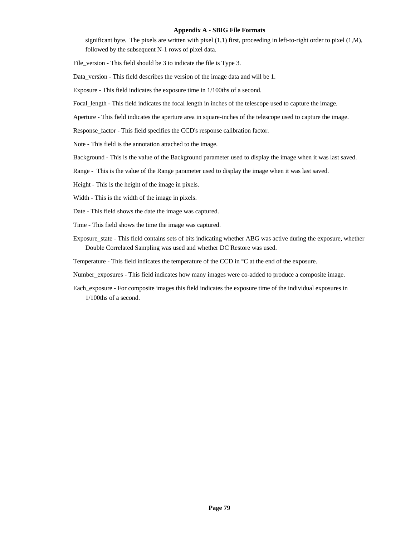significant byte. The pixels are written with pixel  $(1,1)$  first, proceeding in left-to-right order to pixel  $(1,M)$ , followed by the subsequent N-1 rows of pixel data.

File\_version - This field should be 3 to indicate the file is Type 3.

Data\_version - This field describes the version of the image data and will be 1.

Exposure - This field indicates the exposure time in 1/100ths of a second.

Focal\_length - This field indicates the focal length in inches of the telescope used to capture the image.

Aperture - This field indicates the aperture area in square-inches of the telescope used to capture the image.

Response\_factor - This field specifies the CCD's response calibration factor.

Note - This field is the annotation attached to the image.

Background - This is the value of the Background parameter used to display the image when it was last saved.

Range - This is the value of the Range parameter used to display the image when it was last saved.

Height - This is the height of the image in pixels.

Width - This is the width of the image in pixels.

Date - This field shows the date the image was captured.

Time - This field shows the time the image was captured.

Exposure\_state - This field contains sets of bits indicating whether ABG was active during the exposure, whether Double Correlated Sampling was used and whether DC Restore was used.

Temperature - This field indicates the temperature of the CCD in °C at the end of the exposure.

Number\_exposures - This field indicates how many images were co-added to produce a composite image.

Each\_exposure - For composite images this field indicates the exposure time of the individual exposures in 1/100ths of a second.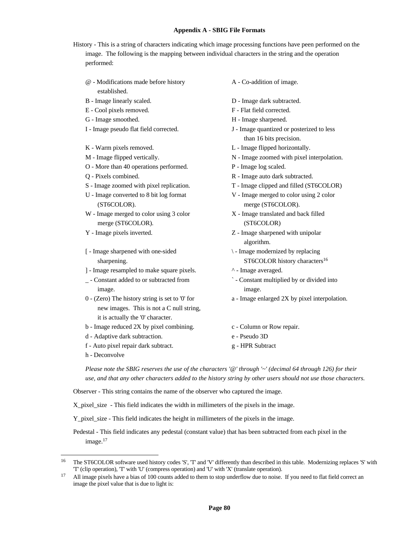History - This is a string of characters indicating which image processing functions have peen performed on the image. The following is the mapping between individual characters in the string and the operation performed:

- @ Modifications made before history established.
- 
- E Cool pixels removed. F Flat field corrected.
- 
- 
- 
- 
- O More than 40 operations performed. P Image log scaled.
- 
- 
- U Image converted to 8 bit log format (ST6COLOR).
- W Image merged to color using 3 color merge (ST6COLOR).
- 
- [ Image sharpened with one-sided sharpening.
- ] Image resampled to make square pixels.  $\land$  Image averaged.
- \_ Constant added to or subtracted from image.
- 0 (Zero) The history string is set to '0' for new images. This is not a C null string, it is actually the '0' character.
- b Image reduced 2X by pixel combining. c Column or Row repair.
- d Adaptive dark subtraction. e Pseudo 3D
- f Auto pixel repair dark subtract. g HPR Subtract
- h Deconvolve

1

- A Co-addition of image.
- B Image linearly scaled. D Image dark subtracted.
	-
- G Image smoothed. H Image sharpened.
- I Image pseudo flat field corrected. J Image quantized or posterized to less than 16 bits precision.
- K Warm pixels removed.  $L$  Image flipped horizontally.
- M Image flipped vertically. N Image zoomed with pixel interpolation.
	-
- Q Pixels combined. R Image auto dark subtracted.
- S Image zoomed with pixel replication. T Image clipped and filled (ST6COLOR)
	- V Image merged to color using 2 color merge (ST6COLOR).
	- X Image translated and back filled (ST6COLOR)
- Y Image pixels inverted.  $Z$  Image sharpened with unipolar algorithm.
	- \ Image modernized by replacing ST6COLOR history characters<sup>16</sup>
	-
	- ` Constant multiplied by or divided into image.
	- a Image enlarged 2X by pixel interpolation.
	-
	-
	-

*Please note the SBIG reserves the use of the characters '@' through '~' (decimal 64 through 126) for their use, and that any other characters added to the history string by other users should not use those characters.*

Observer - This string contains the name of the observer who captured the image.

X\_pixel\_size - This field indicates the width in millimeters of the pixels in the image.

Y\_pixel\_size - This field indicates the height in millimeters of the pixels in the image.

Pedestal - This field indicates any pedestal (constant value) that has been subtracted from each pixel in the image.<sup>17</sup>

<sup>16</sup> The ST6COLOR software used history codes 'S', 'T' and 'V' differently than described in this table. Modernizing replaces 'S' with 'T' (clip operation), 'T' with 'U' (compress operation) and 'U' with 'X' (translate operation).

<sup>&</sup>lt;sup>17</sup> All image pixels have a bias of 100 counts added to them to stop underflow due to noise. If you need to flat field correct an image the pixel value that is due to light is: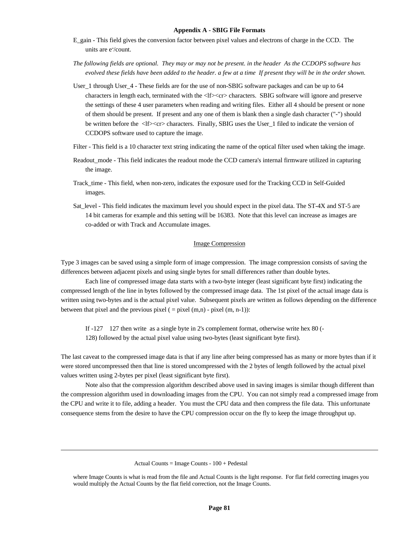- E\_gain This field gives the conversion factor between pixel values and electrons of charge in the CCD. The units are e<sup>-</sup>/count.
- *The following fields are optional. They may or may not be present. in the header As the CCDOPS software has evolved these fields have been added to the header. a few at a time If present they will be in the order shown.*
- User\_1 through User\_4 These fields are for the use of non-SBIG software packages and can be up to 64 characters in length each, terminated with the <lf><cr>clers. SBIG software will ignore and preserve the settings of these 4 user parameters when reading and writing files. Either all 4 should be present or none of them should be present. If present and any one of them is blank then a single dash character ("-") should be written before the <lf><cr>><cr>characters. Finally, SBIG uses the User\_1 filed to indicate the version of CCDOPS software used to capture the image.
- Filter This field is a 10 character text string indicating the name of the optical filter used when taking the image.
- Readout\_mode This field indicates the readout mode the CCD camera's internal firmware utilized in capturing the image.
- Track\_time This field, when non-zero, indicates the exposure used for the Tracking CCD in Self-Guided images.
- Sat\_level This field indicates the maximum level you should expect in the pixel data. The ST-4X and ST-5 are 14 bit cameras for example and this setting will be 16383. Note that this level can increase as images are co-added or with Track and Accumulate images.

#### Image Compression

Type 3 images can be saved using a simple form of image compression. The image compression consists of saving the differences between adjacent pixels and using single bytes for small differences rather than double bytes.

Each line of compressed image data starts with a two-byte integer (least significant byte first) indicating the compressed length of the line in bytes followed by the compressed image data. The 1st pixel of the actual image data is written using two-bytes and is the actual pixel value. Subsequent pixels are written as follows depending on the difference between that pixel and the previous pixel  $( = pixel (m,n) - pixel (m, n-1))$ :

If -127 127 then write as a single byte in 2's complement format, otherwise write hex 80 (-128) followed by the actual pixel value using two-bytes (least significant byte first).

The last caveat to the compressed image data is that if any line after being compressed has as many or more bytes than if it were stored uncompressed then that line is stored uncompressed with the 2 bytes of length followed by the actual pixel values written using 2-bytes per pixel (least significant byte first).

Note also that the compression algorithm described above used in saving images is similar though different than the compression algorithm used in downloading images from the CPU. You can not simply read a compressed image from the CPU and write it to file, adding a header. You must the CPU data and then compress the file data. This unfortunate consequence stems from the desire to have the CPU compression occur on the fly to keep the image throughput up.

 $\overline{a}$ 

Actual Counts = Image Counts - 100 + Pedestal

where Image Counts is what is read from the file and Actual Counts is the light response. For flat field correcting images you would multiply the Actual Counts by the flat field correction, not the Image Counts.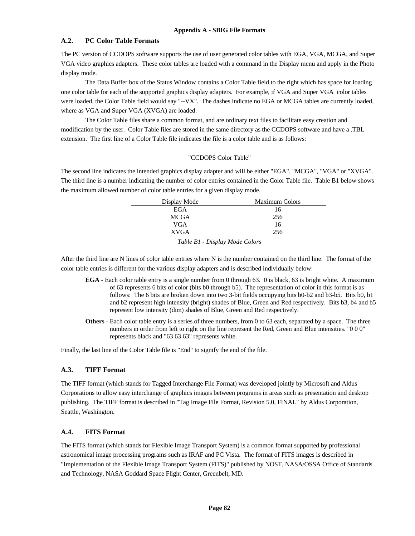### **A.2. PC Color Table Formats**

The PC version of CCDOPS software supports the use of user generated color tables with EGA, VGA, MCGA, and Super VGA video graphics adapters. These color tables are loaded with a command in the Display menu and apply in the Photo display mode.

The Data Buffer box of the Status Window contains a Color Table field to the right which has space for loading one color table for each of the supported graphics display adapters. For example, if VGA and Super VGA color tables were loaded, the Color Table field would say "--VX". The dashes indicate no EGA or MCGA tables are currently loaded, where as VGA and Super VGA (XVGA) are loaded.

The Color Table files share a common format, and are ordinary text files to facilitate easy creation and modification by the user. Color Table files are stored in the same directory as the CCDOPS software and have a .TBL extension. The first line of a Color Table file indicates the file is a color table and is as follows:

### "CCDOPS Color Table"

The second line indicates the intended graphics display adapter and will be either "EGA", "MCGA", "VGA" or "XVGA". The third line is a number indicating the number of color entries contained in the Color Table file. Table B1 below shows the maximum allowed number of color table entries for a given display mode.

| Display Mode | <b>Maximum Colors</b>        |
|--------------|------------------------------|
| EGA          | 16                           |
| MCGA         | 256                          |
| VGA          | 16                           |
| <b>XVGA</b>  | 256                          |
|              | $Tab$ $D1$ $Dem$ $Mod$ $Col$ |

*Table B1 - Display Mode Colors*

After the third line are N lines of color table entries where N is the number contained on the third line. The format of the color table entries is different for the various display adapters and is described individually below:

- **EGA** Each color table entry is a single number from 0 through 63. 0 is black, 63 is bright white. A maximum of 63 represents 6 bits of color (bits b0 through b5). The representation of color in this format is as follows: The 6 bits are broken down into two 3-bit fields occupying bits b0-b2 and b3-b5. Bits b0, b1 and b2 represent high intensity (bright) shades of Blue, Green and Red respectively. Bits b3, b4 and b5 represent low intensity (dim) shades of Blue, Green and Red respectively.
- **Others** Each color table entry is a series of three numbers, from 0 to 63 each, separated by a space. The three numbers in order from left to right on the line represent the Red, Green and Blue intensities. "0 0 0" represents black and "63 63 63" represents white.

Finally, the last line of the Color Table file is "End" to signify the end of the file.

### **A.3. TIFF Format**

The TIFF format (which stands for Tagged Interchange File Format) was developed jointly by Microsoft and Aldus Corporations to allow easy interchange of graphics images between programs in areas such as presentation and desktop publishing. The TIFF format is described in "Tag Image File Format, Revision 5.0, FINAL" by Aldus Corporation, Seattle, Washington.

## **A.4. FITS Format**

The FITS format (which stands for Flexible Image Transport System) is a common format supported by professional astronomical image processing programs such as IRAF and PC Vista. The format of FITS images is described in "Implementation of the Flexible Image Transport System (FITS)" published by NOST, NASA/OSSA Office of Standards and Technology, NASA Goddard Space Flight Center, Greenbelt, MD.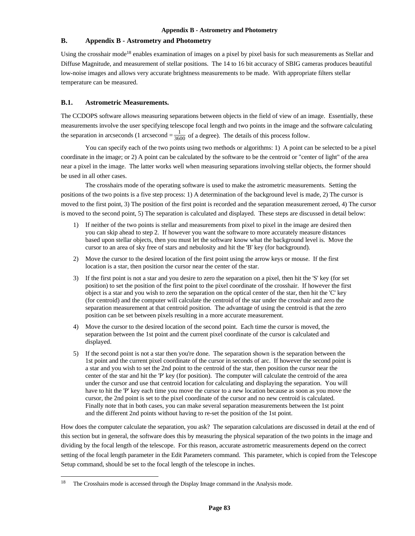Using the crosshair mode18 enables examination of images on a pixel by pixel basis for such measurements as Stellar and Diffuse Magnitude, and measurement of stellar positions. The 14 to 16 bit accuracy of SBIG cameras produces beautiful low-noise images and allows very accurate brightness measurements to be made. With appropriate filters stellar temperature can be measured.

### **B.1. Astrometric Measurements.**

The CCDOPS software allows measuring separations between objects in the field of view of an image. Essentially, these measurements involve the user specifying telescope focal length and two points in the image and the software calculating the separation in arcseconds (1 arcsecond  $=\frac{1}{3600}$  of a degree). The details of this process follow.

You can specify each of the two points using two methods or algorithms: 1) A point can be selected to be a pixel coordinate in the image; or 2) A point can be calculated by the software to be the centroid or "center of light" of the area near a pixel in the image. The latter works well when measuring separations involving stellar objects, the former should be used in all other cases.

The crosshairs mode of the operating software is used to make the astrometric measurements. Setting the positions of the two points is a five step process: 1) A determination of the background level is made, 2) The cursor is moved to the first point, 3) The position of the first point is recorded and the separation measurement zeroed, 4) The cursor is moved to the second point, 5) The separation is calculated and displayed. These steps are discussed in detail below:

- 1) If neither of the two points is stellar and measurements from pixel to pixel in the image are desired then you can skip ahead to step 2. If however you want the software to more accurately measure distances based upon stellar objects, then you must let the software know what the background level is. Move the cursor to an area of sky free of stars and nebulosity and hit the 'B' key (for background).
- 2) Move the cursor to the desired location of the first point using the arrow keys or mouse. If the first location is a star, then position the cursor near the center of the star.
- 3) If the first point is not a star and you desire to zero the separation on a pixel, then hit the 'S' key (for set position) to set the position of the first point to the pixel coordinate of the crosshair. If however the first object is a star and you wish to zero the separation on the optical center of the star, then hit the 'C' key (for centroid) and the computer will calculate the centroid of the star under the crosshair and zero the separation measurement at that centroid position. The advantage of using the centroid is that the zero position can be set between pixels resulting in a more accurate measurement.
- 4) Move the cursor to the desired location of the second point. Each time the cursor is moved, the separation between the 1st point and the current pixel coordinate of the cursor is calculated and displayed.
- 5) If the second point is not a star then you're done. The separation shown is the separation between the 1st point and the current pixel coordinate of the cursor in seconds of arc. If however the second point is a star and you wish to set the 2nd point to the centroid of the star, then position the cursor near the center of the star and hit the 'P' key (for position). The computer will calculate the centroid of the area under the cursor and use that centroid location for calculating and displaying the separation. You will have to hit the 'P' key each time you move the cursor to a new location because as soon as you move the cursor, the 2nd point is set to the pixel coordinate of the cursor and no new centroid is calculated. Finally note that in both cases, you can make several separation measurements between the 1st point and the different 2nd points without having to re-set the position of the 1st point.

How does the computer calculate the separation, you ask? The separation calculations are discussed in detail at the end of this section but in general, the software does this by measuring the physical separation of the two points in the image and dividing by the focal length of the telescope. For this reason, accurate astrometric measurements depend on the correct setting of the focal length parameter in the Edit Parameters command. This parameter, which is copied from the Telescope Setup command, should be set to the focal length of the telescope in inches.

1

<sup>&</sup>lt;sup>18</sup> The Crosshairs mode is accessed through the Display Image command in the Analysis mode.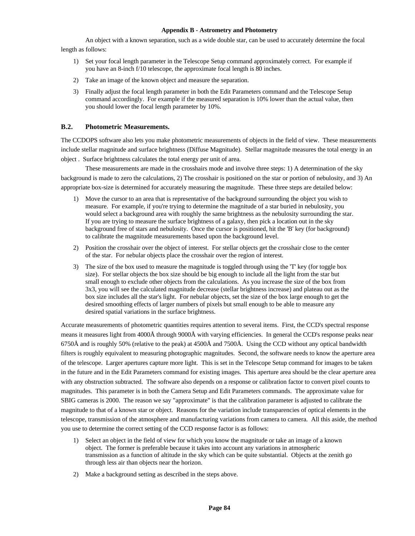An object with a known separation, such as a wide double star, can be used to accurately determine the focal length as follows:

- 1) Set your focal length parameter in the Telescope Setup command approximately correct. For example if you have an 8-inch f/10 telescope, the approximate focal length is 80 inches.
- 2) Take an image of the known object and measure the separation.
- 3) Finally adjust the focal length parameter in both the Edit Parameters command and the Telescope Setup command accordingly. For example if the measured separation is 10% lower than the actual value, then you should lower the focal length parameter by 10%.

## **B.2. Photometric Measurements.**

The CCDOPS software also lets you make photometric measurements of objects in the field of view. These measurements include stellar magnitude and surface brightness (Diffuse Magnitude). Stellar magnitude measures the total energy in an object . Surface brightness calculates the total energy per unit of area.

These measurements are made in the crosshairs mode and involve three steps: 1) A determination of the sky background is made to zero the calculations, 2) The crosshair is positioned on the star or portion of nebulosity, and 3) An appropriate box-size is determined for accurately measuring the magnitude. These three steps are detailed below:

- 1) Move the cursor to an area that is representative of the background surrounding the object you wish to measure. For example, if you're trying to determine the magnitude of a star buried in nebulosity, you would select a background area with roughly the same brightness as the nebulosity surrounding the star. If you are trying to measure the surface brightness of a galaxy, then pick a location out in the sky background free of stars and nebulosity. Once the cursor is positioned, hit the 'B' key (for background) to calibrate the magnitude measurements based upon the background level.
- 2) Position the crosshair over the object of interest. For stellar objects get the crosshair close to the center of the star. For nebular objects place the crosshair over the region of interest.
- 3) The size of the box used to measure the magnitude is toggled through using the 'T' key (for toggle box size). For stellar objects the box size should be big enough to include all the light from the star but small enough to exclude other objects from the calculations. As you increase the size of the box from 3x3, you will see the calculated magnitude decrease (stellar brightness increase) and plateau out as the box size includes all the star's light. For nebular objects, set the size of the box large enough to get the desired smoothing effects of larger numbers of pixels but small enough to be able to measure any desired spatial variations in the surface brightness.

Accurate measurements of photometric quantities requires attention to several items. First, the CCD's spectral response means it measures light from 4000Å through 9000Å with varying efficiencies. In general the CCD's response peaks near 6750Å and is roughly 50% (relative to the peak) at 4500Å and 7500Å. Using the CCD without any optical bandwidth filters is roughly equivalent to measuring photographic magnitudes. Second, the software needs to know the aperture area of the telescope. Larger apertures capture more light. This is set in the Telescope Setup command for images to be taken in the future and in the Edit Parameters command for existing images. This aperture area should be the clear aperture area with any obstruction subtracted. The software also depends on a response or calibration factor to convert pixel counts to magnitudes. This parameter is in both the Camera Setup and Edit Parameters commands. The approximate value for SBIG cameras is 2000. The reason we say "approximate" is that the calibration parameter is adjusted to calibrate the magnitude to that of a known star or object. Reasons for the variation include transparencies of optical elements in the telescope, transmission of the atmosphere and manufacturing variations from camera to camera. All this aside, the method you use to determine the correct setting of the CCD response factor is as follows:

- 1) Select an object in the field of view for which you know the magnitude or take an image of a known object. The former is preferable because it takes into account any variations in atmospheric transmission as a function of altitude in the sky which can be quite substantial. Objects at the zenith go through less air than objects near the horizon.
- 2) Make a background setting as described in the steps above.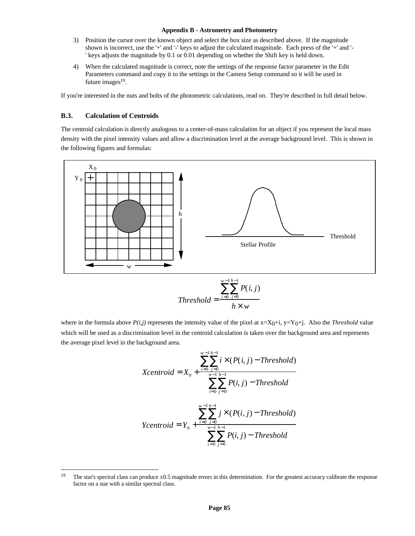- 3) Position the cursor over the known object and select the box size as described above. If the magnitude shown is incorrect, use the '+' and '-' keys to adjust the calculated magnitude. Each press of the '+' and '- ' keys adjusts the magnitude by 0.1 or 0.01 depending on whether the Shift key is held down.
- 4) When the calculated magnitude is correct, note the settings of the response factor parameter in the Edit Parameters command and copy it to the settings in the Camera Setup command so it will be used in future images<sup>19</sup>.

If you're interested in the nuts and bolts of the photometric calculations, read on. They're described in full detail below.

### **B.3. Calculation of Centroids**

 $\overline{a}$ 

The centroid calculation is directly analogous to a center-of-mass calculation for an object if you represent the local mass density with the pixel intensity values and allow a discrimination level at the average background level. This is shown in the following figures and formulas:



where in the formula above  $P(i,j)$  represents the intensity value of the pixel at  $x=X_0+i$ ,  $y=Y_0+j$ . Also the *Threshold* value which will be used as a discrimination level in the centroid calculation is taken over the background area and represents the average pixel level in the background area.

Xcentroid = 
$$
X_0
$$
 +  $\frac{\sum_{i=0}^{w-1} \sum_{j=0}^{h-1} i \times (P(i, j) - Threshold)}{\sum_{i=0}^{w-1} \sum_{j=0}^{h-1} P(i, j) - Threshold}$   
\nYcentroid =  $Y_0$  +  $\frac{\sum_{i=0}^{w-1} \sum_{j=0}^{h-1} j \times (P(i, j) - Threshold)}{\sum_{i=0}^{w-1} \sum_{j=0}^{h-1} P(i, j) - Threshold}$ 

<sup>&</sup>lt;sup>19</sup> The star's spectral class can produce  $\pm 0.5$  magnitude errors in this determination. For the greatest accuracy calibrate the response factor on a star with a similar spectral class.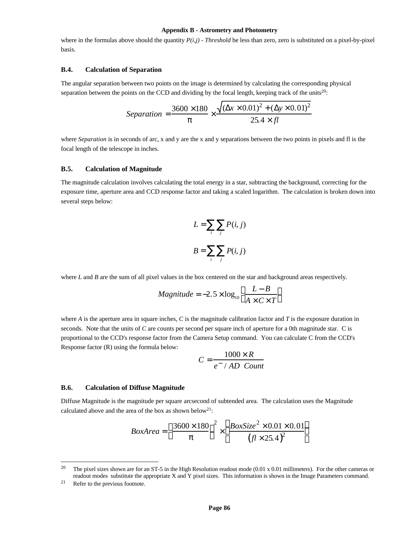where in the formulas above should the quantity  $P(i,j)$  - Threshold be less than zero, zero is substituted on a pixel-by-pixel basis.

#### **B.4. Calculation of Separation**

The angular separation between two points on the image is determined by calculating the corresponding physical separation between the points on the CCD and dividing by the focal length, keeping track of the units<sup>20</sup>:

Separation = 
$$
\frac{3600 \times 180}{p} \times \frac{\sqrt{(\Delta x \times 0.01)^2 + (\Delta y \times 0.01)^2}}{25.4 \times fl}
$$

where *Separation* is in seconds of arc, x and y are the x and y separations between the two points in pixels and fl is the focal length of the telescope in inches.

### **B.5. Calculation of Magnitude**

The magnitude calculation involves calculating the total energy in a star, subtracting the background, correcting for the exposure time, aperture area and CCD response factor and taking a scaled logarithm. The calculation is broken down into several steps below:

$$
L = \sum_{i} \sum_{j} P(i, j)
$$

$$
B = \sum_{i} \sum_{j} P(i, j)
$$

where *L* and *B* are the sum of all pixel values in the box centered on the star and background areas respectively.

$$
Magnitude = -2.5 \times \log_{10}\left(\frac{L - B}{A \times C \times T}\right)
$$

where *A* is the aperture area in square inches, *C* is the magnitude calibration factor and *T* is the exposure duration in seconds. Note that the units of *C* are counts per second per square inch of aperture for a 0th magnitude star. C is proportional to the CCD's response factor from the Camera Setup command. You can calculate C from the CCD's Response factor (R) using the formula below:

$$
C = \frac{1000 \times R}{e^- / AD \text{ Count}}
$$

### **B.6. Calculation of Diffuse Magnitude**

Diffuse Magnitude is the magnitude per square arcsecond of subtended area. The calculation uses the Magnitude calculated above and the area of the box as shown below<sup>21</sup>:

$$
BoxArea = \left(\frac{3600 \times 180}{p}\right)^2 \times \left(\frac{BoxSize^2 \times 0.01 \times 0.01}{(f1 \times 25.4)^2}\right)
$$

l

<sup>&</sup>lt;sup>20</sup> The pixel sizes shown are for an ST-5 in the High Resolution readout mode (0.01 x 0.01 millimeters). For the other cameras or readout modes substitute the appropriate X and Y pixel sizes. This information is shown in the Image Parameters command.

<sup>21</sup> Refer to the previous footnote.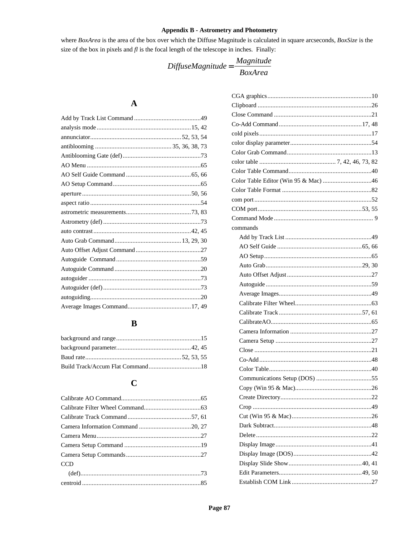where BoxArea is the area of the box over which the Diffuse Magnitude is calculated in square arcseconds, BoxSize is the size of the box in pixels and  $fl$  is the focal length of the telescope in inches. Finally:

 $\begin{aligned} \textit{DiffuseMagnitude} = \frac{\textit{Magnitude}}{\textit{BoxArea}} \end{aligned}$ 

## $\boldsymbol{\rm{A}}$

## $\, {\bf B}$

## $\mathbf C$

| <b>CCD</b> |  |
|------------|--|
|            |  |
|            |  |

| commands |  |
|----------|--|
|          |  |
|          |  |
|          |  |
|          |  |
|          |  |
|          |  |
|          |  |
|          |  |
|          |  |
|          |  |
|          |  |
|          |  |
|          |  |
|          |  |
|          |  |
|          |  |
|          |  |
|          |  |
|          |  |
|          |  |
|          |  |
|          |  |
|          |  |
|          |  |
|          |  |
|          |  |
|          |  |
|          |  |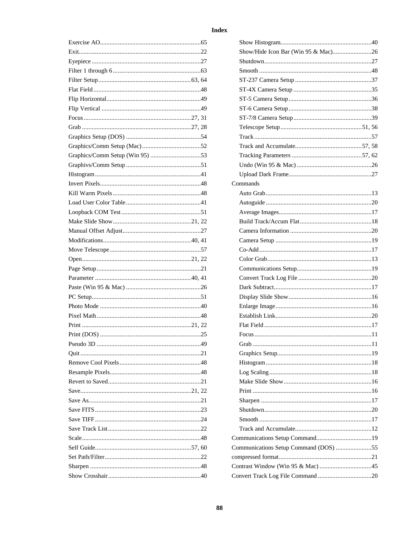| Show/Hide Icon Bar (Win 95 & Mac)26   |           |
|---------------------------------------|-----------|
|                                       |           |
|                                       |           |
|                                       |           |
|                                       |           |
|                                       |           |
|                                       |           |
|                                       |           |
|                                       |           |
|                                       |           |
|                                       |           |
|                                       |           |
|                                       |           |
|                                       |           |
| Commands                              |           |
|                                       |           |
|                                       |           |
|                                       |           |
|                                       |           |
|                                       |           |
|                                       |           |
|                                       |           |
|                                       |           |
|                                       |           |
|                                       |           |
|                                       |           |
|                                       |           |
|                                       |           |
|                                       |           |
|                                       |           |
|                                       |           |
| Grab                                  | $\sim$ 11 |
|                                       |           |
|                                       |           |
|                                       |           |
|                                       |           |
|                                       |           |
|                                       |           |
|                                       |           |
|                                       |           |
|                                       |           |
|                                       |           |
|                                       |           |
|                                       |           |
| Communications Setup Command (DOS) 55 |           |
|                                       |           |
|                                       |           |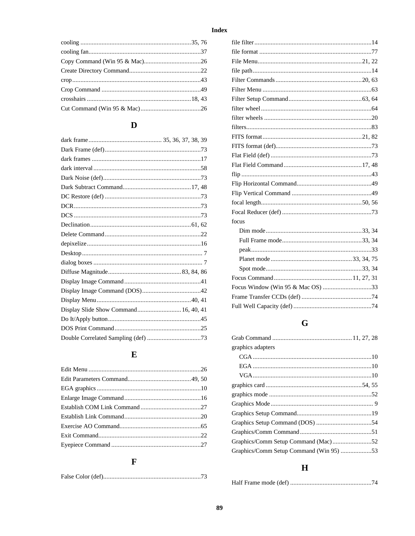## $\mathbf{D}$

| Display Slide Show Command 16, 40, 41 |  |
|---------------------------------------|--|
|                                       |  |
|                                       |  |
|                                       |  |

## $\mathbf E$

## $\mathbf{F}$

| focus                             |  |
|-----------------------------------|--|
|                                   |  |
|                                   |  |
|                                   |  |
|                                   |  |
|                                   |  |
|                                   |  |
| Focus Window (Win 95 & Mac OS) 33 |  |
|                                   |  |
|                                   |  |
|                                   |  |

## $\mathbf G$

| graphics adapters                       |  |
|-----------------------------------------|--|
|                                         |  |
|                                         |  |
|                                         |  |
|                                         |  |
|                                         |  |
|                                         |  |
|                                         |  |
|                                         |  |
|                                         |  |
| Graphics/Comm Setup Command (Mac)52     |  |
| Graphics/Comm Setup Command (Win 95) 53 |  |
|                                         |  |

## $\mathbf H$

|--|--|--|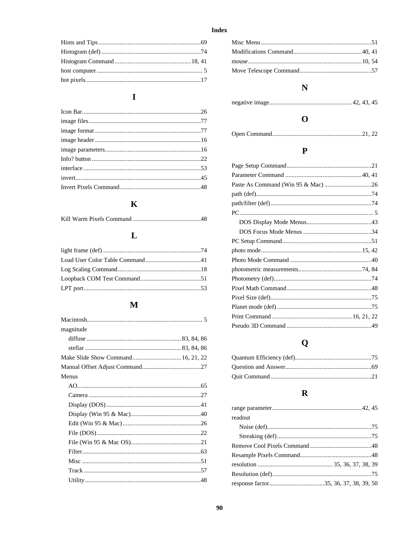## $\mathbf I$

## $\mathbf K$

|--|--|--|--|--|

## $\mathbf{L}$

## $\mathbf{M}$

| magnitude |  |
|-----------|--|
|           |  |
|           |  |
|           |  |
|           |  |
| Menus     |  |
|           |  |
|           |  |
|           |  |
|           |  |
|           |  |
|           |  |
|           |  |
|           |  |
|           |  |
|           |  |
|           |  |
|           |  |

## $\mathbf N$

## $\mathbf{O}$

|--|

## $\mathbf P$

# $\mathbf Q$

## $\overline{\mathbf{R}}$

| readout |  |
|---------|--|
|         |  |
|         |  |
|         |  |
|         |  |
|         |  |
|         |  |
|         |  |